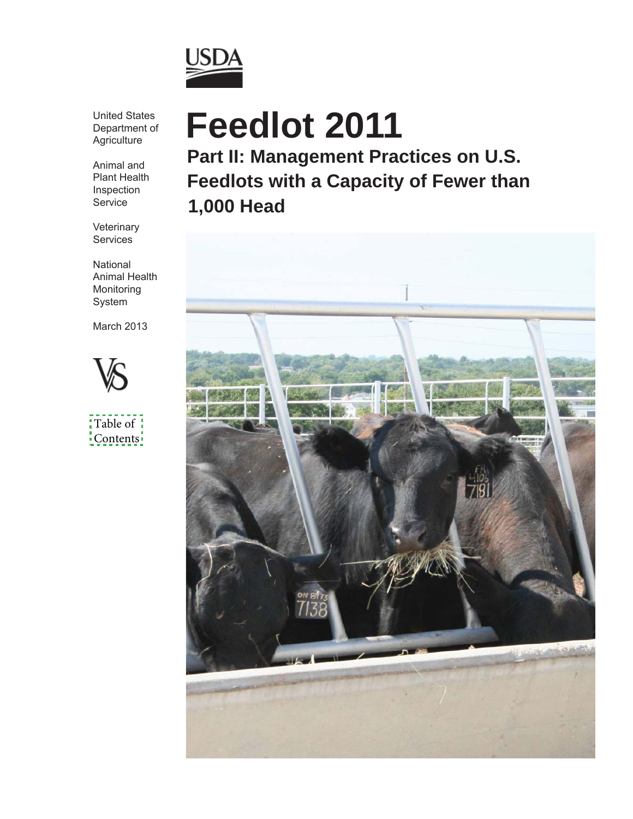

United States Department of **Agriculture** 

Animal and Plant Health Inspection Service

**Veterinary** Services

National Animal Health Monitoring System

March 2013



[Table of](#page-3-0)  **Contents** 

# **Feedlot 2011**

**Part II: Management Practices on U.S. Feedlots with a Capacity of Fewer than 1,000 Head**

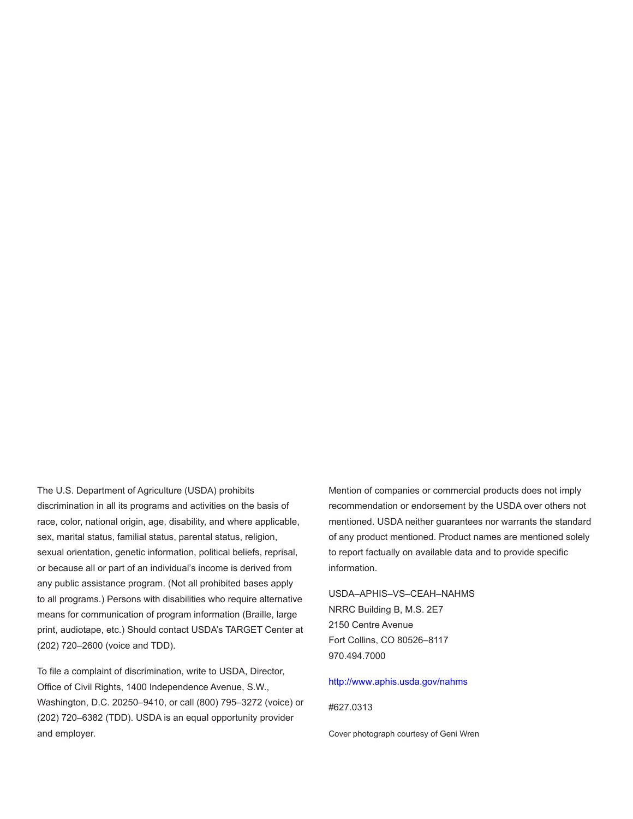The U.S. Department of Agriculture (USDA) prohibits discrimination in all its programs and activities on the basis of race, color, national origin, age, disability, and where applicable, sex, marital status, familial status, parental status, religion, sexual orientation, genetic information, political beliefs, reprisal, or because all or part of an individual's income is derived from any public assistance program. (Not all prohibited bases apply to all programs.) Persons with disabilities who require alternative means for communication of program information (Braille, large print, audiotape, etc.) Should contact USDA's TARGET Center at (202) 720–2600 (voice and TDD).

To file a complaint of discrimination, write to USDA, Director, Office of Civil Rights, 1400 Independence Avenue, S.W., Washington, D.C. 20250–9410, or call (800) 795–3272 (voice) or (202) 720–6382 (TDD). USDA is an equal opportunity provider and employer.

Mention of companies or commercial products does not imply recommendation or endorsement by the USDA over others not mentioned. USDA neither guarantees nor warrants the standard of any product mentioned. Product names are mentioned solely to report factually on available data and to provide specific information.

USDA–APHIS–VS–CEAH–NAHMS NRRC Building B, M.S. 2E7 2150 Centre Avenue Fort Collins, CO 80526–8117 970.494.7000

# http://www.aphis.usda.gov/nahms

# #627.0313

Cover photograph courtesy of Geni Wren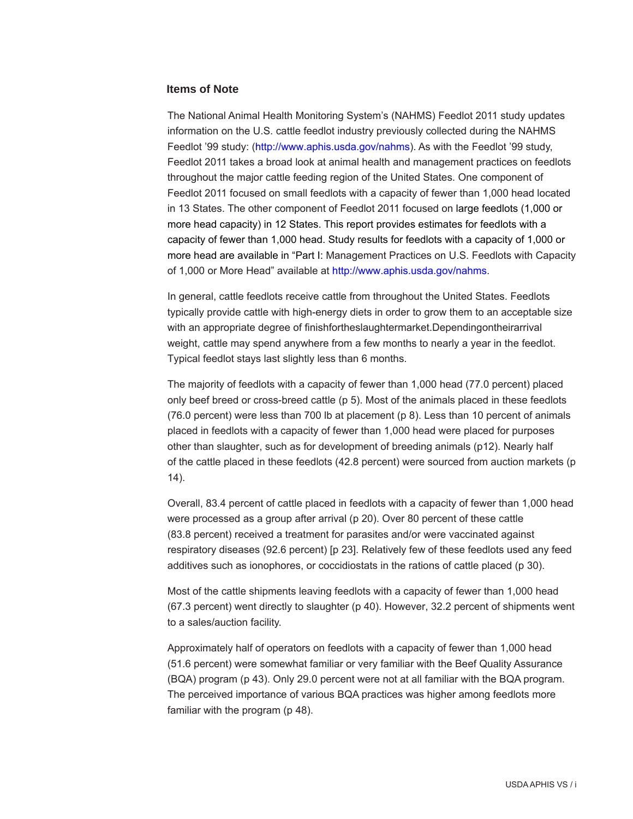# **Items of Note**

The National Animal Health Monitoring System's (NAHMS) Feedlot 2011 study updates information on the U.S. cattle feedlot industry previously collected during the NAHMS Feedlot '99 study: (http://www.aphis.usda.gov/nahms). As with the Feedlot '99 study, Feedlot 2011 takes a broad look at animal health and management practices on feedlots throughout the major cattle feeding region of the United States. One component of Feedlot 2011 focused on small feedlots with a capacity of fewer than 1,000 head located in 13 States. The other component of Feedlot 2011 focused on large feedlots (1,000 or more head capacity) in 12 States. This report provides estimates for feedlots with a capacity of fewer than 1,000 head. Study results for feedlots with a capacity of 1,000 or more head are available in "Part I: Management Practices on U.S. Feedlots with Capacity of 1,000 or More Head" available at http://www.aphis.usda.gov/nahms.

In general, cattle feedlots receive cattle from throughout the United States. Feedlots typically provide cattle with high-energy diets in order to grow them to an acceptable size with an appropriate degree of finishforthe slaughter market. Depending on their arrival weight, cattle may spend anywhere from a few months to nearly a year in the feedlot. Typical feedlot stays last slightly less than 6 months.

The majority of feedlots with a capacity of fewer than 1,000 head (77.0 percent) placed only beef breed or cross-breed cattle (p 5). Most of the animals placed in these feedlots (76.0 percent) were less than 700 lb at placement (p 8). Less than 10 percent of animals placed in feedlots with a capacity of fewer than 1,000 head were placed for purposes other than slaughter, such as for development of breeding animals (p12). Nearly half of the cattle placed in these feedlots (42.8 percent) were sourced from auction markets (p 14).

Overall, 83.4 percent of cattle placed in feedlots with a capacity of fewer than 1,000 head were processed as a group after arrival (p 20). Over 80 percent of these cattle (83.8 percent) received a treatment for parasites and/or were vaccinated against respiratory diseases (92.6 percent) [p 23]. Relatively few of these feedlots used any feed additives such as ionophores, or coccidiostats in the rations of cattle placed (p 30).

Most of the cattle shipments leaving feedlots with a capacity of fewer than 1,000 head (67.3 percent) went directly to slaughter (p 40). However, 32.2 percent of shipments went to a sales/auction facility.

Approximately half of operators on feedlots with a capacity of fewer than 1,000 head (51.6 percent) were somewhat familiar or very familiar with the Beef Quality Assurance (BQA) program (p 43). Only 29.0 percent were not at all familiar with the BQA program. The perceived importance of various BQA practices was higher among feedlots more familiar with the program (p 48).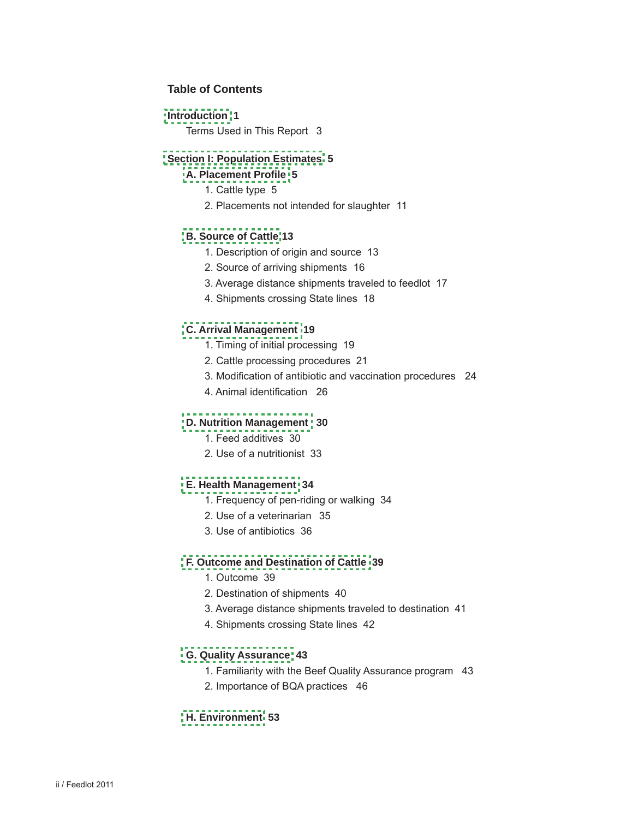# <span id="page-3-0"></span>**Table of Contents**

# **[Introduction](#page-8-0) 1**

Terms Used in This Report 3

# **[Section I: Population Estimates](#page-12-0) 5**

# **[A. Placement Pro](#page-12-0)file 5**

- 1. Cattle type 5
- 2. Placements not intended for slaughter 11

# **[B. Source of Cattle](#page-20-0) 13**

- 1. Description of origin and source 13
- 2. Source of arriving shipments 16
- 3. Average distance shipments traveled to feedlot 17
- 4. Shipments crossing State lines 18

# **[C. Arrival Management](#page-26-0) 19**

- 1. Timing of initial processing 19
- 2. Cattle processing procedures 21
- 3. Modification of antibiotic and vaccination procedures 24
- 4. Animal identification 26

## **[D. Nutrition Management](#page-37-0) 30**

- 1. Feed additives 30
- 2. Use of a nutritionist 33

# **[E. Health Management](#page-41-0) 34**

- 1. Frequency of pen-riding or walking 34
- 2. Use of a veterinarian 35
- 3. Use of antibiotics 36

# **[F. Outcome and Destination of Cattle](#page-46-0) 39**

- 1. Outcome 39
- 2. Destination of shipments 40
- 3. Average distance shipments traveled to destination 41
- 4. Shipments crossing State lines 42

# **[G. Quality Assurance](#page-50-0) 43**

- 1. Familiarity with the Beef Quality Assurance program 43
- 2. Importance of BQA practices 46

# **[H. Environment](#page-60-0) 53**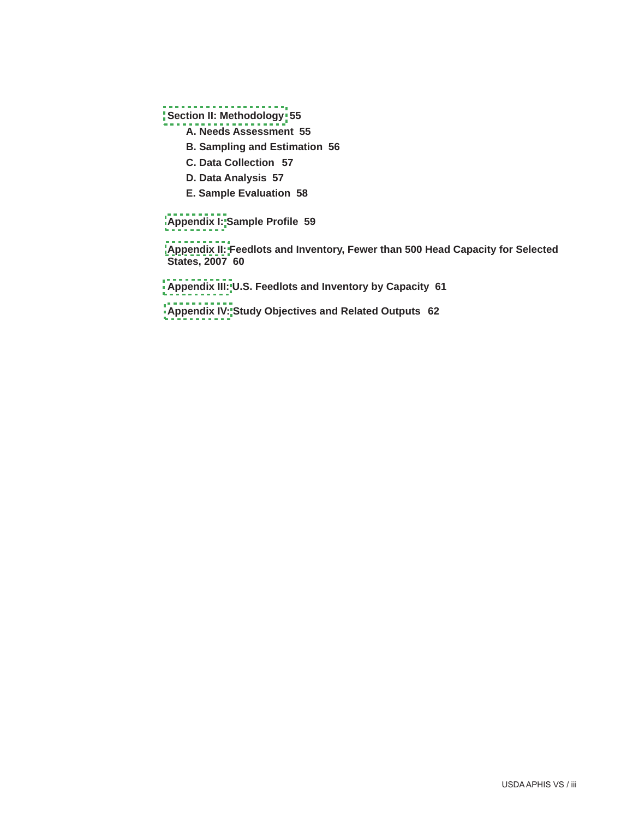**[Section II: Methodology](#page-62-0) 55**

- **A. Needs Assessment 55**
- **B. Sampling and Estimation 56**
- **C. Data Collection 57**
- **D. Data Analysis 57**
- **E. Sample Evaluation 58**

**[Appendix I:](#page-66-0) Sample Profile 59** 

**[Appendix II:](#page-67-0) Feedlots and Inventory, Fewer than 500 Head Capacity for Selected States, 2007 60**

**[Appendix III:](#page-68-0) U.S. Feedlots and Inventory by Capacity 61**

**[Appendix IV:](#page-69-0) Study Objectives and Related Outputs 62**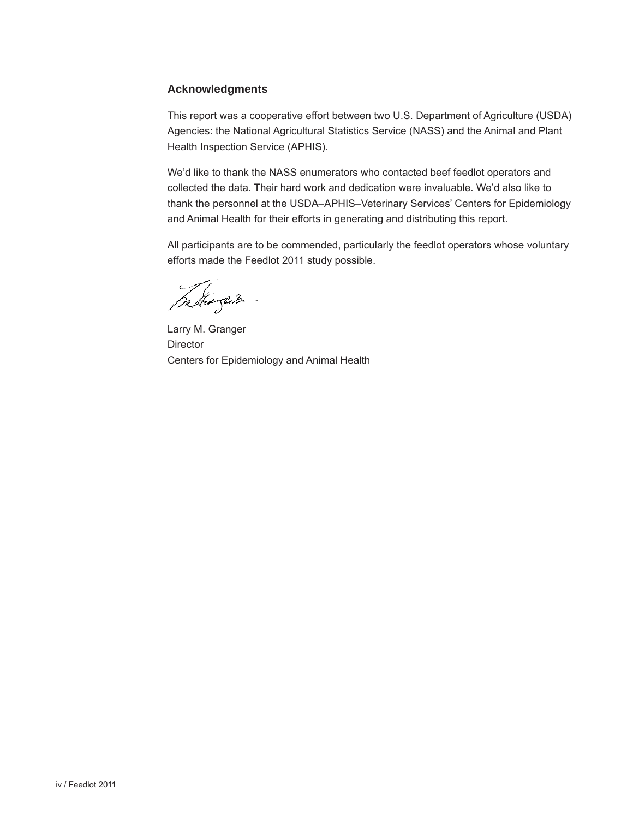# **Acknowledgments**

This report was a cooperative effort between two U.S. Department of Agriculture (USDA) Agencies: the National Agricultural Statistics Service (NASS) and the Animal and Plant Health Inspection Service (APHIS).

We'd like to thank the NASS enumerators who contacted beef feedlot operators and collected the data. Their hard work and dedication were invaluable. We'd also like to thank the personnel at the USDA–APHIS–Veterinary Services' Centers for Epidemiology and Animal Health for their efforts in generating and distributing this report.

All participants are to be commended, particularly the feedlot operators whose voluntary efforts made the Feedlot 2011 study possible.

mangum

Larry M. Granger **Director** Centers for Epidemiology and Animal Health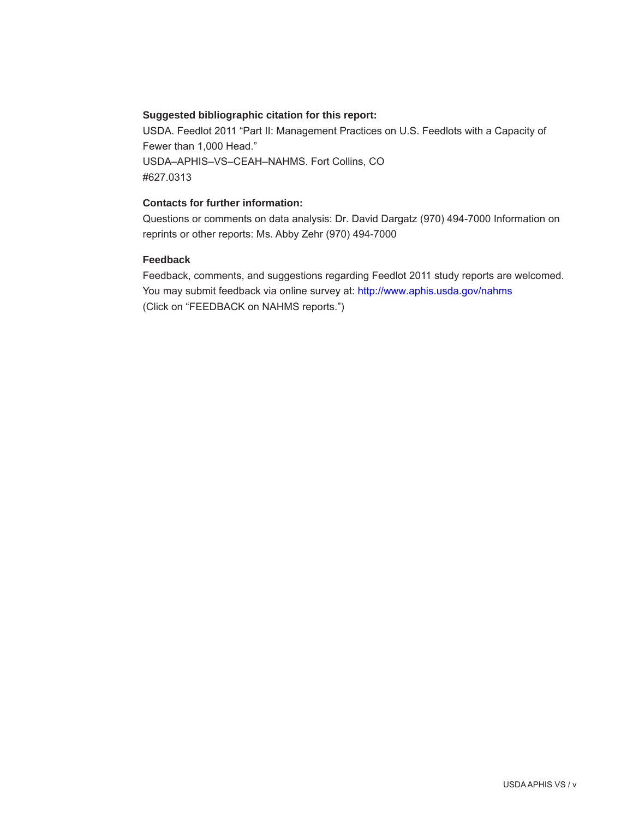# **Suggested bibliographic citation for this report:**

USDA. Feedlot 2011 "Part II: Management Practices on U.S. Feedlots with a Capacity of Fewer than 1,000 Head." USDA–APHIS–VS–CEAH–NAHMS. Fort Collins, CO #627.0313

# **Contacts for further information:**

Questions or comments on data analysis: Dr. David Dargatz (970) 494-7000 Information on reprints or other reports: Ms. Abby Zehr (970) 494-7000

# **Feedback**

Feedback, comments, and suggestions regarding Feedlot 2011 study reports are welcomed. You may submit feedback via online survey at: http://www.aphis.usda.gov/nahms (Click on "FEEDBACK on NAHMS reports.")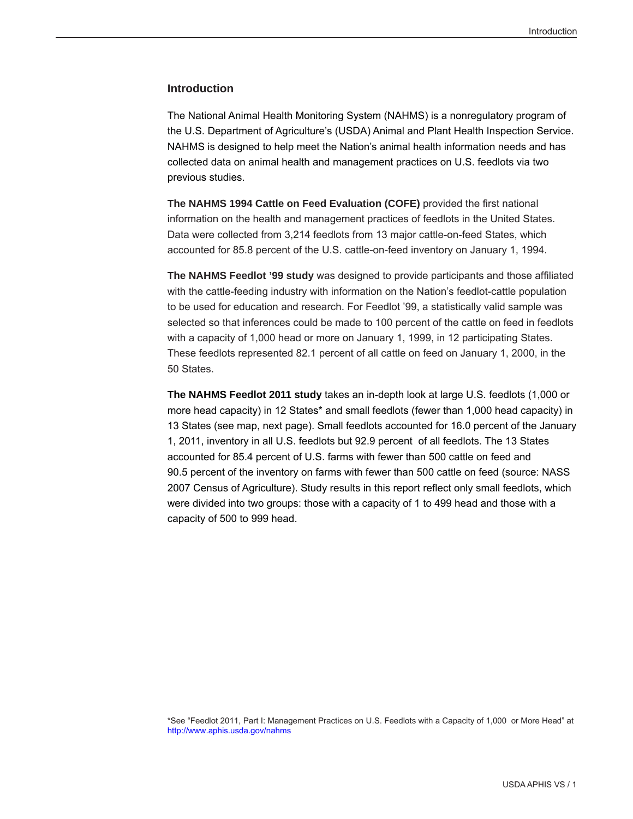# <span id="page-8-0"></span>**Introduction**

The National Animal Health Monitoring System (NAHMS) is a nonregulatory program of the U.S. Department of Agriculture's (USDA) Animal and Plant Health Inspection Service. NAHMS is designed to help meet the Nation's animal health information needs and has collected data on animal health and management practices on U.S. feedlots via two previous studies.

**The NAHMS 1994 Cattle on Feed Evaluation (COFE)** provided the first national information on the health and management practices of feedlots in the United States. Data were collected from 3,214 feedlots from 13 major cattle-on-feed States, which accounted for 85.8 percent of the U.S. cattle-on-feed inventory on January 1, 1994.

**The NAHMS Feedlot '99 study** was designed to provide participants and those affiliated with the cattle-feeding industry with information on the Nation's feedlot-cattle population to be used for education and research. For Feedlot '99, a statistically valid sample was selected so that inferences could be made to 100 percent of the cattle on feed in feedlots with a capacity of 1,000 head or more on January 1, 1999, in 12 participating States. These feedlots represented 82.1 percent of all cattle on feed on January 1, 2000, in the 50 States.

**The NAHMS Feedlot 2011 study** takes an in-depth look at large U.S. feedlots (1,000 or more head capacity) in 12 States\* and small feedlots (fewer than 1,000 head capacity) in 13 States (see map, next page). Small feedlots accounted for 16.0 percent of the January 1, 2011, inventory in all U.S. feedlots but 92.9 percent of all feedlots. The 13 States accounted for 85.4 percent of U.S. farms with fewer than 500 cattle on feed and 90.5 percent of the inventory on farms with fewer than 500 cattle on feed (source: NASS 2007 Census of Agriculture). Study results in this report reflect only small feedlots, which were divided into two groups: those with a capacity of 1 to 499 head and those with a capacity of 500 to 999 head.

\*See "Feedlot 2011, Part I: Management Practices on U.S. Feedlots with a Capacity of 1,000 or More Head" at http://www.aphis.usda.gov/nahms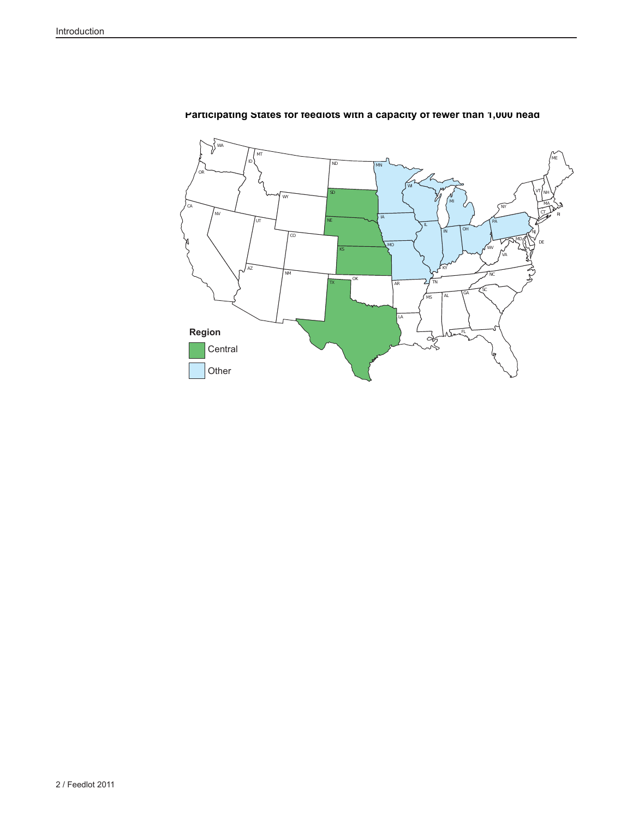

# **Participating States for feedlots with a capacity of fewer than 1,000 head**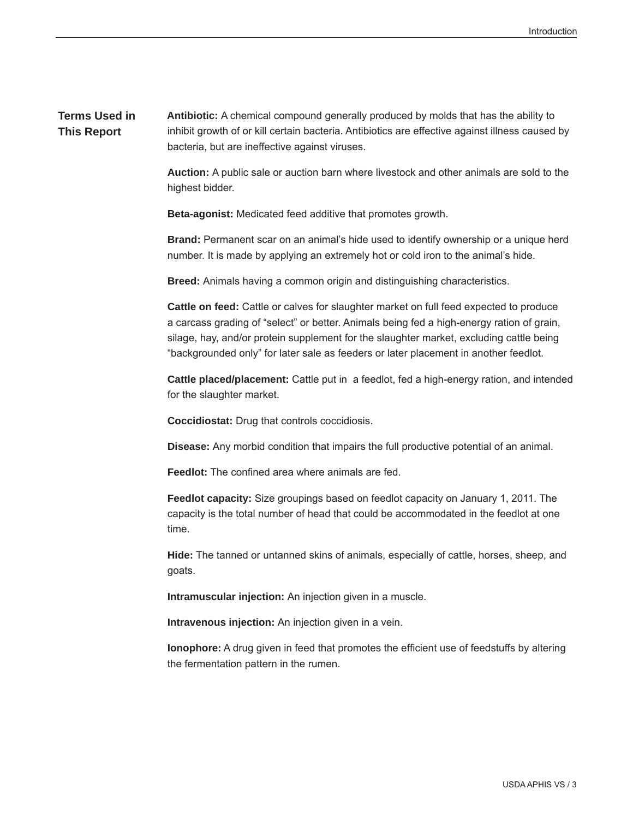### **Antibiotic:** A chemical compound generally produced by molds that has the ability to inhibit growth of or kill certain bacteria. Antibiotics are effective against illness caused by bacteria, but are ineffective against viruses. **Terms Used in This Report**

**Auction:** A public sale or auction barn where livestock and other animals are sold to the highest bidder.

**Beta-agonist:** Medicated feed additive that promotes growth.

**Brand:** Permanent scar on an animal's hide used to identify ownership or a unique herd number. It is made by applying an extremely hot or cold iron to the animal's hide.

**Breed:** Animals having a common origin and distinguishing characteristics.

**Cattle on feed:** Cattle or calves for slaughter market on full feed expected to produce a carcass grading of "select" or better. Animals being fed a high-energy ration of grain, silage, hay, and/or protein supplement for the slaughter market, excluding cattle being "backgrounded only" for later sale as feeders or later placement in another feedlot.

**Cattle placed/placement:** Cattle put in a feedlot, fed a high-energy ration, and intended for the slaughter market.

**Coccidiostat:** Drug that controls coccidiosis.

**Disease:** Any morbid condition that impairs the full productive potential of an animal.

**Feedlot:** The confined area where animals are fed.

**Feedlot capacity:** Size groupings based on feedlot capacity on January 1, 2011. The capacity is the total number of head that could be accommodated in the feedlot at one time.

**Hide:** The tanned or untanned skins of animals, especially of cattle, horses, sheep, and goats.

**Intramuscular injection:** An injection given in a muscle.

**Intravenous injection:** An injection given in a vein.

**Ionophore:** A drug given in feed that promotes the efficient use of feedstuffs by altering the fermentation pattern in the rumen.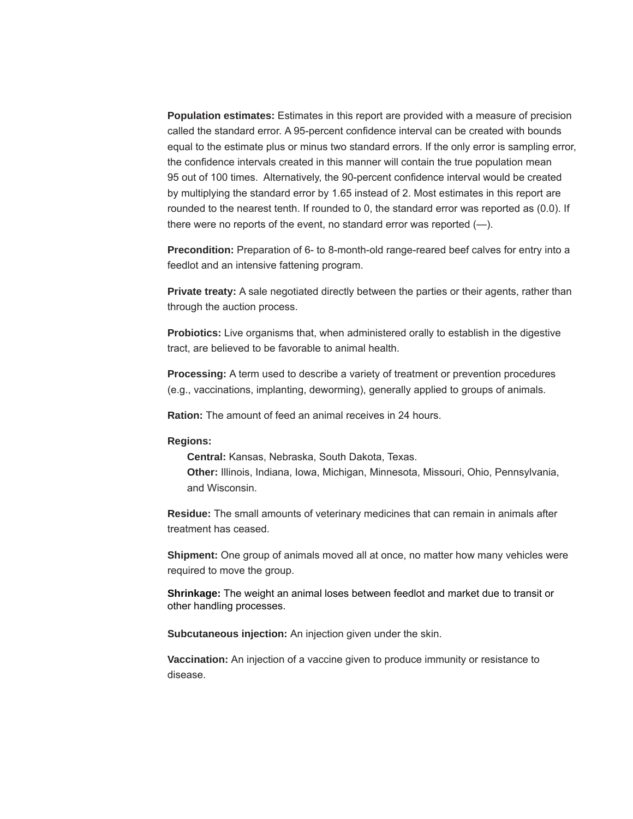**Population estimates:** Estimates in this report are provided with a measure of precision called the standard error. A 95-percent confidence interval can be created with bounds equal to the estimate plus or minus two standard errors. If the only error is sampling error, the confidence intervals created in this manner will contain the true population mean 95 out of 100 times. Alternatively, the 90-percent confidence interval would be created by multiplying the standard error by 1.65 instead of 2. Most estimates in this report are rounded to the nearest tenth. If rounded to 0, the standard error was reported as (0.0). If there were no reports of the event, no standard error was reported (—).

**Precondition:** Preparation of 6- to 8-month-old range-reared beef calves for entry into a feedlot and an intensive fattening program.

**Private treaty:** A sale negotiated directly between the parties or their agents, rather than through the auction process.

**Probiotics:** Live organisms that, when administered orally to establish in the digestive tract, are believed to be favorable to animal health.

**Processing:** A term used to describe a variety of treatment or prevention procedures (e.g., vaccinations, implanting, deworming), generally applied to groups of animals.

**Ration:** The amount of feed an animal receives in 24 hours.

### **Regions:**

**Central:** Kansas, Nebraska, South Dakota, Texas. **Other:** Illinois, Indiana, Iowa, Michigan, Minnesota, Missouri, Ohio, Pennsylvania, and Wisconsin.

**Residue:** The small amounts of veterinary medicines that can remain in animals after treatment has ceased.

**Shipment:** One group of animals moved all at once, no matter how many vehicles were required to move the group.

**Shrinkage:** The weight an animal loses between feedlot and market due to transit or other handling processes.

**Subcutaneous injection:** An injection given under the skin.

**Vaccination:** An injection of a vaccine given to produce immunity or resistance to disease.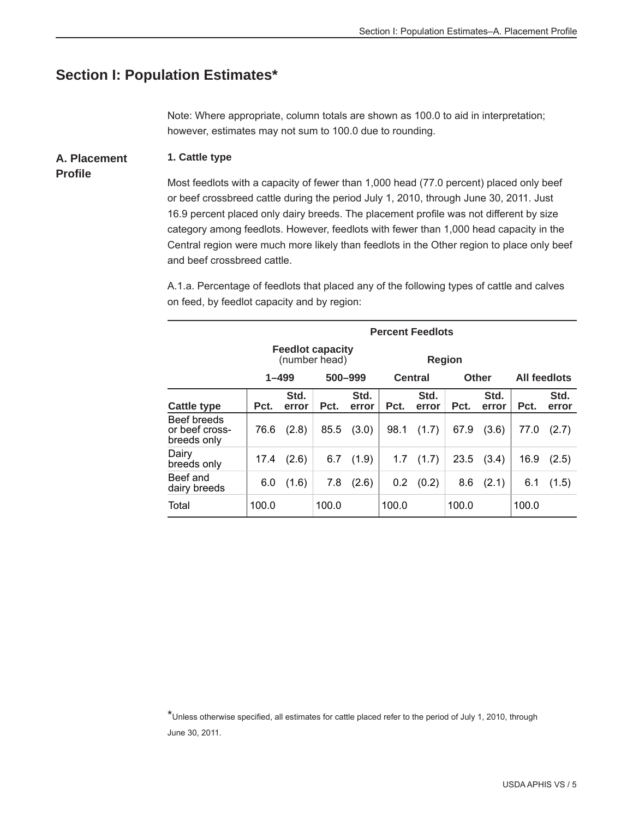# <span id="page-12-0"></span>**Section I: Population Estimates\***

Note: Where appropriate, column totals are shown as 100.0 to aid in interpretation; however, estimates may not sum to 100.0 due to rounding.

### **1. Cattle type A. Placement**

**Profi le**

Most feedlots with a capacity of fewer than 1,000 head (77.0 percent) placed only beef or beef crossbreed cattle during the period July 1, 2010, through June 30, 2011. Just 16.9 percent placed only dairy breeds. The placement profile was not different by size category among feedlots. However, feedlots with fewer than 1,000 head capacity in the Central region were much more likely than feedlots in the Other region to place only beef and beef crossbreed cattle.

A.1.a. Percentage of feedlots that placed any of the following types of cattle and calves on feed, by feedlot capacity and by region:

|                                              | <b>Percent Feedlots</b> |               |                                          |               |                |               |               |               |       |                     |  |  |  |
|----------------------------------------------|-------------------------|---------------|------------------------------------------|---------------|----------------|---------------|---------------|---------------|-------|---------------------|--|--|--|
|                                              |                         |               | <b>Feedlot capacity</b><br>(number head) |               |                |               | <b>Region</b> |               |       |                     |  |  |  |
|                                              |                         | $1 - 499$     |                                          | 500-999       | <b>Central</b> |               |               | Other         |       | <b>All feedlots</b> |  |  |  |
| Cattle type                                  | Pct.                    | Std.<br>error | Pct.                                     | Std.<br>error | Pct.           | Std.<br>error | Pct.          | Std.<br>error | Pct.  | Std.<br>error       |  |  |  |
| Beef breeds<br>or beef cross-<br>breeds only | 76.6                    | (2.8)         | 85.5                                     | (3.0)         | 98.1           | (1.7)         | 67.9          | (3.6)         | 77.0  | (2.7)               |  |  |  |
| Dairy<br>breeds only                         | 17.4                    | (2.6)         | 6.7                                      | (1.9)         | 1.7            | (1.7)         | 23.5          | (3.4)         | 16.9  | (2.5)               |  |  |  |
| Beef and<br>dairy breeds                     | 6.0                     | (1.6)         | 7.8                                      | (2.6)         | 0.2            | (0.2)         | 8.6           | (2.1)         | 6.1   | (1.5)               |  |  |  |
| Total                                        | 100.0                   |               | 100.0                                    |               | 100.0          |               | 100.0         |               | 100.0 |                     |  |  |  |

\*Unless otherwise specified, all estimates for cattle placed refer to the period of July 1, 2010, through June 30, 2011.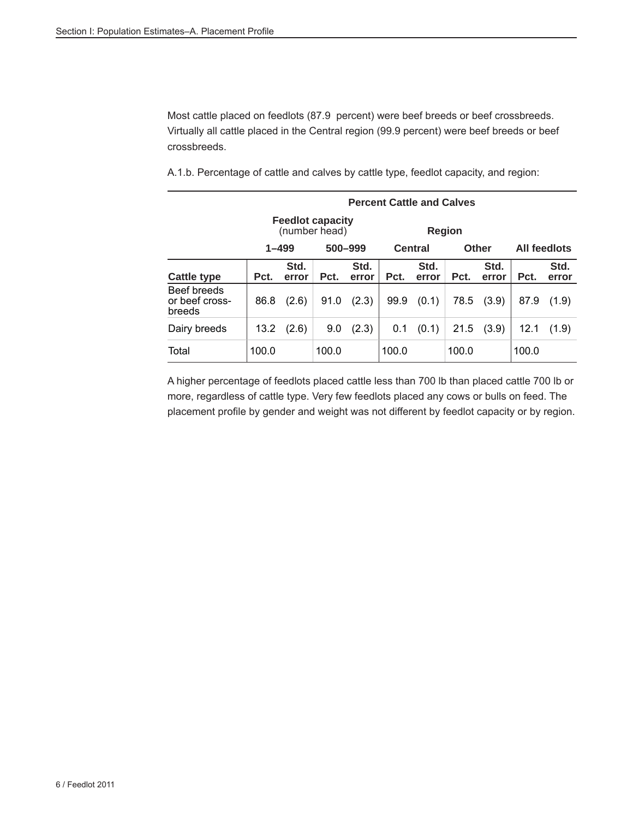Most cattle placed on feedlots (87.9 percent) were beef breeds or beef crossbreeds. Virtually all cattle placed in the Central region (99.9 percent) were beef breeds or beef crossbreeds.

**Percent Cattle and Calves Feedlot capacity** (number head) **Region 1–499 500–999 Central Other All feedlots** Cattle type | Pct. **Std.**  error | Pct. **Std.**  error | Pct. **Std.**  error Pct. **Std.**  error | Pct. **Std. error** Beef breeds or beef crossbreeds 86.8 (2.6) 91.0 (2.3) 99.9 (0.1) 78.5 (3.9) 87.9 (1.9) Dairy breeds | 13.2  $(2.6)$  | 9.0  $(2.3)$  | 0.1  $(0.1)$  | 21.5  $(3.9)$  | 12.1  $(1.9)$ Total 100.0 100.0 100.0 100.0 100.0

A.1.b. Percentage of cattle and calves by cattle type, feedlot capacity, and region:

A higher percentage of feedlots placed cattle less than 700 lb than placed cattle 700 lb or more, regardless of cattle type. Very few feedlots placed any cows or bulls on feed. The placement profile by gender and weight was not different by feedlot capacity or by region.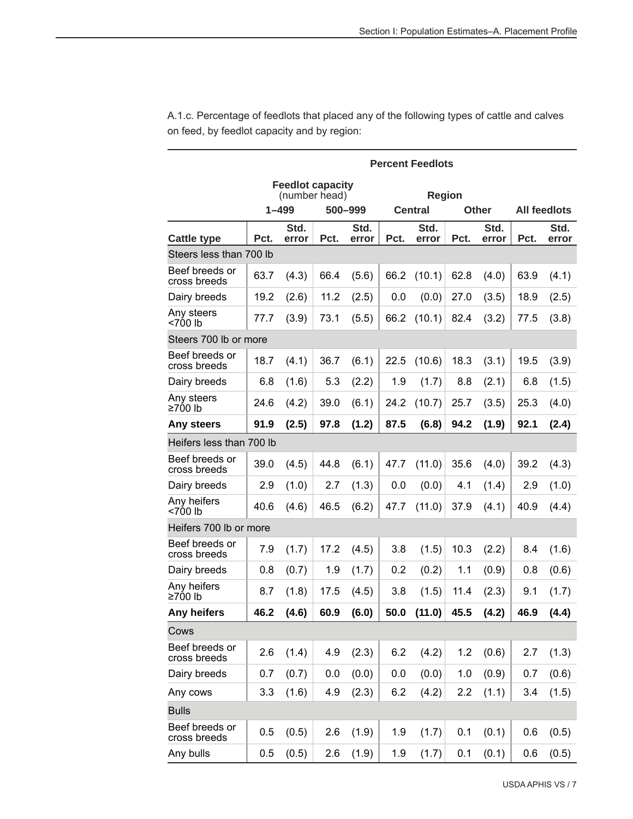|                                |      | <b>Percent Feedlots</b><br><b>Feedlot capacity</b> |      |               |      |                |      |               |      |                     |
|--------------------------------|------|----------------------------------------------------|------|---------------|------|----------------|------|---------------|------|---------------------|
|                                |      | (number head)                                      |      |               |      | <b>Region</b>  |      |               |      |                     |
|                                |      | $1 - 499$                                          |      | 500-999       |      | <b>Central</b> |      | <b>Other</b>  |      | <b>All feedlots</b> |
| <b>Cattle type</b>             | Pct. | Std.<br>error                                      | Pct. | Std.<br>error | Pct. | Std.<br>error  | Pct. | Std.<br>error | Pct. | Std.<br>error       |
| Steers less than 700 lb        |      |                                                    |      |               |      |                |      |               |      |                     |
| Beef breeds or<br>cross breeds | 63.7 | (4.3)                                              | 66.4 | (5.6)         | 66.2 | (10.1)         | 62.8 | (4.0)         | 63.9 | (4.1)               |
| Dairy breeds                   | 19.2 | (2.6)                                              | 11.2 | (2.5)         | 0.0  | (0.0)          | 27.0 | (3.5)         | 18.9 | (2.5)               |
| Any steers<br><700 lb          | 77.7 | (3.9)                                              | 73.1 | (5.5)         | 66.2 | (10.1)         | 82.4 | (3.2)         | 77.5 | (3.8)               |
| Steers 700 lb or more          |      |                                                    |      |               |      |                |      |               |      |                     |
| Beef breeds or<br>cross breeds | 18.7 | (4.1)                                              | 36.7 | (6.1)         | 22.5 | (10.6)         | 18.3 | (3.1)         | 19.5 | (3.9)               |
| Dairy breeds                   | 6.8  | (1.6)                                              | 5.3  | (2.2)         | 1.9  | (1.7)          | 8.8  | (2.1)         | 6.8  | (1.5)               |
| Any steers<br>≥700 lb          | 24.6 | (4.2)                                              | 39.0 | (6.1)         | 24.2 | (10.7)         | 25.7 | (3.5)         | 25.3 | (4.0)               |
| Any steers                     | 91.9 | (2.5)                                              | 97.8 | (1.2)         | 87.5 | (6.8)          | 94.2 | (1.9)         | 92.1 | (2.4)               |
| Heifers less than 700 lb       |      |                                                    |      |               |      |                |      |               |      |                     |
| Beef breeds or<br>cross breeds | 39.0 | (4.5)                                              | 44.8 | (6.1)         | 47.7 | (11.0)         | 35.6 | (4.0)         | 39.2 | (4.3)               |
| Dairy breeds                   | 2.9  | (1.0)                                              | 2.7  | (1.3)         | 0.0  | (0.0)          | 4.1  | (1.4)         | 2.9  | (1.0)               |
| Any heifers<br>$<$ 700 lb      | 40.6 | (4.6)                                              | 46.5 | (6.2)         | 47.7 | (11.0)         | 37.9 | (4.1)         | 40.9 | (4.4)               |
| Heifers 700 lb or more         |      |                                                    |      |               |      |                |      |               |      |                     |
| Beef breeds or<br>cross breeds | 7.9  | (1.7)                                              | 17.2 | (4.5)         | 3.8  | (1.5)          | 10.3 | (2.2)         | 8.4  | (1.6)               |
| Dairy breeds                   | 0.8  | (0.7)                                              | 1.9  | (1.7)         | 0.2  | (0.2)          | 1.1  | (0.9)         | 0.8  | (0.6)               |
| Any heifers<br>≥700 lb         | 8.7  | (1.8)                                              | 17.5 | (4.5)         | 3.8  | (1.5)          | 11.4 | (2.3)         | 9.1  | (1.7)               |
| Any heifers                    | 46.2 | (4.6)                                              | 60.9 | (6.0)         | 50.0 | (11.0)         | 45.5 | (4.2)         | 46.9 | (4.4)               |
| Cows                           |      |                                                    |      |               |      |                |      |               |      |                     |
| Beef breeds or<br>cross breeds | 2.6  | (1.4)                                              | 4.9  | (2.3)         | 6.2  | (4.2)          | 1.2  | (0.6)         | 2.7  | (1.3)               |
| Dairy breeds                   | 0.7  | (0.7)                                              | 0.0  | (0.0)         | 0.0  | (0.0)          | 1.0  | (0.9)         | 0.7  | (0.6)               |
| Any cows                       | 3.3  | (1.6)                                              | 4.9  | (2.3)         | 6.2  | (4.2)          | 2.2  | (1.1)         | 3.4  | (1.5)               |
| <b>Bulls</b>                   |      |                                                    |      |               |      |                |      |               |      |                     |
| Beef breeds or<br>cross breeds | 0.5  | (0.5)                                              | 2.6  | (1.9)         | 1.9  | (1.7)          | 0.1  | (0.1)         | 0.6  | (0.5)               |
| Any bulls                      | 0.5  | (0.5)                                              | 2.6  | (1.9)         | 1.9  | (1.7)          | 0.1  | (0.1)         | 0.6  | (0.5)               |

A.1.c. Percentage of feedlots that placed any of the following types of cattle and calves on feed, by feedlot capacity and by region: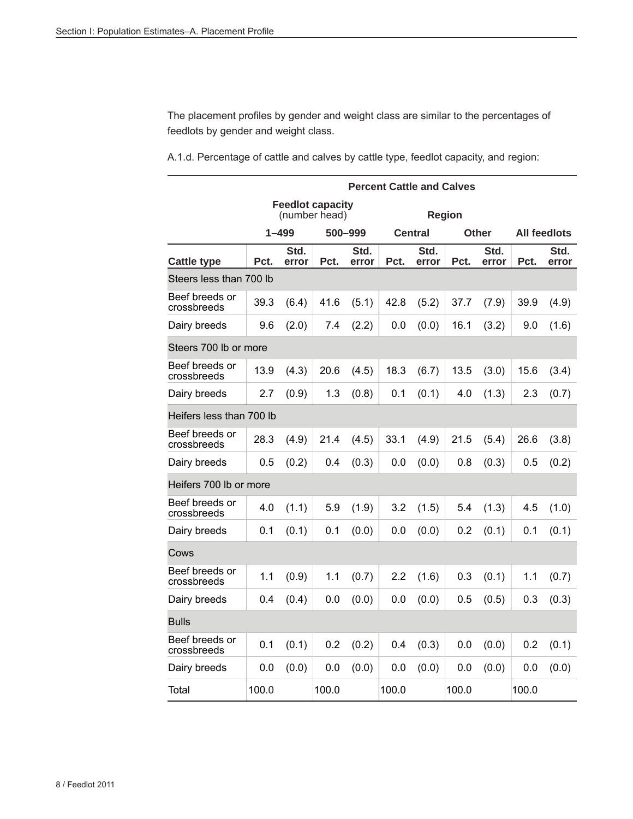The placement profiles by gender and weight class are similar to the percentages of feedlots by gender and weight class.

A.1.d. Percentage of cattle and calves by cattle type, feedlot capacity, and region:

|                               |       | <b>Percent Cattle and Calves</b>         |       |               |       |               |               |               |       |                     |  |  |
|-------------------------------|-------|------------------------------------------|-------|---------------|-------|---------------|---------------|---------------|-------|---------------------|--|--|
|                               |       | <b>Feedlot capacity</b><br>(number head) |       |               |       |               | <b>Region</b> |               |       |                     |  |  |
|                               |       | $1 - 499$                                |       | 500-999       |       | Central       |               | Other         |       | <b>All feedlots</b> |  |  |
| <b>Cattle type</b>            | Pct.  | Std.<br>error                            | Pct.  | Std.<br>error | Pct.  | Std.<br>error | Pct.          | Std.<br>error | Pct.  | Std.<br>error       |  |  |
| Steers less than 700 lb       |       |                                          |       |               |       |               |               |               |       |                     |  |  |
| Beef breeds or<br>crossbreeds | 39.3  | (6.4)                                    | 41.6  | (5.1)         | 42.8  | (5.2)         | 37.7          | (7.9)         | 39.9  | (4.9)               |  |  |
| Dairy breeds                  | 9.6   | (2.0)                                    | 7.4   | (2.2)         | 0.0   | (0.0)         | 16.1          | (3.2)         | 9.0   | (1.6)               |  |  |
| Steers 700 lb or more         |       |                                          |       |               |       |               |               |               |       |                     |  |  |
| Beef breeds or<br>crossbreeds | 13.9  | (4.3)                                    | 20.6  | (4.5)         | 18.3  | (6.7)         | 13.5          | (3.0)         | 15.6  | (3.4)               |  |  |
| Dairy breeds                  | 2.7   | (0.9)                                    | 1.3   | (0.8)         | 0.1   | (0.1)         | 4.0           | (1.3)         | 2.3   | (0.7)               |  |  |
| Heifers less than 700 lb      |       |                                          |       |               |       |               |               |               |       |                     |  |  |
| Beef breeds or<br>crossbreeds | 28.3  | (4.9)                                    | 21.4  | (4.5)         | 33.1  | (4.9)         | 21.5          | (5.4)         | 26.6  | (3.8)               |  |  |
| Dairy breeds                  | 0.5   | (0.2)                                    | 0.4   | (0.3)         | 0.0   | (0.0)         | 0.8           | (0.3)         | 0.5   | (0.2)               |  |  |
| Heifers 700 lb or more        |       |                                          |       |               |       |               |               |               |       |                     |  |  |
| Beef breeds or<br>crossbreeds | 4.0   | (1.1)                                    | 5.9   | (1.9)         | 3.2   | (1.5)         | 5.4           | (1.3)         | 4.5   | (1.0)               |  |  |
| Dairy breeds                  | 0.1   | (0.1)                                    | 0.1   | (0.0)         | 0.0   | (0.0)         | 0.2           | (0.1)         | 0.1   | (0.1)               |  |  |
| Cows                          |       |                                          |       |               |       |               |               |               |       |                     |  |  |
| Beef breeds or<br>crossbreeds | 1.1   | (0.9)                                    | 1.1   | (0.7)         | 2.2   | (1.6)         | 0.3           | (0.1)         | 1.1   | (0.7)               |  |  |
| Dairy breeds                  | 0.4   | (0.4)                                    | 0.0   | (0.0)         | 0.0   | (0.0)         | 0.5           | (0.5)         | 0.3   | (0.3)               |  |  |
| <b>Bulls</b>                  |       |                                          |       |               |       |               |               |               |       |                     |  |  |
| Beef breeds or<br>crossbreeds | 0.1   | (0.1)                                    | 0.2   | (0.2)         | 0.4   | (0.3)         | 0.0           | (0.0)         | 0.2   | (0.1)               |  |  |
| Dairy breeds                  | 0.0   | (0.0)                                    | 0.0   | (0.0)         | 0.0   | (0.0)         | 0.0           | (0.0)         | 0.0   | (0.0)               |  |  |
| Total                         | 100.0 |                                          | 100.0 |               | 100.0 |               | 100.0         |               | 100.0 |                     |  |  |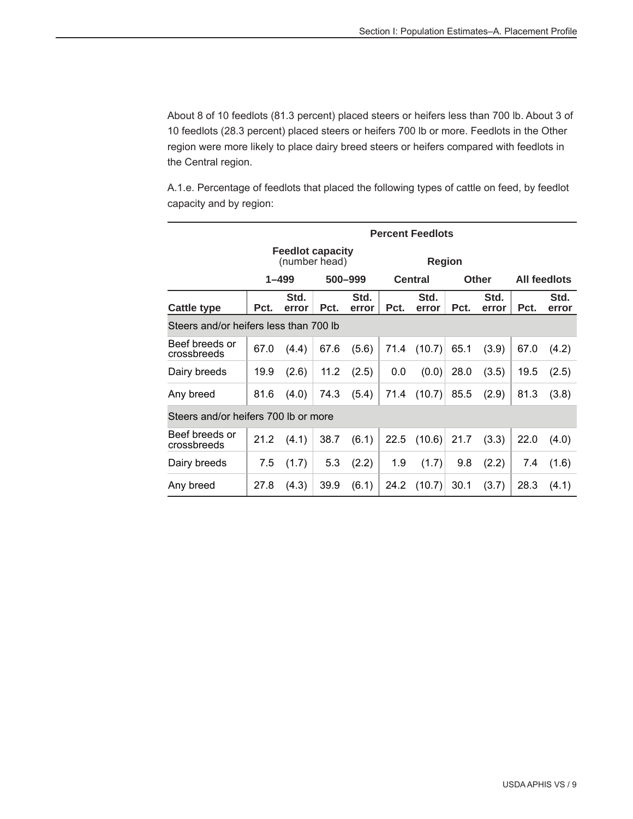About 8 of 10 feedlots (81.3 percent) placed steers or heifers less than 700 lb. About 3 of 10 feedlots (28.3 percent) placed steers or heifers 700 lb or more. Feedlots in the Other region were more likely to place dairy breed steers or heifers compared with feedlots in the Central region.

A.1.e. Percentage of feedlots that placed the following types of cattle on feed, by feedlot capacity and by region:

|                                        | <b>Percent Feedlots</b> |                                          |      |               |      |                |      |               |              |               |  |  |  |
|----------------------------------------|-------------------------|------------------------------------------|------|---------------|------|----------------|------|---------------|--------------|---------------|--|--|--|
|                                        |                         | <b>Feedlot capacity</b><br>(number head) |      |               |      | <b>Region</b>  |      |               |              |               |  |  |  |
|                                        |                         | $1 - 499$                                |      | $500 - 999$   |      | <b>Central</b> |      | Other         | All feedlots |               |  |  |  |
| <b>Cattle type</b>                     | Pct.                    | Std.<br>error                            | Pct. | Std.<br>error | Pct. | Std.<br>error  | Pct. | Std.<br>error | Pct.         | Std.<br>error |  |  |  |
| Steers and/or heifers less than 700 lb |                         |                                          |      |               |      |                |      |               |              |               |  |  |  |
| Beef breeds or<br>crossbreeds          | 67.0                    | (4.4)                                    | 67.6 | (5.6)         | 71.4 | (10.7)         | 65.1 | (3.9)         | 67.0         | (4.2)         |  |  |  |
| Dairy breeds                           | 19.9                    | (2.6)                                    | 11.2 | (2.5)         | 0.0  | (0.0)          | 28.0 | (3.5)         | 19.5         | (2.5)         |  |  |  |
| Any breed                              | 81.6                    | (4.0)                                    | 74.3 | (5.4)         | 71.4 | (10.7)         | 85.5 | (2.9)         | 81.3         | (3.8)         |  |  |  |
| Steers and/or heifers 700 lb or more   |                         |                                          |      |               |      |                |      |               |              |               |  |  |  |
| Beef breeds or<br>crossbreeds          | 21.2                    | (4.1)                                    | 38.7 | (6.1)         | 22.5 | (10.6)         | 21.7 | (3.3)         | 22.0         | (4.0)         |  |  |  |
| Dairy breeds                           | 7.5                     | (1.7)                                    | 5.3  | (2.2)         | 1.9  | (1.7)          | 9.8  | (2.2)         | 7.4          | (1.6)         |  |  |  |
| Any breed                              | 27.8                    | (4.3)                                    | 39.9 | (6.1)         | 24.2 | (10.7)         | 30.1 | (3.7)         | 28.3         | (4.1)         |  |  |  |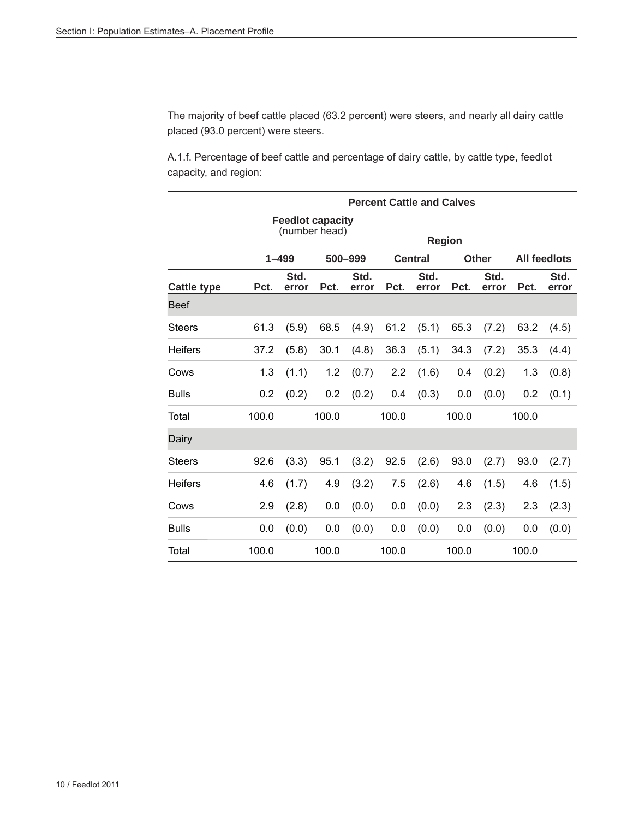The majority of beef cattle placed (63.2 percent) were steers, and nearly all dairy cattle placed (93.0 percent) were steers.

A.1.f. Percentage of beef cattle and percentage of dairy cattle, by cattle type, feedlot capacity, and region:

|                    | <b>Percent Cattle and Calves</b> |               |                                          |               |       |                |               |               |       |                     |  |  |  |
|--------------------|----------------------------------|---------------|------------------------------------------|---------------|-------|----------------|---------------|---------------|-------|---------------------|--|--|--|
|                    |                                  |               | <b>Feedlot capacity</b><br>(number head) |               |       |                | <b>Region</b> |               |       |                     |  |  |  |
|                    |                                  | $1 - 499$     |                                          | 500-999       |       | <b>Central</b> |               | <b>Other</b>  |       | <b>All feedlots</b> |  |  |  |
| <b>Cattle type</b> | Pct.                             | Std.<br>error | Pct.                                     | Std.<br>error | Pct.  | Std.<br>error  | Pct.          | Std.<br>error | Pct.  | Std.<br>error       |  |  |  |
| <b>Beef</b>        |                                  |               |                                          |               |       |                |               |               |       |                     |  |  |  |
| <b>Steers</b>      | 61.3                             | (5.9)         | 68.5                                     | (4.9)         | 61.2  | (5.1)          | 65.3          | (7.2)         | 63.2  | (4.5)               |  |  |  |
| <b>Heifers</b>     | 37.2                             | (5.8)         | 30.1                                     | (4.8)         | 36.3  | (5.1)          | 34.3          | (7.2)         | 35.3  | (4.4)               |  |  |  |
| Cows               | 1.3                              | (1.1)         | 1.2                                      | (0.7)         | 2.2   | (1.6)          | 0.4           | (0.2)         | 1.3   | (0.8)               |  |  |  |
| <b>Bulls</b>       | 0.2                              | (0.2)         | 0.2                                      | (0.2)         | 0.4   | (0.3)          | 0.0           | (0.0)         | 0.2   | (0.1)               |  |  |  |
| Total              | 100.0                            |               | 100.0                                    |               | 100.0 |                | 100.0         |               | 100.0 |                     |  |  |  |
| Dairy              |                                  |               |                                          |               |       |                |               |               |       |                     |  |  |  |
| <b>Steers</b>      | 92.6                             | (3.3)         | 95.1                                     | (3.2)         | 92.5  | (2.6)          | 93.0          | (2.7)         | 93.0  | (2.7)               |  |  |  |
| <b>Heifers</b>     | 4.6                              | (1.7)         | 4.9                                      | (3.2)         | 7.5   | (2.6)          | 4.6           | (1.5)         | 4.6   | (1.5)               |  |  |  |
| Cows               | 2.9                              | (2.8)         | 0.0                                      | (0.0)         | 0.0   | (0.0)          | 2.3           | (2.3)         | 2.3   | (2.3)               |  |  |  |
| <b>Bulls</b>       | 0.0                              | (0.0)         | 0.0                                      | (0.0)         | 0.0   | (0.0)          | 0.0           | (0.0)         | 0.0   | (0.0)               |  |  |  |
| Total              | 100.0                            |               | 100.0                                    |               | 100.0 |                | 100.0         |               | 100.0 |                     |  |  |  |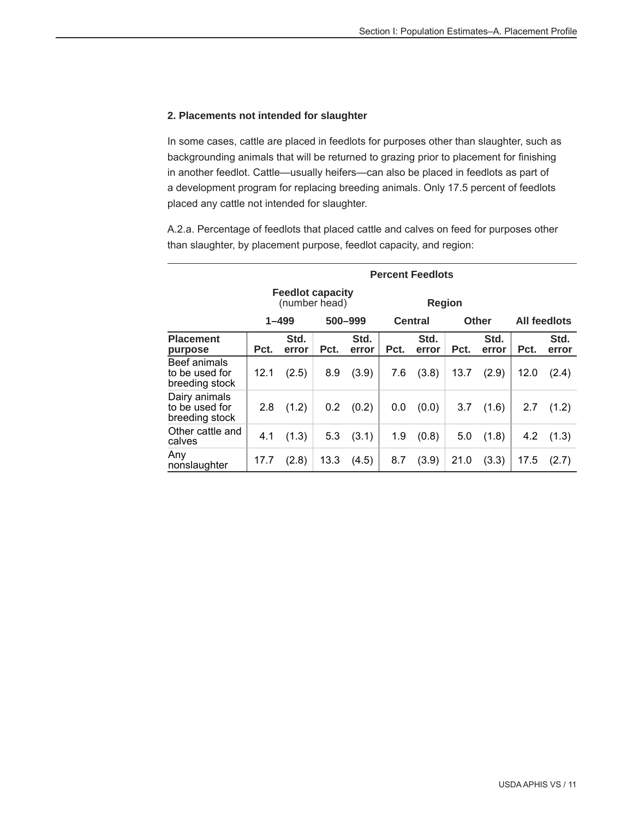# **2. Placements not intended for slaughter**

In some cases, cattle are placed in feedlots for purposes other than slaughter, such as backgrounding animals that will be returned to grazing prior to placement for finishing in another feedlot. Cattle—usually heifers—can also be placed in feedlots as part of a development program for replacing breeding animals. Only 17.5 percent of feedlots placed any cattle not intended for slaughter.

A.2.a. Percentage of feedlots that placed cattle and calves on feed for purposes other than slaughter, by placement purpose, feedlot capacity, and region:

|                                                   | <b>Percent Feedlots</b> |                                          |      |               |      |                |      |               |              |               |  |  |  |
|---------------------------------------------------|-------------------------|------------------------------------------|------|---------------|------|----------------|------|---------------|--------------|---------------|--|--|--|
|                                                   |                         | <b>Feedlot capacity</b><br>(number head) |      |               |      | <b>Region</b>  |      |               |              |               |  |  |  |
|                                                   |                         | $1 - 499$                                |      | 500-999       |      | <b>Central</b> |      | Other         | All feedlots |               |  |  |  |
| <b>Placement</b><br>purpose                       | Pct.                    | Std.<br>error                            | Pct. | Std.<br>error | Pct. | Std.<br>error  | Pct. | Std.<br>error | Pct.         | Std.<br>error |  |  |  |
| Beef animals<br>to be used for<br>breeding stock  | 12.1                    | (2.5)                                    | 8.9  | (3.9)         | 7.6  | (3.8)          | 13.7 | (2.9)         | 12.0         | (2.4)         |  |  |  |
| Dairy animals<br>to be used for<br>breeding stock | 2.8                     | (1.2)                                    | 0.2  | (0.2)         | 0.0  | (0.0)          | 3.7  | (1.6)         | 2.7          | (1.2)         |  |  |  |
| Other cattle and<br>calves                        | 4.1                     | (1.3)                                    | 5.3  | (3.1)         | 1.9  | (0.8)          | 5.0  | (1.8)         | 4.2          | (1.3)         |  |  |  |
| Any<br>nonslaughter                               | 17.7                    | (2.8)                                    | 13.3 | (4.5)         | 8.7  | (3.9)          | 21.0 | (3.3)         | 17.5         | (2.7)         |  |  |  |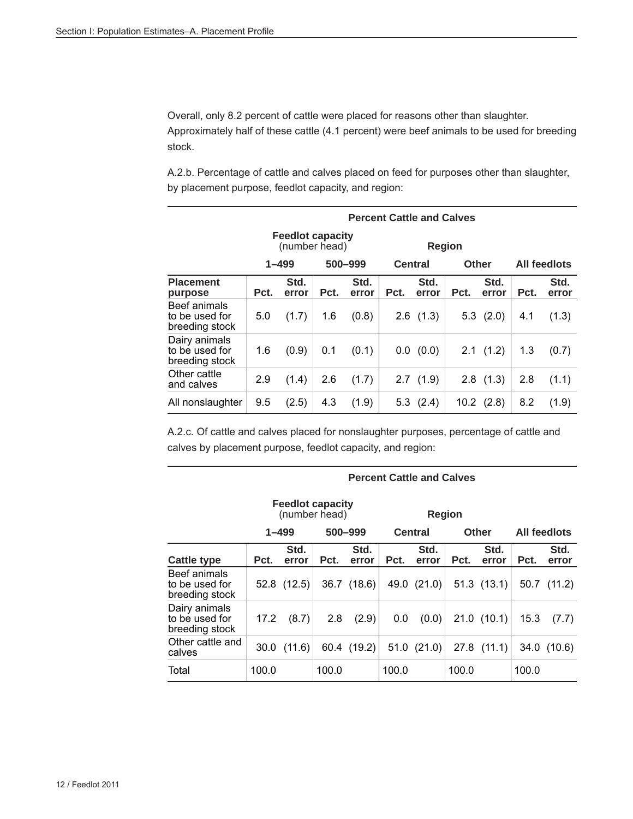Overall, only 8.2 percent of cattle were placed for reasons other than slaughter. Approximately half of these cattle (4.1 percent) were beef animals to be used for breeding stock.

A.2.b. Percentage of cattle and calves placed on feed for purposes other than slaughter, by placement purpose, feedlot capacity, and region:

|                                                   |      | <b>Percent Cattle and Calves</b>         |      |               |                |               |               |                |      |               |  |  |  |  |
|---------------------------------------------------|------|------------------------------------------|------|---------------|----------------|---------------|---------------|----------------|------|---------------|--|--|--|--|
|                                                   |      | <b>Feedlot capacity</b><br>(number head) |      |               |                |               | <b>Region</b> |                |      |               |  |  |  |  |
|                                                   |      | $1 - 499$                                |      | $500 - 999$   | <b>Central</b> |               | Other         |                |      | All feedlots  |  |  |  |  |
| <b>Placement</b><br>purpose                       | Pct. | Std.<br>error                            | Pct. | Std.<br>error | Pct.           | Std.<br>error | Pct.          | Std.<br>error  | Pct. | Std.<br>error |  |  |  |  |
| Beef animals<br>to be used for<br>breeding stock  | 5.0  | (1.7)                                    | 1.6  | (0.8)         |                | $2.6$ $(1.3)$ |               | $5.3$ $(2.0)$  | 4.1  | (1.3)         |  |  |  |  |
| Dairy animals<br>to be used for<br>breeding stock | 1.6  | (0.9)                                    | 0.1  | (0.1)         |                | 0.0 (0.0)     |               | 2.1(1.2)       | 1.3  | (0.7)         |  |  |  |  |
| Other cattle<br>and calves                        | 2.9  | (1.4)                                    | 2.6  | (1.7)         |                | 2.7(1.9)      |               | 2.8(1.3)       | 2.8  | (1.1)         |  |  |  |  |
| All nonslaughter                                  | 9.5  | (2.5)                                    | 4.3  | (1.9)         |                | $5.3$ $(2.4)$ |               | $10.2$ $(2.8)$ | 8.2  | (1.9)         |  |  |  |  |

A.2.c. Of cattle and calves placed for nonslaughter purposes, percentage of cattle and calves by placement purpose, feedlot capacity, and region:

|                                                   |       |                                          |       |               |       | <b>Percent Cattle and Calves</b> |               |               |       |                     |
|---------------------------------------------------|-------|------------------------------------------|-------|---------------|-------|----------------------------------|---------------|---------------|-------|---------------------|
|                                                   |       | <b>Feedlot capacity</b><br>(number head) |       |               |       |                                  | <b>Region</b> |               |       |                     |
|                                                   |       | $1 - 499$                                |       | 500-999       |       | <b>Central</b>                   |               | Other         |       | <b>All feedlots</b> |
| <b>Cattle type</b>                                | Pct.  | Std.<br>error                            | Pct.  | Std.<br>error | Pct.  | Std.<br>error                    | Pct.          | Std.<br>error | Pct.  | Std.<br>error       |
| Beef animals<br>to be used for<br>breeding stock  |       | 52.8 (12.5)                              |       | $36.7$ (18.6) |       | 49.0 (21.0)                      |               | $51.3$ (13.1) |       | 50.7 (11.2)         |
| Dairy animals<br>to be used for<br>breeding stock | 17.2  | (8.7)                                    | 2.8   | (2.9)         | 0.0   | (0.0)                            |               | $21.0$ (10.1) | 15.3  | (7.7)               |
| Other cattle and<br>calves                        | 30.0  | (11.6)                                   |       | 60.4 $(19.2)$ |       | $51.0$ $(21.0)$                  |               | $27.8$ (11.1) |       | 34.0 (10.6)         |
| Total                                             | 100.0 |                                          | 100.0 |               | 100.0 |                                  | 100.0         |               | 100.0 |                     |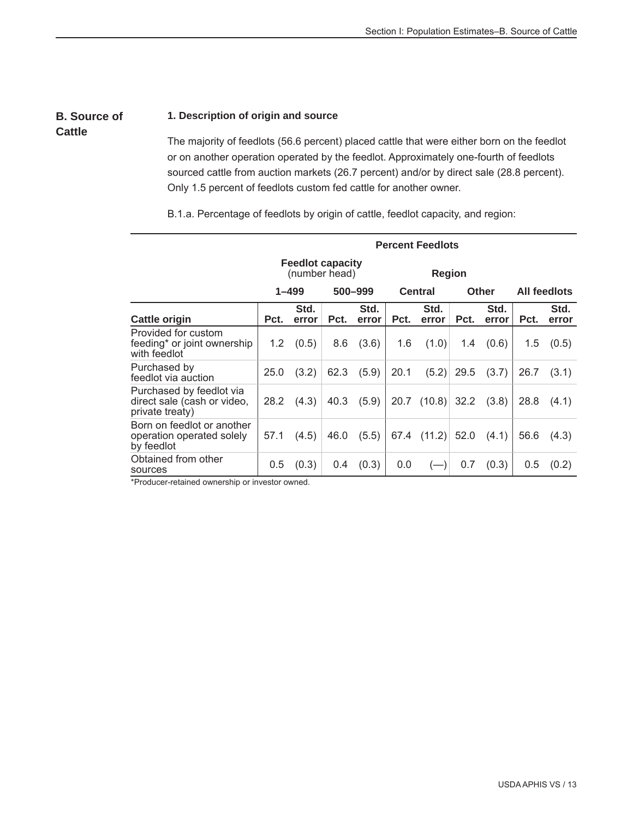### <span id="page-20-0"></span>**1. Description of origin and source B. Source of**

**Cattle**

The majority of feedlots (56.6 percent) placed cattle that were either born on the feedlot or on another operation operated by the feedlot. Approximately one-fourth of feedlots sourced cattle from auction markets (26.7 percent) and/or by direct sale (28.8 percent). Only 1.5 percent of feedlots custom fed cattle for another owner.

B.1.a. Percentage of feedlots by origin of cattle, feedlot capacity, and region:

|                                                                            |                  |                                          |      |               |      | <b>Percent Feedlots</b>  |      |               |      |               |
|----------------------------------------------------------------------------|------------------|------------------------------------------|------|---------------|------|--------------------------|------|---------------|------|---------------|
|                                                                            |                  | <b>Feedlot capacity</b><br>(number head) |      |               |      | <b>Region</b>            |      |               |      |               |
|                                                                            |                  | $1 - 499$                                |      | $500 - 999$   |      | <b>Central</b>           |      | <b>Other</b>  |      | All feedlots  |
| <b>Cattle origin</b>                                                       | Pct.             | Std.<br>error                            | Pct. | Std.<br>error | Pct. | Std.<br>error            | Pct. | Std.<br>error | Pct. | Std.<br>error |
| Provided for custom<br>feeding* or joint ownership<br>with feedlot         | 1.2 <sub>2</sub> | (0.5)                                    | 8.6  | (3.6)         | 1.6  | (1.0)                    | 1.4  | (0.6)         | 1.5  | (0.5)         |
| Purchased by<br>feedlot via auction                                        | 25.0             | (3.2)                                    | 62.3 | (5.9)         | 20.1 | (5.2)                    | 29.5 | (3.7)         | 26.7 | (3.1)         |
| Purchased by feedlot via<br>direct sale (cash or video,<br>private treaty) | 28.2             | (4.3)                                    | 40.3 | (5.9)         |      | $20.7$ (10.8) 32.2 (3.8) |      |               | 28.8 | (4.1)         |
| Born on feedlot or another<br>operation operated solely<br>by feedlot      | 57.1             | (4.5)                                    | 46.0 | (5.5)         |      | $67.4$ $(11.2)$          | 52.0 | (4.1)         | 56.6 | (4.3)         |
| Obtained from other<br>sources                                             | 0.5              | (0.3)                                    | 0.4  | (0.3)         | 0.0  | $(-)$                    | 0.7  | (0.3)         | 0.5  | (0.2)         |

\*Producer-retained ownership or investor owned.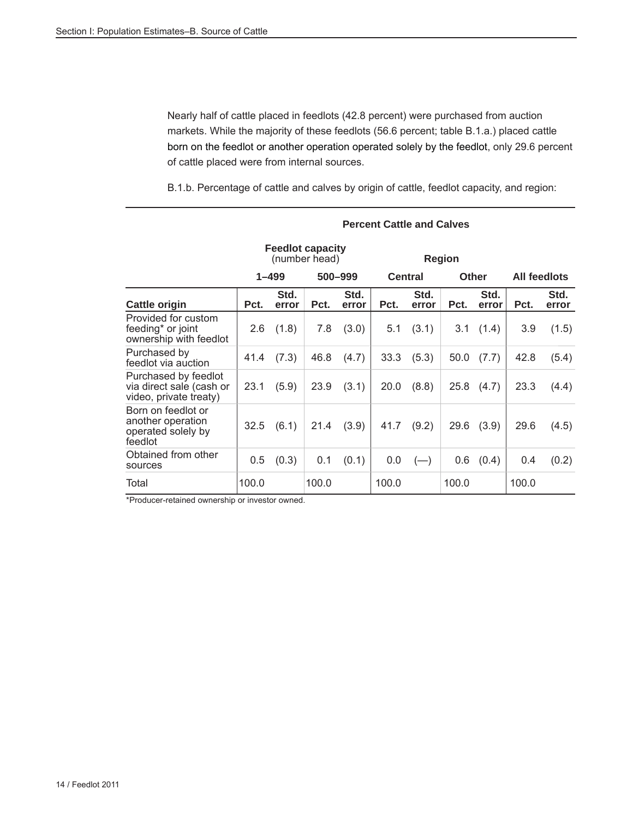Nearly half of cattle placed in feedlots (42.8 percent) were purchased from auction markets. While the majority of these feedlots (56.6 percent; table B.1.a.) placed cattle born on the feedlot or another operation operated solely by the feedlot, only 29.6 percent of cattle placed were from internal sources.

B.1.b. Percentage of cattle and calves by origin of cattle, feedlot capacity, and region:

|                                                                            |       |               |                                          |               | <b>Percent Cattle and Calves</b> |                |               |               |       |               |
|----------------------------------------------------------------------------|-------|---------------|------------------------------------------|---------------|----------------------------------|----------------|---------------|---------------|-------|---------------|
|                                                                            |       |               | <b>Feedlot capacity</b><br>(number head) |               |                                  |                | <b>Region</b> |               |       |               |
|                                                                            |       | $1 - 499$     |                                          | 500-999       |                                  | <b>Central</b> |               | <b>Other</b>  |       | All feedlots  |
| <b>Cattle origin</b>                                                       | Pct.  | Std.<br>error | Pct.                                     | Std.<br>error | Pct.                             | Std.<br>error  | Pct.          | Std.<br>error | Pct.  | Std.<br>error |
| Provided for custom<br>feeding* or joint<br>ownership with feedlot         | 2.6   | (1.8)         | 7.8                                      | (3.0)         | 5.1                              | (3.1)          | 3.1           | (1.4)         | 3.9   | (1.5)         |
| Purchased by<br>feedlot via auction                                        | 41.4  | (7.3)         | 46.8                                     | (4.7)         | 33.3                             | (5.3)          | 50.0          | (7.7)         | 42.8  | (5.4)         |
| Purchased by feedlot<br>via direct sale (cash or<br>video, private treaty) | 23.1  | (5.9)         | 23.9                                     | (3.1)         | 20.0                             | (8.8)          | 25.8          | (4.7)         | 23.3  | (4.4)         |
| Born on feedlot or<br>another operation<br>operated solely by<br>feedlot   | 32.5  | (6.1)         | 21.4                                     | (3.9)         | 41.7                             | (9.2)          | 29.6          | (3.9)         | 29.6  | (4.5)         |
| Obtained from other<br>sources                                             | 0.5   | (0.3)         | 0.1                                      | (0.1)         | 0.0                              | $(-)$          | 0.6           | (0.4)         | 0.4   | (0.2)         |
| Total                                                                      | 100.0 |               | 100.0                                    |               | 100.0                            |                | 100.0         |               | 100.0 |               |

\*Producer-retained ownership or investor owned.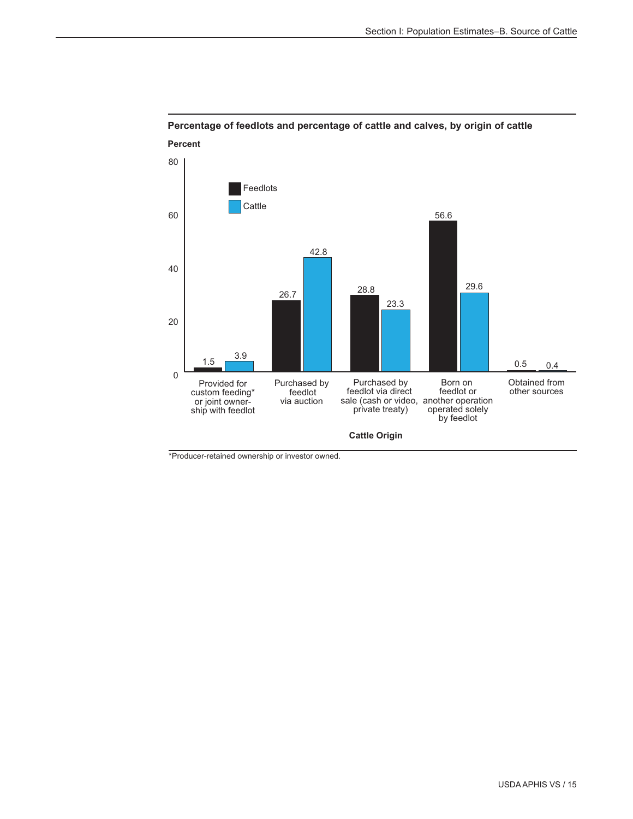

# **Percentage of feedlots and percentage of cattle and calves, by origin of cattle**

\*Producer-retained ownership or investor owned.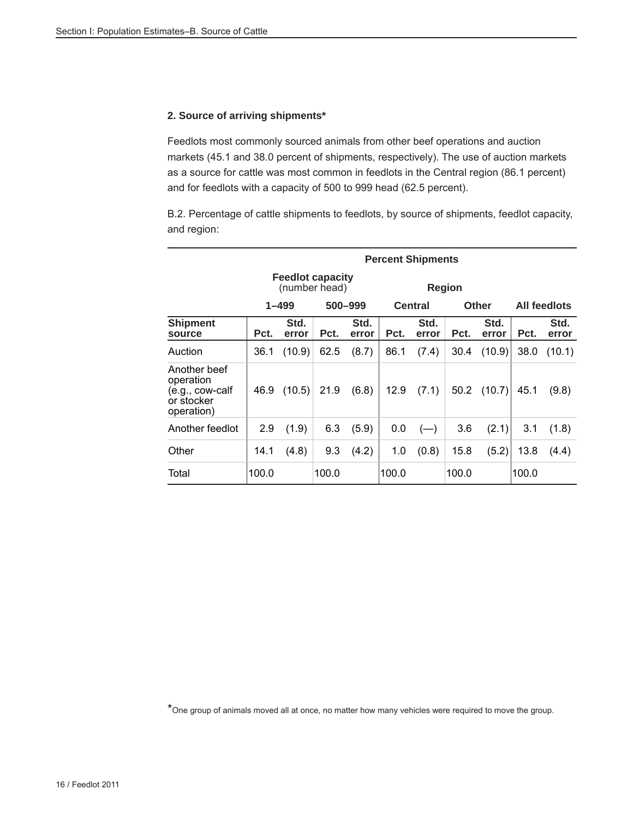# **2. Source of arriving shipments\***

Feedlots most commonly sourced animals from other beef operations and auction markets (45.1 and 38.0 percent of shipments, respectively). The use of auction markets as a source for cattle was most common in feedlots in the Central region (86.1 percent) and for feedlots with a capacity of 500 to 999 head (62.5 percent).

B.2. Percentage of cattle shipments to feedlots, by source of shipments, feedlot capacity, and region:

| <b>Percent Shipments</b>                                                 |       |                                          |       |               |       |                |               |               |              |               |  |  |
|--------------------------------------------------------------------------|-------|------------------------------------------|-------|---------------|-------|----------------|---------------|---------------|--------------|---------------|--|--|
|                                                                          |       | <b>Feedlot capacity</b><br>(number head) |       |               |       |                | <b>Region</b> |               |              |               |  |  |
|                                                                          |       | $1 - 499$                                |       | 500-999       |       | <b>Central</b> |               | <b>Other</b>  | All feedlots |               |  |  |
| <b>Shipment</b><br>source                                                | Pct.  | Std.<br>error                            | Pct.  | Std.<br>error | Pct.  | Std.<br>error  | Pct.          | Std.<br>error | Pct.         | Std.<br>error |  |  |
| Auction                                                                  | 36.1  | (10.9)                                   | 62.5  | (8.7)         | 86.1  | (7.4)          | 30.4          | (10.9)        | 38.0         | (10.1)        |  |  |
| Another beef<br>operation<br>(e.g., cow-calf<br>or stocker<br>operation) |       | 46.9 (10.5)                              | 21.9  | (6.8)         | 12.9  | (7.1)          |               | 50.2 (10.7)   | 45.1         | (9.8)         |  |  |
| Another feedlot                                                          | 2.9   | (1.9)                                    | 6.3   | (5.9)         | 0.0   | $(-)$          | 3.6           | (2.1)         | 3.1          | (1.8)         |  |  |
| Other                                                                    | 14.1  | (4.8)                                    | 9.3   | (4.2)         | 1.0   | (0.8)          | 15.8          | (5.2)         | 13.8         | (4.4)         |  |  |
| Total                                                                    | 100.0 |                                          | 100.0 |               | 100.0 |                | 100.0         |               | 100.0        |               |  |  |

\*One group of animals moved all at once, no matter how many vehicles were required to move the group.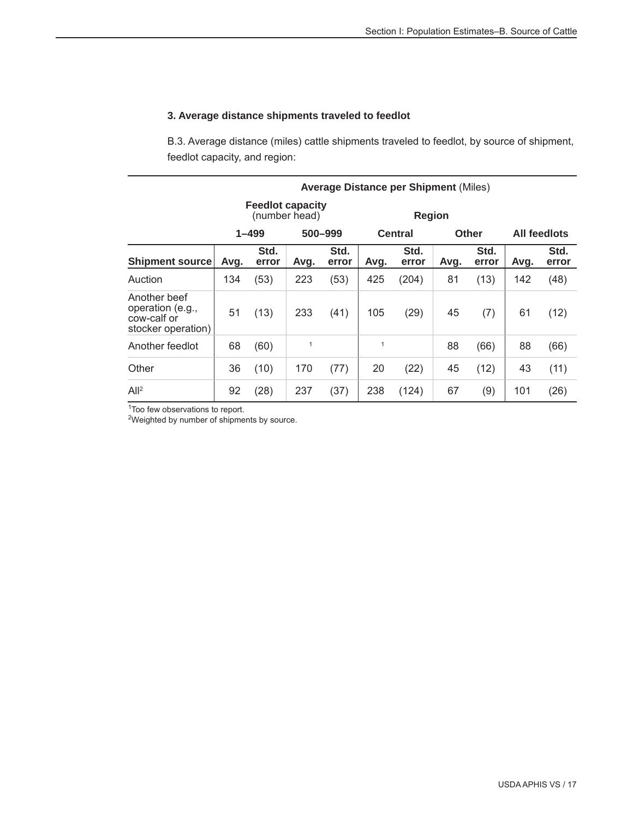# **3. Average distance shipments traveled to feedlot**

B.3. Average distance (miles) cattle shipments traveled to feedlot, by source of shipment, feedlot capacity, and region:

| <b>Average Distance per Shipment (Miles)</b>                          |      |                         |               |               |              |                |              |               |      |               |
|-----------------------------------------------------------------------|------|-------------------------|---------------|---------------|--------------|----------------|--------------|---------------|------|---------------|
|                                                                       |      | <b>Feedlot capacity</b> | (number head) |               |              | <b>Region</b>  |              |               |      |               |
|                                                                       |      | $1 - 499$               |               | $500 - 999$   |              | <b>Central</b> | <b>Other</b> | All feedlots  |      |               |
| <b>Shipment source</b>                                                | Avg. | Std.<br>error           | Avg.          | Std.<br>error | Avq.         | Std.<br>error  | Avg.         | Std.<br>error | Avq. | Std.<br>error |
| Auction                                                               | 134  | (53)                    | 223           | (53)          | 425          | (204)          | 81           | (13)          | 142  | (48)          |
| Another beef<br>operation (e.g.,<br>cow-calf or<br>stocker operation) | 51   | (13)                    | 233           | (41)          | 105          | (29)           | 45           | (7)           | 61   | (12)          |
| Another feedlot                                                       | 68   | (60)                    | $\mathbf{1}$  |               | $\mathbf{1}$ |                | 88           | (66)          | 88   | (66)          |
| Other                                                                 | 36   | (10)                    | 170           | (77)          | 20           | (22)           | 45           | (12)          | 43   | (11)          |
| All <sup>2</sup>                                                      | 92   | (28)                    | 237           | (37)          | 238          | (124)          | 67           | (9)           | 101  | (26)          |

 $17$ oo few observations to report.<br><sup>2</sup>Weighted by number of shipments by source.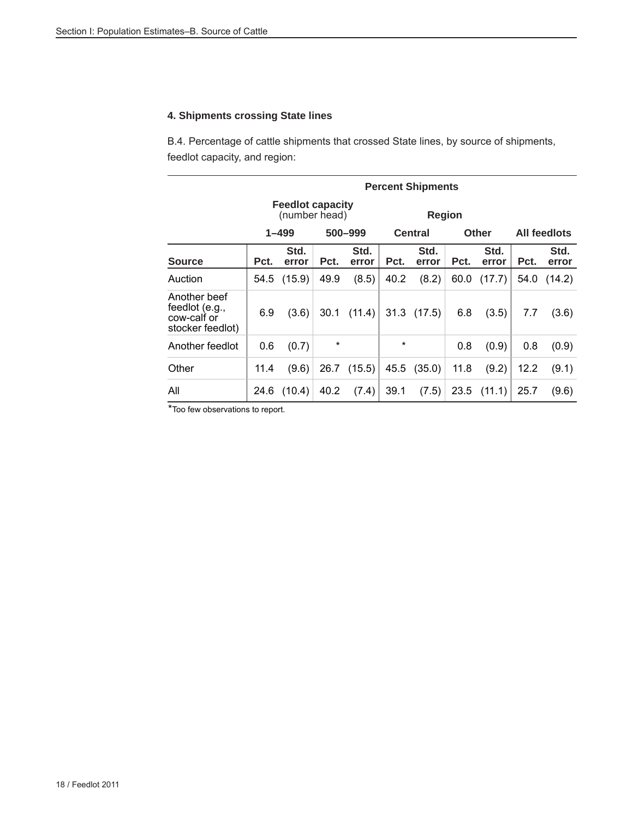# **4. Shipments crossing State lines**

B.4. Percentage of cattle shipments that crossed State lines, by source of shipments, feedlot capacity, and region:

|                                                                   | <b>Percent Shipments</b> |               |         |               |         |                 |      |               |      |               |  |  |  |
|-------------------------------------------------------------------|--------------------------|---------------|---------|---------------|---------|-----------------|------|---------------|------|---------------|--|--|--|
|                                                                   | <b>Feedlot capacity</b>  |               |         |               |         |                 |      |               |      |               |  |  |  |
|                                                                   |                          | $1 - 499$     |         | $500 - 999$   |         | <b>Central</b>  |      | Other         |      | All feedlots  |  |  |  |
| <b>Source</b>                                                     | Pct.                     | Std.<br>error | Pct.    | Std.<br>error | Pct.    | Std.<br>error   | Pct. | Std.<br>error | Pct. | Std.<br>error |  |  |  |
| Auction                                                           | 54.5                     | (15.9)        | 49.9    | (8.5)         | 40.2    | (8.2)           | 60.0 | (17.7)        | 54.0 | (14.2)        |  |  |  |
| Another beef<br>feedlot (e.g.,<br>cow-calf or<br>stocker feedlot) | 6.9                      | (3.6)         | 30.1    | (11.4)        |         | $31.3$ $(17.5)$ | 6.8  | (3.5)         | 7.7  | (3.6)         |  |  |  |
| Another feedlot                                                   | 0.6                      | (0.7)         | $\star$ |               | $\star$ |                 | 0.8  | (0.9)         | 0.8  | (0.9)         |  |  |  |
| Other                                                             | 11.4                     | (9.6)         | 26.7    | (15.5)        | 45.5    | (35.0)          | 11.8 | (9.2)         | 12.2 | (9.1)         |  |  |  |
| All                                                               | 24.6                     | (10.4)        | 40.2    | (7.4)         | 39.1    | (7.5)           | 23.5 | (11.1)        | 25.7 | (9.6)         |  |  |  |

\*Too few observations to report.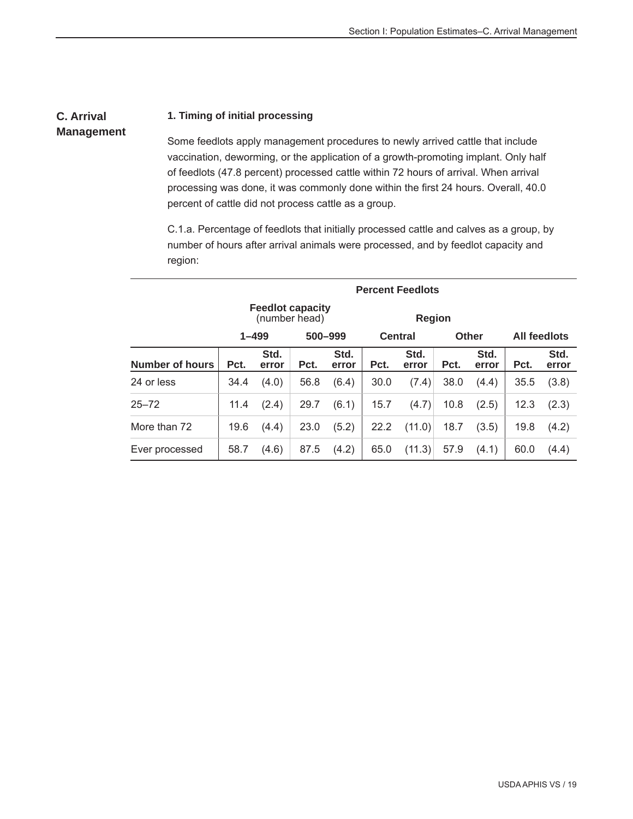# **1. Timing of initial processing**

**Management**

<span id="page-26-0"></span>**C. Arrival** 

Some feedlots apply management procedures to newly arrived cattle that include vaccination, deworming, or the application of a growth-promoting implant. Only half of feedlots (47.8 percent) processed cattle within 72 hours of arrival. When arrival processing was done, it was commonly done within the first 24 hours. Overall, 40.0 percent of cattle did not process cattle as a group.

C.1.a. Percentage of feedlots that initially processed cattle and calves as a group, by number of hours after arrival animals were processed, and by feedlot capacity and region:

|                 | <b>Percent Feedlots</b> |                         |               |               |      |                         |      |               |      |               |  |  |
|-----------------|-------------------------|-------------------------|---------------|---------------|------|-------------------------|------|---------------|------|---------------|--|--|
|                 |                         | <b>Feedlot capacity</b> | (number head) |               |      | <b>Region</b>           |      |               |      |               |  |  |
|                 |                         | $1 - 499$               |               | 500-999       |      | <b>Central</b><br>Other |      |               |      | All feedlots  |  |  |
| Number of hours | Pct.                    | Std.<br>error           | Pct.          | Std.<br>error | Pct. | Std.<br>error           | Pct. | Std.<br>error | Pct. | Std.<br>error |  |  |
| 24 or less      | 34.4                    | (4.0)                   | 56.8          | (6.4)         | 30.0 | (7.4)                   | 38.0 | (4.4)         | 35.5 | (3.8)         |  |  |
| $25 - 72$       | 11.4                    | (2.4)                   | 29.7          | (6.1)         | 15.7 | (4.7)                   | 10.8 | (2.5)         | 12.3 | (2.3)         |  |  |
| More than 72    | 19.6                    | (4.4)                   | 23.0          | (5.2)         | 22.2 | (11.0)                  | 18.7 | (3.5)         | 19.8 | (4.2)         |  |  |
| Ever processed  | 58.7                    | (4.6)                   | 87.5          | (4.2)         | 65.0 | (11.3)                  | 57.9 | (4.1)         | 60.0 | (4.4)         |  |  |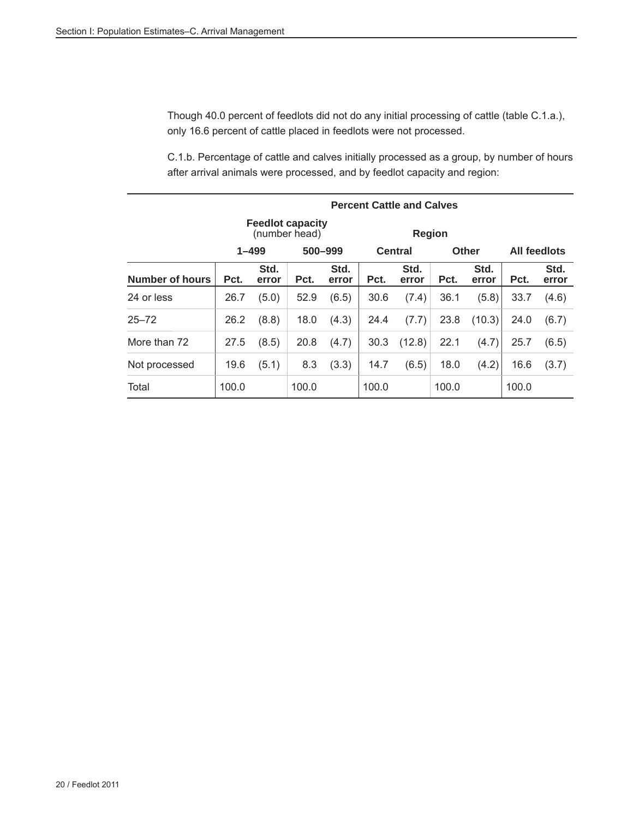Though 40.0 percent of feedlots did not do any initial processing of cattle (table C.1.a.), only 16.6 percent of cattle placed in feedlots were not processed.

C.1.b. Percentage of cattle and calves initially processed as a group, by number of hours after arrival animals were processed, and by feedlot capacity and region:

|                 |                                                           | <b>Percent Cattle and Calves</b> |       |               |       |                |                     |               |       |               |  |  |  |
|-----------------|-----------------------------------------------------------|----------------------------------|-------|---------------|-------|----------------|---------------------|---------------|-------|---------------|--|--|--|
|                 | <b>Feedlot capacity</b><br>(number head)<br><b>Region</b> |                                  |       |               |       |                |                     |               |       |               |  |  |  |
|                 | $1 - 499$                                                 |                                  |       | 500-999       |       | <b>Central</b> | <b>All feedlots</b> |               |       |               |  |  |  |
| Number of hours | Pct.                                                      | Std.<br>error                    | Pct.  | Std.<br>error | Pct.  | Std.<br>error  | Pct.                | Std.<br>error | Pct.  | Std.<br>error |  |  |  |
| 24 or less      | 26.7                                                      | (5.0)                            | 52.9  | (6.5)         | 30.6  | (7.4)          | 36.1                | (5.8)         | 33.7  | (4.6)         |  |  |  |
| $25 - 72$       | 26.2                                                      | (8.8)                            | 18.0  | (4.3)         | 24.4  | (7.7)          | 23.8                | (10.3)        | 24.0  | (6.7)         |  |  |  |
| More than 72    | 27.5                                                      | (8.5)                            | 20.8  | (4.7)         | 30.3  | (12.8)         | 22.1                | (4.7)         | 25.7  | (6.5)         |  |  |  |
| Not processed   | 19.6                                                      | (5.1)                            | 8.3   | (3.3)         | 14.7  | (6.5)          | 18.0                | (4.2)         | 16.6  | (3.7)         |  |  |  |
| Total           | 100.0                                                     |                                  | 100.0 |               | 100.0 |                | 100.0               |               | 100.0 |               |  |  |  |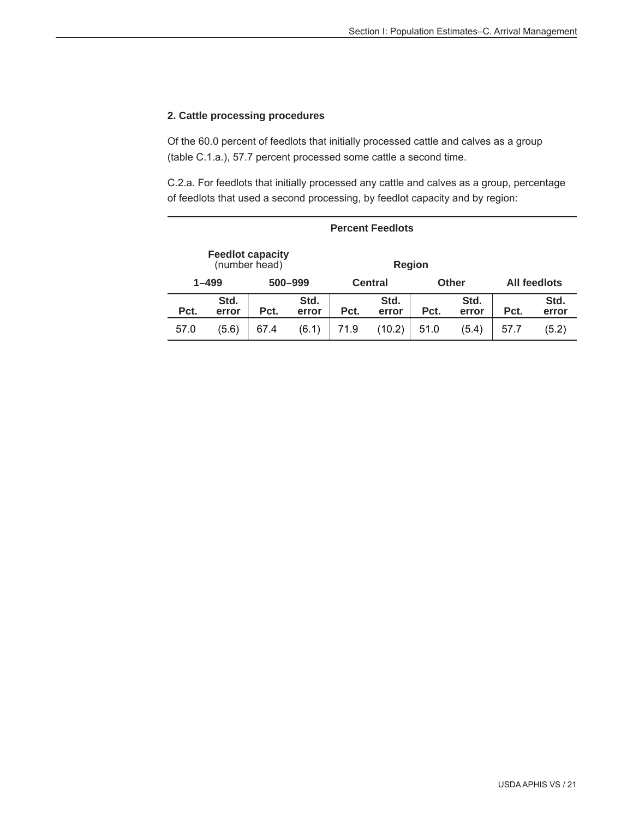# **2. Cattle processing procedures**

Of the 60.0 percent of feedlots that initially processed cattle and calves as a group (table C.1.a.), 57.7 percent processed some cattle a second time.

C.2.a. For feedlots that initially processed any cattle and calves as a group, percentage of feedlots that used a second processing, by feedlot capacity and by region:

|                                                                                    | <b>Percent Feedlots</b> |      |               |      |                |      |               |      |               |  |  |
|------------------------------------------------------------------------------------|-------------------------|------|---------------|------|----------------|------|---------------|------|---------------|--|--|
| <b>Feedlot capacity</b><br>(number head)<br><b>Region</b>                          |                         |      |               |      |                |      |               |      |               |  |  |
|                                                                                    | $1 - 499$               |      | $500 - 999$   |      | <b>Central</b> |      | Other         |      | All feedlots  |  |  |
| Pct.                                                                               | Std.<br>error           | Pct. | Std.<br>error | Pct. | Std.<br>error  | Pct. | Std.<br>error | Pct. | Std.<br>error |  |  |
| 57.0<br>(10.2)<br>(5.2)<br>67.4<br>(6.1)<br>71.9<br>51.0<br>(5.4)<br>57.7<br>(5.6) |                         |      |               |      |                |      |               |      |               |  |  |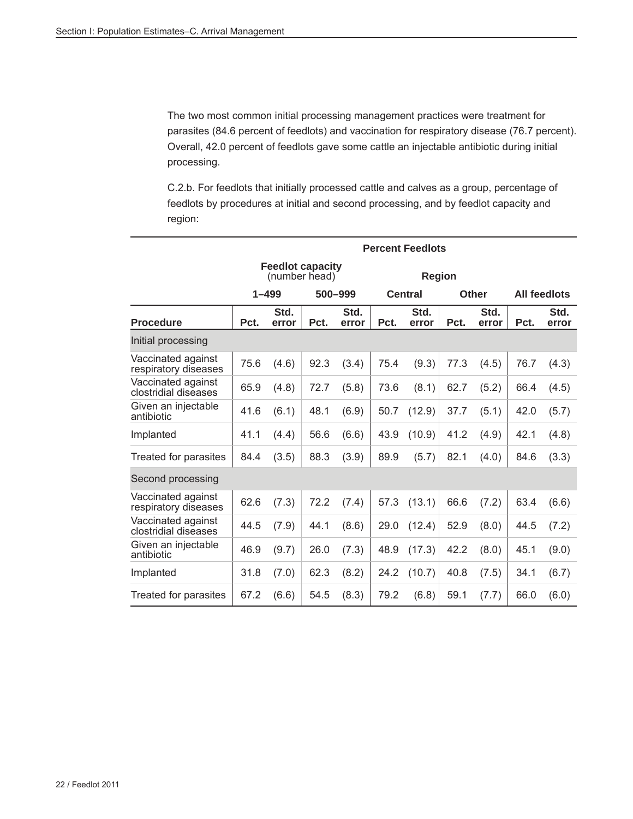The two most common initial processing management practices were treatment for parasites (84.6 percent of feedlots) and vaccination for respiratory disease (76.7 percent). Overall, 42.0 percent of feedlots gave some cattle an injectable antibiotic during initial processing.

C.2.b. For feedlots that initially processed cattle and calves as a group, percentage of feedlots by procedures at initial and second processing, and by feedlot capacity and region:

|                                            | <b>Percent Feedlots</b> |                                                           |         |               |      |                |      |               |      |               |  |  |
|--------------------------------------------|-------------------------|-----------------------------------------------------------|---------|---------------|------|----------------|------|---------------|------|---------------|--|--|
|                                            |                         | <b>Feedlot capacity</b><br><b>Region</b><br>(number head) |         |               |      |                |      |               |      |               |  |  |
|                                            |                         | $1 - 499$                                                 | 500-999 |               |      | <b>Central</b> |      | Other         |      | All feedlots  |  |  |
| <b>Procedure</b>                           | Pct.                    | Std.<br>error                                             | Pct.    | Std.<br>error | Pct. | Std.<br>error  | Pct. | Std.<br>error | Pct. | Std.<br>error |  |  |
| Initial processing                         |                         |                                                           |         |               |      |                |      |               |      |               |  |  |
| Vaccinated against<br>respiratory diseases | 75.6                    | (4.6)                                                     | 92.3    | (3.4)         | 75.4 | (9.3)          | 77.3 | (4.5)         | 76.7 | (4.3)         |  |  |
| Vaccinated against<br>clostridial diseases | 65.9                    | (4.8)                                                     | 72.7    | (5.8)         | 73.6 | (8.1)          | 62.7 | (5.2)         | 66.4 | (4.5)         |  |  |
| Given an injectable<br>antibiotic          | 41.6                    | (6.1)                                                     | 48.1    | (6.9)         | 50.7 | (12.9)         | 37.7 | (5.1)         | 42.0 | (5.7)         |  |  |
| Implanted                                  | 41.1                    | (4.4)                                                     | 56.6    | (6.6)         | 43.9 | (10.9)         | 41.2 | (4.9)         | 42.1 | (4.8)         |  |  |
| Treated for parasites                      | 84.4                    | (3.5)                                                     | 88.3    | (3.9)         | 89.9 | (5.7)          | 82.1 | (4.0)         | 84.6 | (3.3)         |  |  |
| Second processing                          |                         |                                                           |         |               |      |                |      |               |      |               |  |  |
| Vaccinated against<br>respiratory diseases | 62.6                    | (7.3)                                                     | 72.2    | (7.4)         | 57.3 | (13.1)         | 66.6 | (7.2)         | 63.4 | (6.6)         |  |  |
| Vaccinated against<br>clostridial diseases | 44.5                    | (7.9)                                                     | 44.1    | (8.6)         | 29.0 | (12.4)         | 52.9 | (8.0)         | 44.5 | (7.2)         |  |  |
| Given an injectable<br>antibiotic          | 46.9                    | (9.7)                                                     | 26.0    | (7.3)         | 48.9 | (17.3)         | 42.2 | (8.0)         | 45.1 | (9.0)         |  |  |
| Implanted                                  | 31.8                    | (7.0)                                                     | 62.3    | (8.2)         | 24.2 | (10.7)         | 40.8 | (7.5)         | 34.1 | (6.7)         |  |  |
| Treated for parasites                      | 67.2                    | (6.6)                                                     | 54.5    | (8.3)         | 79.2 | (6.8)          | 59.1 | (7.7)         | 66.0 | (6.0)         |  |  |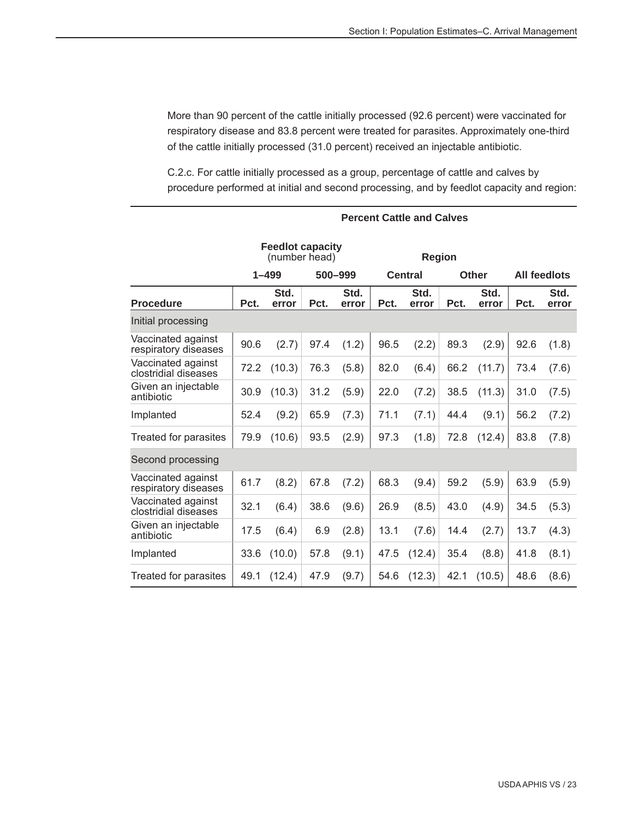More than 90 percent of the cattle initially processed (92.6 percent) were vaccinated for respiratory disease and 83.8 percent were treated for parasites. Approximately one-third of the cattle initially processed (31.0 percent) received an injectable antibiotic.

C.2.c. For cattle initially processed as a group, percentage of cattle and calves by procedure performed at initial and second processing, and by feedlot capacity and region:

|                                            |      | <b>Feedlot capacity</b> |      |               |      |                |      |               |      |                     |
|--------------------------------------------|------|-------------------------|------|---------------|------|----------------|------|---------------|------|---------------------|
|                                            |      | (number head)           |      |               |      | <b>Region</b>  |      |               |      |                     |
|                                            |      | $1 - 499$               |      | 500-999       |      | <b>Central</b> |      | <b>Other</b>  |      | <b>All feedlots</b> |
| <b>Procedure</b>                           | Pct. | Std.<br>error           | Pct. | Std.<br>error | Pct. | Std.<br>error  | Pct. | Std.<br>error | Pct. | Std.<br>error       |
| Initial processing                         |      |                         |      |               |      |                |      |               |      |                     |
| Vaccinated against<br>respiratory diseases | 90.6 | (2.7)                   | 97.4 | (1.2)         | 96.5 | (2.2)          | 89.3 | (2.9)         | 92.6 | (1.8)               |
| Vaccinated against<br>clostridial diseases | 72.2 | (10.3)                  | 76.3 | (5.8)         | 82.0 | (6.4)          | 66.2 | (11.7)        | 73.4 | (7.6)               |
| Given an injectable<br>antibiotic          | 30.9 | (10.3)                  | 31.2 | (5.9)         | 22.0 | (7.2)          | 38.5 | (11.3)        | 31.0 | (7.5)               |
| Implanted                                  | 52.4 | (9.2)                   | 65.9 | (7.3)         | 71.1 | (7.1)          | 44.4 | (9.1)         | 56.2 | (7.2)               |
| Treated for parasites                      | 79.9 | (10.6)                  | 93.5 | (2.9)         | 97.3 | (1.8)          | 72.8 | (12.4)        | 83.8 | (7.8)               |
| Second processing                          |      |                         |      |               |      |                |      |               |      |                     |
| Vaccinated against<br>respiratory diseases | 61.7 | (8.2)                   | 67.8 | (7.2)         | 68.3 | (9.4)          | 59.2 | (5.9)         | 63.9 | (5.9)               |
| Vaccinated against<br>clostridial diseases | 32.1 | (6.4)                   | 38.6 | (9.6)         | 26.9 | (8.5)          | 43.0 | (4.9)         | 34.5 | (5.3)               |
| Given an injectable<br>antibiotic          | 17.5 | (6.4)                   | 6.9  | (2.8)         | 13.1 | (7.6)          | 14.4 | (2.7)         | 13.7 | (4.3)               |
| Implanted                                  | 33.6 | (10.0)                  | 57.8 | (9.1)         | 47.5 | (12.4)         | 35.4 | (8.8)         | 41.8 | (8.1)               |
| Treated for parasites                      | 49.1 | (12.4)                  | 47.9 | (9.7)         | 54.6 | (12.3)         | 42.1 | (10.5)        | 48.6 | (8.6)               |

**Percent Cattle and Calves**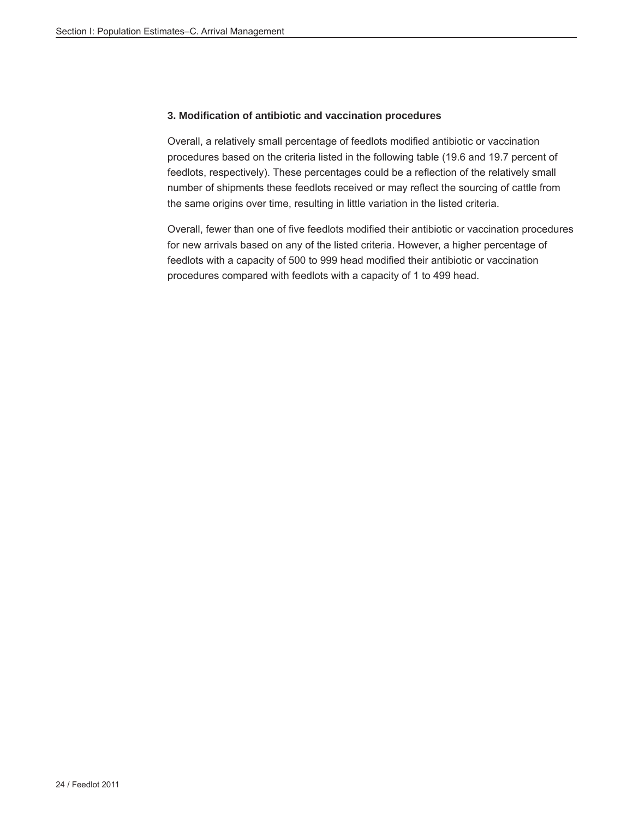# **3. Modifi cation of antibiotic and vaccination procedures**

Overall, a relatively small percentage of feedlots modified antibiotic or vaccination procedures based on the criteria listed in the following table (19.6 and 19.7 percent of feedlots, respectively). These percentages could be a reflection of the relatively small number of shipments these feedlots received or may reflect the sourcing of cattle from the same origins over time, resulting in little variation in the listed criteria.

Overall, fewer than one of five feedlots modified their antibiotic or vaccination procedures for new arrivals based on any of the listed criteria. However, a higher percentage of feedlots with a capacity of 500 to 999 head modified their antibiotic or vaccination procedures compared with feedlots with a capacity of 1 to 499 head.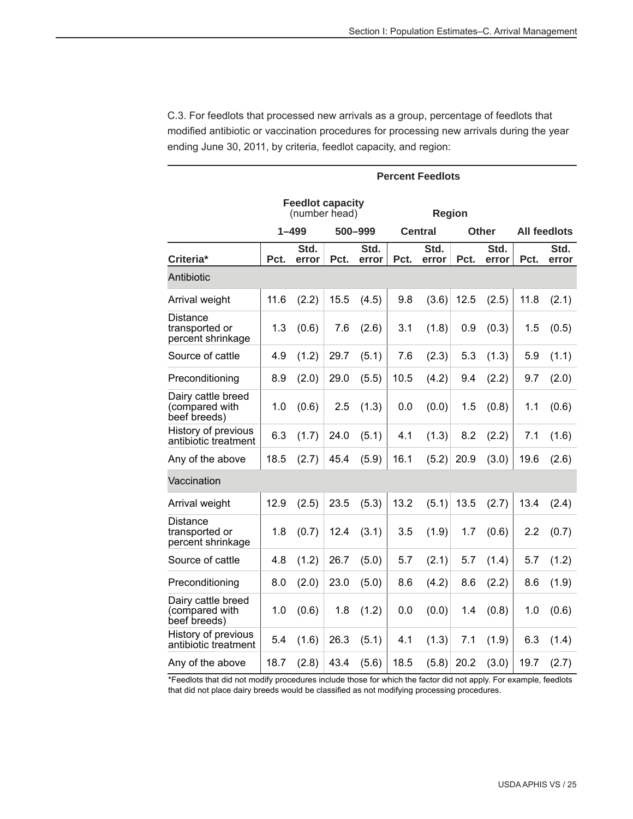C.3. For feedlots that processed new arrivals as a group, percentage of feedlots that modified antibiotic or vaccination procedures for processing new arrivals during the year ending June 30, 2011, by criteria, feedlot capacity, and region:

|                                                        |      | <b>Percent Feedlots</b>                  |      |               |      |                |      |               |      |                     |  |  |  |
|--------------------------------------------------------|------|------------------------------------------|------|---------------|------|----------------|------|---------------|------|---------------------|--|--|--|
|                                                        |      | <b>Feedlot capacity</b><br>(number head) |      |               |      | <b>Region</b>  |      |               |      |                     |  |  |  |
|                                                        |      | $1 - 499$                                |      | 500-999       |      | <b>Central</b> |      | <b>Other</b>  |      | <b>All feedlots</b> |  |  |  |
| Criteria*                                              | Pct. | Std.<br>error                            | Pct. | Std.<br>error | Pct. | Std.<br>error  | Pct. | Std.<br>error | Pct. | Std.<br>error       |  |  |  |
| Antibiotic                                             |      |                                          |      |               |      |                |      |               |      |                     |  |  |  |
| Arrival weight                                         | 11.6 | (2.2)                                    | 15.5 | (4.5)         | 9.8  | (3.6)          | 12.5 | (2.5)         | 11.8 | (2.1)               |  |  |  |
| <b>Distance</b><br>transported or<br>percent shrinkage | 1.3  | (0.6)                                    | 7.6  | (2.6)         | 3.1  | (1.8)          | 0.9  | (0.3)         | 1.5  | (0.5)               |  |  |  |
| Source of cattle                                       | 4.9  | (1.2)                                    | 29.7 | (5.1)         | 7.6  | (2.3)          | 5.3  | (1.3)         | 5.9  | (1.1)               |  |  |  |
| Preconditioning                                        | 8.9  | (2.0)                                    | 29.0 | (5.5)         | 10.5 | (4.2)          | 9.4  | (2.2)         | 9.7  | (2.0)               |  |  |  |
| Dairy cattle breed<br>(compared with<br>beef breeds)   | 1.0  | (0.6)                                    | 2.5  | (1.3)         | 0.0  | (0.0)          | 1.5  | (0.8)         | 1.1  | (0.6)               |  |  |  |
| History of previous<br>antibiotic treatment            | 6.3  | (1.7)                                    | 24.0 | (5.1)         | 4.1  | (1.3)          | 8.2  | (2.2)         | 7.1  | (1.6)               |  |  |  |
| Any of the above                                       | 18.5 | (2.7)                                    | 45.4 | (5.9)         | 16.1 | (5.2)          | 20.9 | (3.0)         | 19.6 | (2.6)               |  |  |  |
| Vaccination                                            |      |                                          |      |               |      |                |      |               |      |                     |  |  |  |
| Arrival weight                                         | 12.9 | (2.5)                                    | 23.5 | (5.3)         | 13.2 | (5.1)          | 13.5 | (2.7)         | 13.4 | (2.4)               |  |  |  |
| <b>Distance</b><br>transported or<br>percent shrinkage | 1.8  | (0.7)                                    | 12.4 | (3.1)         | 3.5  | (1.9)          | 1.7  | (0.6)         | 2.2  | (0.7)               |  |  |  |
| Source of cattle                                       | 4.8  | (1.2)                                    | 26.7 | (5.0)         | 5.7  | (2.1)          | 5.7  | (1.4)         | 5.7  | (1.2)               |  |  |  |
| Preconditioning                                        | 8.0  | (2.0)                                    | 23.0 | (5.0)         | 8.6  | (4.2)          | 8.6  | (2.2)         | 8.6  | (1.9)               |  |  |  |
| Dairy cattle breed<br>(compared with<br>beef breeds)   | 1.0  | (0.6)                                    | 1.8  | (1.2)         | 0.0  | (0.0)          | 1.4  | (0.8)         | 1.0  | (0.6)               |  |  |  |
| History of previous<br>antibiotic treatment            | 5.4  | (1.6)                                    | 26.3 | (5.1)         | 4.1  | (1.3)          | 7.1  | (1.9)         | 6.3  | (1.4)               |  |  |  |
| Any of the above                                       | 18.7 | (2.8)                                    | 43.4 | (5.6)         | 18.5 | (5.8)          | 20.2 | (3.0)         | 19.7 | (2.7)               |  |  |  |

\*Feedlots that did not modify procedures include those for which the factor did not apply. For example, feedlots that did not place dairy breeds would be classified as not modifying processing procedures.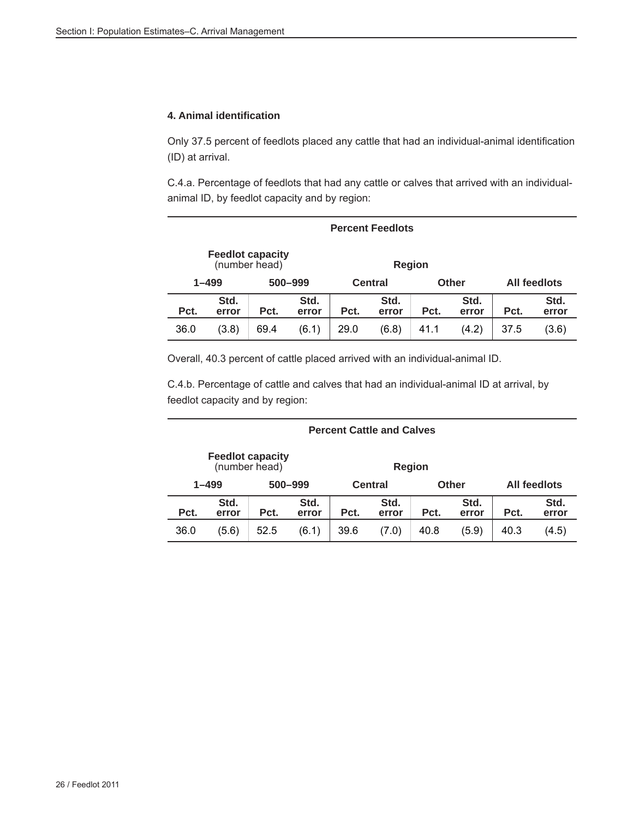# **4. Animal identifi cation**

Only 37.5 percent of feedlots placed any cattle that had an individual-animal identification (ID) at arrival.

C.4.a. Percentage of feedlots that had any cattle or calves that arrived with an individualanimal ID, by feedlot capacity and by region:

|                                                                  | <b>Percent Feedlots</b> |      |               |      |                |      |               |      |                     |  |  |  |
|------------------------------------------------------------------|-------------------------|------|---------------|------|----------------|------|---------------|------|---------------------|--|--|--|
| <b>Feedlot capacity</b><br>(number head)<br><b>Region</b>        |                         |      |               |      |                |      |               |      |                     |  |  |  |
|                                                                  | $1 - 499$               |      | 500-999       |      | <b>Central</b> |      | Other         |      | <b>All feedlots</b> |  |  |  |
| Pct.                                                             | Std.<br>error           | Pct. | Std.<br>error | Pct. | Std.<br>error  | Pct. | Std.<br>error | Pct. | Std.<br>error       |  |  |  |
| 36.0<br>29.0<br>(3.8)<br>69.4<br>(6.1)<br>(6.8)<br>41.1<br>(4.2) |                         |      |               |      |                |      |               |      | (3.6)               |  |  |  |

Overall, 40.3 percent of cattle placed arrived with an individual-animal ID.

C.4.b. Percentage of cattle and calves that had an individual-animal ID at arrival, by feedlot capacity and by region:

|                                                                          | <b>Percent Cattle and Calves</b> |      |               |      |                |      |               |      |               |  |  |  |
|--------------------------------------------------------------------------|----------------------------------|------|---------------|------|----------------|------|---------------|------|---------------|--|--|--|
| <b>Feedlot capacity</b><br>(number head)<br><b>Region</b>                |                                  |      |               |      |                |      |               |      |               |  |  |  |
|                                                                          | $1 - 499$                        |      | 500-999       |      | <b>Central</b> |      | Other         |      | All feedlots  |  |  |  |
| Pct.                                                                     | Std.<br>error                    | Pct. | Std.<br>error | Pct. | Std.<br>error  | Pct. | Std.<br>error | Pct. | Std.<br>error |  |  |  |
| 36.0<br>39.6<br>(5.9)<br>40.3<br>(5.6)<br>(6.1)<br>(7.0)<br>40.8<br>52.5 |                                  |      |               |      |                |      |               |      |               |  |  |  |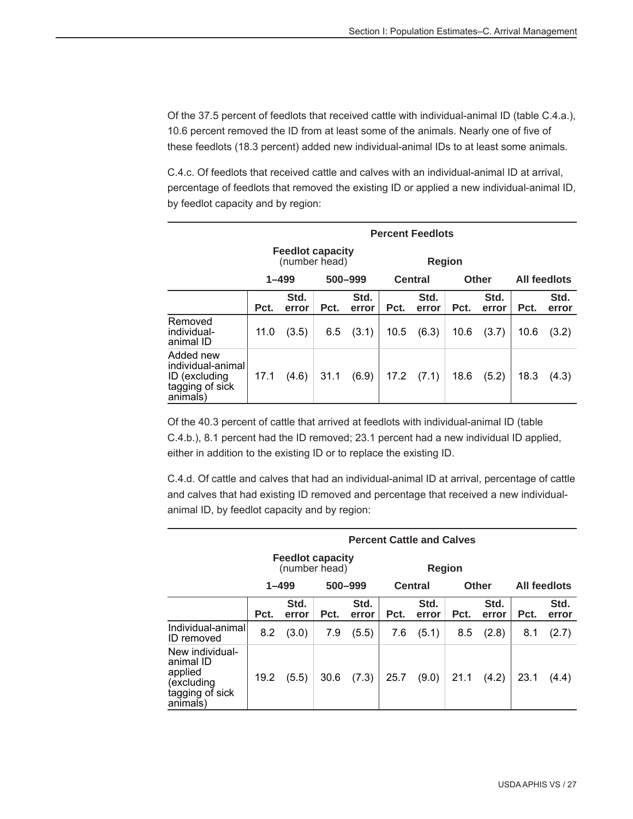Of the 37.5 percent of feedlots that received cattle with individual-animal ID (table C.4.a.), 10.6 percent removed the ID from at least some of the animals. Nearly one of five of these feedlots (18.3 percent) added new individual-animal IDs to at least some animals.

C.4.c. Of feedlots that received cattle and calves with an individual-animal ID at arrival, percentage of feedlots that removed the existing ID or applied a new individual-animal ID, by feedlot capacity and by region:

|                                                                                | <b>Percent Feedlots</b> |                                                           |      |               |      |                |       |                     |      |               |  |  |  |  |
|--------------------------------------------------------------------------------|-------------------------|-----------------------------------------------------------|------|---------------|------|----------------|-------|---------------------|------|---------------|--|--|--|--|
|                                                                                |                         | <b>Feedlot capacity</b><br>(number head)<br><b>Region</b> |      |               |      |                |       |                     |      |               |  |  |  |  |
|                                                                                |                         | $1 - 499$                                                 |      | 500-999       |      | <b>Central</b> | Other | <b>All feedlots</b> |      |               |  |  |  |  |
|                                                                                | Pct.                    | Std.<br>error                                             | Pct. | Std.<br>error | Pct. | Std.<br>error  | Pct.  | Std.<br>error       | Pct. | Std.<br>error |  |  |  |  |
| Removed<br>individual-<br>animal ID                                            | 11.0                    | (3.5)                                                     | 6.5  | (3.1)         | 10.5 | (6.3)          | 10.6  | (3.7)               | 10.6 | (3.2)         |  |  |  |  |
| Added new<br>individual-animal<br>ID (excluding<br>tagging of sick<br>animals) | 17.1                    | (4.6)                                                     | 31.1 | (6.9)         | 17.2 | (7.1)          | 18.6  | (5.2)               | 18.3 | (4.3)         |  |  |  |  |

Of the 40.3 percent of cattle that arrived at feedlots with individual-animal ID (table C.4.b.), 8.1 percent had the ID removed; 23.1 percent had a new individual ID applied, either in addition to the existing ID or to replace the existing ID.

C.4.d. Of cattle and calves that had an individual-animal ID at arrival, percentage of cattle and calves that had existing ID removed and percentage that received a new individualanimal ID, by feedlot capacity and by region:

|                                                                                      |      | <b>Percent Cattle and Calves</b>                          |       |               |      |               |      |               |      |               |  |  |
|--------------------------------------------------------------------------------------|------|-----------------------------------------------------------|-------|---------------|------|---------------|------|---------------|------|---------------|--|--|
|                                                                                      |      | <b>Feedlot capacity</b><br>(number head)<br><b>Region</b> |       |               |      |               |      |               |      |               |  |  |
|                                                                                      |      | $1 - 499$                                                 | Other | All feedlots  |      |               |      |               |      |               |  |  |
|                                                                                      | Pct. | Std.<br>error                                             | Pct.  | Std.<br>error | Pct. | Std.<br>error | Pct. | Std.<br>error | Pct. | Std.<br>error |  |  |
| Individual-animal<br>ID removed                                                      | 8.2  | (3.0)                                                     | 7.9   | (5.5)         | 7.6  | (5.1)         | 8.5  | (2.8)         | 8.1  | (2.7)         |  |  |
| New individual-<br>animal ID<br>applied<br>(excluding<br>tagging of sick<br>animals) | 19.2 | (5.5)                                                     | 30.6  | (7.3)         | 25.7 | (9.0)         | 21.1 | (4.2)         | 23.1 | (4.4)         |  |  |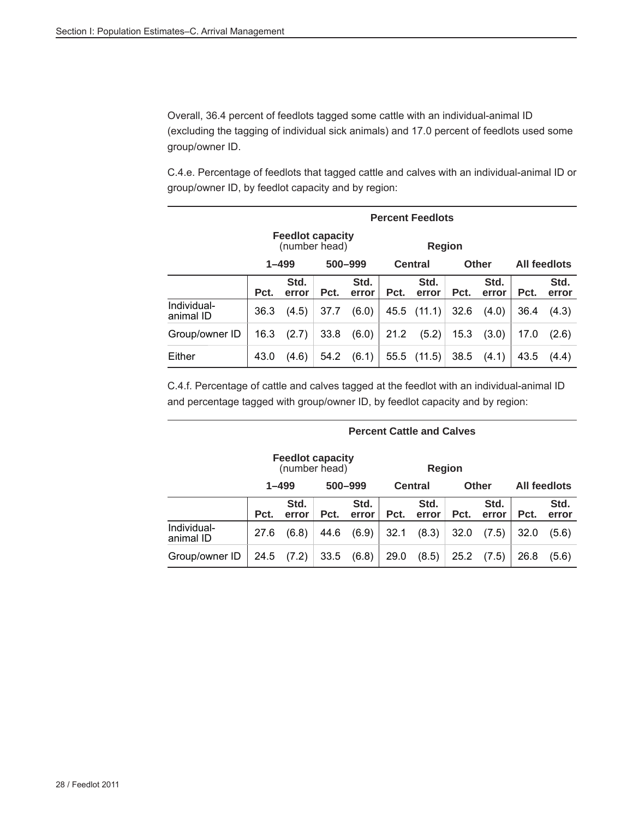Overall, 36.4 percent of feedlots tagged some cattle with an individual-animal ID (excluding the tagging of individual sick animals) and 17.0 percent of feedlots used some group/owner ID.

C.4.e. Percentage of feedlots that tagged cattle and calves with an individual-animal ID or group/owner ID, by feedlot capacity and by region:

|                          |      | <b>Percent Feedlots</b>                                                |      |               |      |               |      |               |      |               |  |  |  |
|--------------------------|------|------------------------------------------------------------------------|------|---------------|------|---------------|------|---------------|------|---------------|--|--|--|
|                          |      | <b>Feedlot capacity</b><br>(number head)                               |      |               |      | <b>Region</b> |      |               |      |               |  |  |  |
|                          |      | $1 - 499$<br>500-999<br><b>Central</b><br>Other<br><b>All feedlots</b> |      |               |      |               |      |               |      |               |  |  |  |
|                          | Pct. | Std.<br>error                                                          | Pct. | Std.<br>error | Pct. | Std.<br>error | Pct. | Std.<br>error | Pct. | Std.<br>error |  |  |  |
| Individual-<br>animal ID | 36.3 | (4.5)                                                                  | 37.7 | (6.0)         | 45.5 | (11.1)        | 32.6 | (4.0)         | 36.4 | (4.3)         |  |  |  |
| Group/owner ID           | 16.3 | (2.7)                                                                  | 33.8 | (6.0)         | 21.2 | (5.2)         | 15.3 | (3.0)         | 17.0 | (2.6)         |  |  |  |
| Either                   | 43.0 | (4.6)                                                                  | 54.2 | (6.1)         | 55.5 | (11.5)        | 38.5 | (4.1)         | 43.5 | (4.4)         |  |  |  |

C.4.f. Percentage of cattle and calves tagged at the feedlot with an individual-animal ID and percentage tagged with group/owner ID, by feedlot capacity and by region:

|                          | <b>Feedlot capacity</b><br>(number head) |               |             |               | <b>Region</b>  |               |              |               |                     |               |
|--------------------------|------------------------------------------|---------------|-------------|---------------|----------------|---------------|--------------|---------------|---------------------|---------------|
|                          | $1 - 499$                                |               | $500 - 999$ |               | <b>Central</b> |               | <b>Other</b> |               | <b>All feedlots</b> |               |
|                          | Pct.                                     | Std.<br>error | Pct.        | Std.<br>error | Pct.           | Std.<br>error | Pct.         | Std.<br>error | Pct.                | Std.<br>error |
| Individual-<br>animal ID | 27.6                                     | (6.8)         | 44.6        | (6.9)         | 32.1           | (8.3)         | 32.0         | (7.5)         | 32.0                | (5.6)         |
| Group/owner ID           | 24.5                                     | (7.2)         | 33.5        | (6.8)         | 29.0           | (8.5)         | 25.2         | (7.5)         | 26.8                | (5.6)         |

### **Percent Cattle and Calves**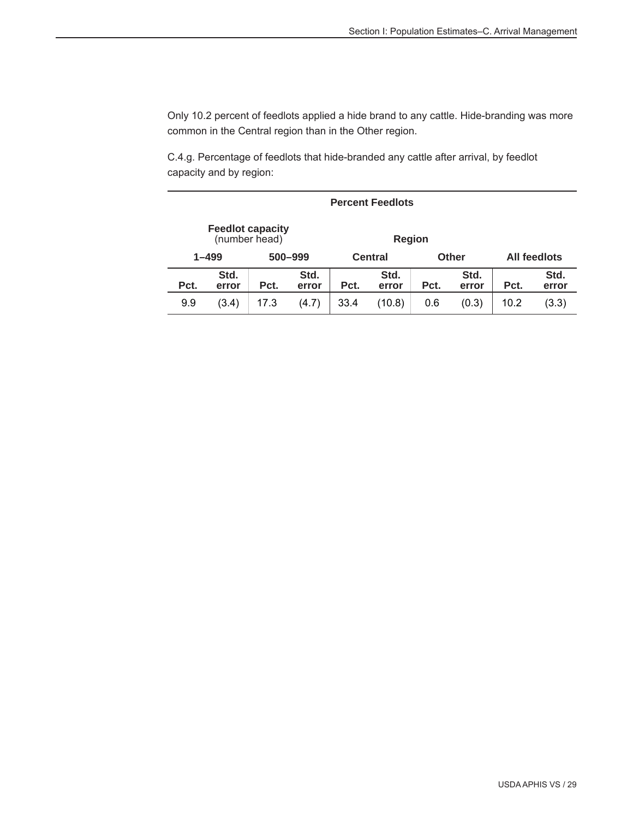Only 10.2 percent of feedlots applied a hide brand to any cattle. Hide-branding was more common in the Central region than in the Other region.

C.4.g. Percentage of feedlots that hide-branded any cattle after arrival, by feedlot capacity and by region:

|      |                         |               |               |      | <b>Percent Feedlots</b> |      |               |      |               |
|------|-------------------------|---------------|---------------|------|-------------------------|------|---------------|------|---------------|
|      | <b>Feedlot capacity</b> | (number head) |               |      | <b>Region</b>           |      |               |      |               |
|      | $1 - 499$               |               | $500 - 999$   |      | <b>Central</b>          |      | Other         |      | All feedlots  |
| Pct. | Std.<br>error           | Pct.          | Std.<br>error | Pct. | Std.<br>error           | Pct. | Std.<br>error | Pct. | Std.<br>error |
| 9.9  | (3.4)                   | 17.3          | (4.7)         | 33.4 | (10.8)                  | 0.6  | (0.3)         | 10.2 | (3.3)         |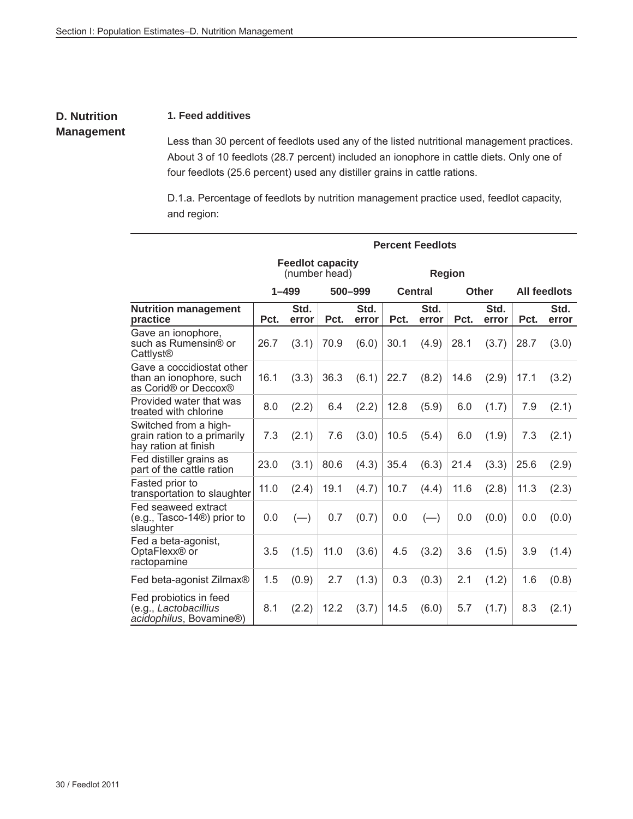# **D. Nutrition Management**

# **1. Feed additives**

Less than 30 percent of feedlots used any of the listed nutritional management practices. About 3 of 10 feedlots (28.7 percent) included an ionophore in cattle diets. Only one of four feedlots (25.6 percent) used any distiller grains in cattle rations.

D.1.a. Percentage of feedlots by nutrition management practice used, feedlot capacity, and region:

|                                                                                 |      | <b>Percent Feedlots</b>                  |      |               |      |                |               |               |                     |               |  |  |  |
|---------------------------------------------------------------------------------|------|------------------------------------------|------|---------------|------|----------------|---------------|---------------|---------------------|---------------|--|--|--|
|                                                                                 |      | <b>Feedlot capacity</b><br>(number head) |      |               |      |                | <b>Region</b> |               |                     |               |  |  |  |
|                                                                                 |      | $1 - 499$                                |      | 500-999       |      | <b>Central</b> |               | Other         | <b>All feedlots</b> |               |  |  |  |
| <b>Nutrition management</b><br>practice                                         | Pct. | Std.<br>error                            | Pct. | Std.<br>error | Pct. | Std.<br>error  | Pct.          | Std.<br>error | Pct.                | Std.<br>error |  |  |  |
| Gave an ionophore,<br>such as Rumensin <sup>®</sup> or<br>Cattlyst <sup>®</sup> | 26.7 | (3.1)                                    | 70.9 | (6.0)         | 30.1 | (4.9)          | 28.1          | (3.7)         | 28.7                | (3.0)         |  |  |  |
| Gave a coccidiostat other<br>than an ionophore, such<br>as Corid® or Deccox®    | 16.1 | (3.3)                                    | 36.3 | (6.1)         | 22.7 | (8.2)          | 14.6          | (2.9)         | 17.1                | (3.2)         |  |  |  |
| Provided water that was<br>treated with chlorine                                | 8.0  | (2.2)                                    | 6.4  | (2.2)         | 12.8 | (5.9)          | 6.0           | (1.7)         | 7.9                 | (2.1)         |  |  |  |
| Switched from a high-<br>grain ration to a primarily<br>hay ration at finish    | 7.3  | (2.1)                                    | 7.6  | (3.0)         | 10.5 | (5.4)          | 6.0           | (1.9)         | 7.3                 | (2.1)         |  |  |  |
| Fed distiller grains as<br>part of the cattle ration                            | 23.0 | (3.1)                                    | 80.6 | (4.3)         | 35.4 | (6.3)          | 21.4          | (3.3)         | 25.6                | (2.9)         |  |  |  |
| Fasted prior to<br>transportation to slaughter                                  | 11.0 | (2.4)                                    | 19.1 | (4.7)         | 10.7 | (4.4)          | 11.6          | (2.8)         | 11.3                | (2.3)         |  |  |  |
| Fed seaweed extract<br>$(e.g., Tasco-14\circledR) prior to$<br>slaughter        | 0.0  | $(-)$                                    | 0.7  | (0.7)         | 0.0  | $(-)$          | 0.0           | (0.0)         | 0.0                 | (0.0)         |  |  |  |
| Fed a beta-agonist,<br>OptaFlexx <sup>®</sup> or<br>ractopamine                 | 3.5  | (1.5)                                    | 11.0 | (3.6)         | 4.5  | (3.2)          | 3.6           | (1.5)         | 3.9                 | (1.4)         |  |  |  |
| Fed beta-agonist Zilmax <sup>®</sup>                                            | 1.5  | (0.9)                                    | 2.7  | (1.3)         | 0.3  | (0.3)          | 2.1           | (1.2)         | 1.6                 | (0.8)         |  |  |  |
| Fed probiotics in feed<br>(e.g., Lactobacillius<br>acidophilus, Bovamine®)      | 8.1  | (2.2)                                    | 12.2 | (3.7)         | 14.5 | (6.0)          | 5.7           | (1.7)         | 8.3                 | (2.1)         |  |  |  |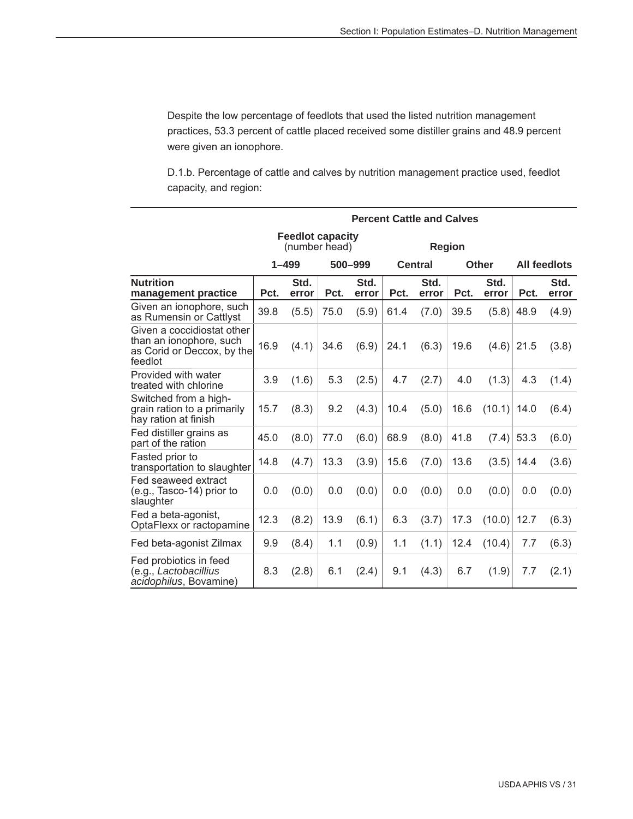Despite the low percentage of feedlots that used the listed nutrition management practices, 53.3 percent of cattle placed received some distiller grains and 48.9 percent were given an ionophore.

D.1.b. Percentage of cattle and calves by nutrition management practice used, feedlot capacity, and region:

|                                                                                                | <b>Percent Cattle and Calves</b> |                                          |      |               |      |                |               |               |                     |               |  |  |
|------------------------------------------------------------------------------------------------|----------------------------------|------------------------------------------|------|---------------|------|----------------|---------------|---------------|---------------------|---------------|--|--|
|                                                                                                |                                  | <b>Feedlot capacity</b><br>(number head) |      |               |      |                | <b>Region</b> |               |                     |               |  |  |
|                                                                                                |                                  | $1 - 499$                                |      | 500-999       |      | <b>Central</b> |               | Other         | <b>All feedlots</b> |               |  |  |
| <b>Nutrition</b><br>management practice                                                        | Pct.                             | Std.<br>error                            | Pct. | Std.<br>error | Pct. | Std.<br>error  | Pct.          | Std.<br>error | Pct.                | Std.<br>error |  |  |
| Given an ionophore, such<br>as Rumensin or Cattlyst                                            | 39.8                             | (5.5)                                    | 75.0 | (5.9)         | 61.4 | (7.0)          | 39.5          | (5.8)         | 48.9                | (4.9)         |  |  |
| Given a coccidiostat other<br>than an ionophore, such<br>as Corid or Deccox, by the<br>feedlot | 16.9                             | (4.1)                                    | 34.6 | (6.9)         | 24.1 | (6.3)          | 19.6          | (4.6)         | 21.5                | (3.8)         |  |  |
| Provided with water<br>treated with chlorine                                                   | 3.9                              | (1.6)                                    | 5.3  | (2.5)         | 4.7  | (2.7)          | 4.0           | (1.3)         | 4.3                 | (1.4)         |  |  |
| Switched from a high-<br>grain ration to a primarily<br>hay ration at finish                   | 15.7                             | (8.3)                                    | 9.2  | (4.3)         | 10.4 | (5.0)          | 16.6          | (10.1)        | 14.0                | (6.4)         |  |  |
| Fed distiller grains as<br>part of the ration                                                  | 45.0                             | (8.0)                                    | 77.0 | (6.0)         | 68.9 | (8.0)          | 41.8          | (7.4)         | 53.3                | (6.0)         |  |  |
| Fasted prior to<br>transportation to slaughter                                                 | 14.8                             | (4.7)                                    | 13.3 | (3.9)         | 15.6 | (7.0)          | 13.6          | (3.5)         | 14.4                | (3.6)         |  |  |
| Fed seaweed extract<br>$(e.g., Tasco-14)$ prior to<br>slaughter                                | 0.0                              | (0.0)                                    | 0.0  | (0.0)         | 0.0  | (0.0)          | 0.0           | (0.0)         | 0.0                 | (0.0)         |  |  |
| Fed a beta-agonist,<br>OptaFlexx or ractopamine                                                | 12.3                             | (8.2)                                    | 13.9 | (6.1)         | 6.3  | (3.7)          | 17.3          | (10.0)        | 12.7                | (6.3)         |  |  |
| Fed beta-agonist Zilmax                                                                        | 9.9                              | (8.4)                                    | 1.1  | (0.9)         | 1.1  | (1.1)          | 12.4          | (10.4)        | 7.7                 | (6.3)         |  |  |
| Fed probiotics in feed<br>(e.g., Lactobacillius<br>acidophilus, Bovamine)                      | 8.3                              | (2.8)                                    | 6.1  | (2.4)         | 9.1  | (4.3)          | 6.7           | (1.9)         | 7.7                 | (2.1)         |  |  |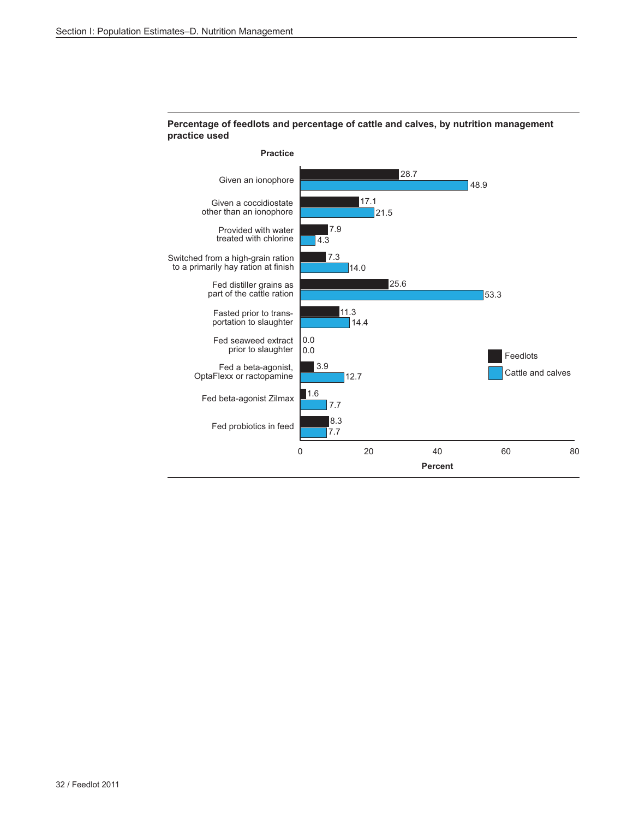

### **Percentage of feedlots and percentage of cattle and calves, by nutrition management practice used**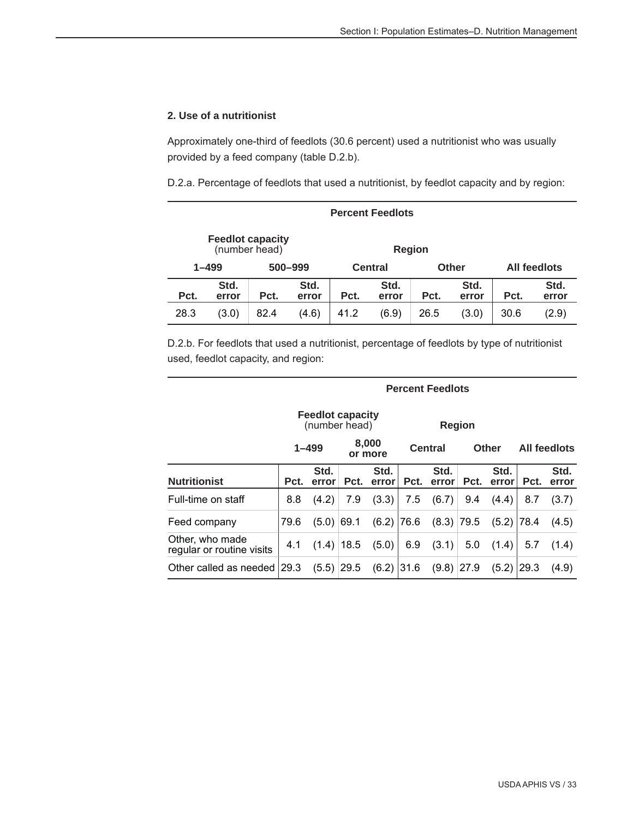# **2. Use of a nutritionist**

Approximately one-third of feedlots (30.6 percent) used a nutritionist who was usually provided by a feed company (table D.2.b).

D.2.a. Percentage of feedlots that used a nutritionist, by feedlot capacity and by region:

|      |                         |               |               |      | <b>Percent Feedlots</b> |               |               |      |               |
|------|-------------------------|---------------|---------------|------|-------------------------|---------------|---------------|------|---------------|
|      | <b>Feedlot capacity</b> | (number head) |               |      |                         | <b>Region</b> |               |      |               |
|      | $1 - 499$               |               | $500 - 999$   |      | <b>Central</b>          |               | Other         |      | All feedlots  |
| Pct. | Std.<br>error           | Pct.          | Std.<br>error | Pct. | Std.<br>error           | Pct.          | Std.<br>error | Pct. | Std.<br>error |
| 28.3 | (3.0)                   | 82.4          | (4.6)         | 41.2 | (6.9)                   | 26.5          | (3.0)         | 30.6 | (2.9)         |

D.2.b. For feedlots that used a nutritionist, percentage of feedlots by type of nutritionist used, feedlot capacity, and region:

|                                                                          |      | <b>Percent Feedlots</b>                  |       |               |      |               |               |               |      |               |  |  |  |  |
|--------------------------------------------------------------------------|------|------------------------------------------|-------|---------------|------|---------------|---------------|---------------|------|---------------|--|--|--|--|
|                                                                          |      | <b>Feedlot capacity</b><br>(number head) |       |               |      |               | <b>Region</b> |               |      |               |  |  |  |  |
| 8,000<br>$1 - 499$<br><b>Central</b><br>All feedlots<br>Other<br>or more |      |                                          |       |               |      |               |               |               |      |               |  |  |  |  |
| <b>Nutritionist</b>                                                      | Pct. | Std.<br>error                            | Pct.  | Std.<br>error | Pct. | Std.<br>error | Pct.          | Std.<br>error | Pct. | Std.<br>error |  |  |  |  |
| Full-time on staff                                                       | 8.8  | (4.2)                                    | 7.9   | (3.3)         | 7.5  | (6.7)         | 9.4           | (4.4)         | 8.7  | (3.7)         |  |  |  |  |
| Feed company                                                             | 79.6 | (5.0)                                    | 69.1  | $(6.2)$ 76.6  |      | (8.3)         | 179.5         | $(5.2)$ 78.4  |      | (4.5)         |  |  |  |  |
| Other, who made<br>regular or routine visits                             | 4.1  | $(1.4)$ 18.5                             |       | (5.0)         | 6.9  | (3.1)         | 5.0           | (1.4)         | 5.7  | (1.4)         |  |  |  |  |
| Other called as needed 29.3                                              |      | $(5.2)$ 29.3                             | (4.9) |               |      |               |               |               |      |               |  |  |  |  |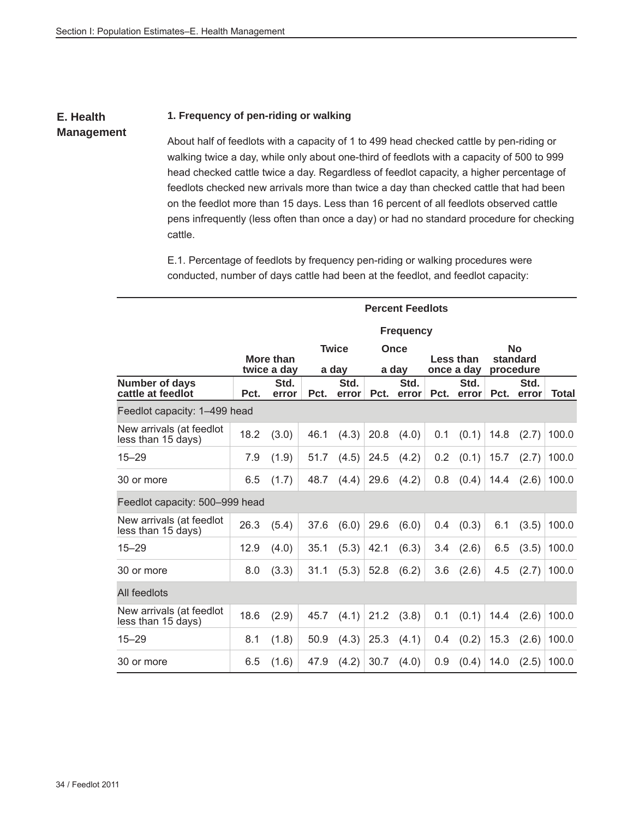#### **1. Frequency of pen-riding or walking E. Health Management**

About half of feedlots with a capacity of 1 to 499 head checked cattle by pen-riding or walking twice a day, while only about one-third of feedlots with a capacity of 500 to 999 head checked cattle twice a day. Regardless of feedlot capacity, a higher percentage of feedlots checked new arrivals more than twice a day than checked cattle that had been on the feedlot more than 15 days. Less than 16 percent of all feedlots observed cattle pens infrequently (less often than once a day) or had no standard procedure for checking cattle.

E.1. Percentage of feedlots by frequency pen-riding or walking procedures were conducted, number of days cattle had been at the feedlot, and feedlot capacity:

|                                                | <b>Percent Feedlots</b>                                                                                                             |               |      |               |      |                  |      |               |      |               |              |
|------------------------------------------------|-------------------------------------------------------------------------------------------------------------------------------------|---------------|------|---------------|------|------------------|------|---------------|------|---------------|--------------|
|                                                |                                                                                                                                     |               |      |               |      | <b>Frequency</b> |      |               |      |               |              |
|                                                | <b>Twice</b><br><b>No</b><br>Once<br>standard<br>More than<br>Less than<br>twice a day<br>a day<br>procedure<br>a day<br>once a day |               |      |               |      |                  |      |               |      |               |              |
| <b>Number of days</b><br>cattle at feedlot     | Pct.                                                                                                                                | Std.<br>error | Pct. | Std.<br>error | Pct. | Std.<br>error    | Pct. | Std.<br>error | Pct. | Std.<br>error | <b>Total</b> |
| Feedlot capacity: 1-499 head                   |                                                                                                                                     |               |      |               |      |                  |      |               |      |               |              |
| New arrivals (at feedlot<br>less than 15 days) | 18.2                                                                                                                                | (3.0)         | 46.1 | (4.3)         | 20.8 | (4.0)            | 0.1  | (0.1)         | 14.8 | (2.7)         | 100.0        |
| $15 - 29$                                      | 7.9                                                                                                                                 | (1.9)         | 51.7 | (4.5)         | 24.5 | (4.2)            | 0.2  | (0.1)         | 15.7 | (2.7)         | 100.0        |
| 30 or more                                     | 6.5                                                                                                                                 | (1.7)         | 48.7 | (4.4)         | 29.6 | (4.2)            | 0.8  | (0.4)         | 14.4 | (2.6)         | 100.0        |
| Feedlot capacity: 500–999 head                 |                                                                                                                                     |               |      |               |      |                  |      |               |      |               |              |
| New arrivals (at feedlot<br>less than 15 days) | 26.3                                                                                                                                | (5.4)         | 37.6 | (6.0)         | 29.6 | (6.0)            | 0.4  | (0.3)         | 6.1  | (3.5)         | 100.0        |
| $15 - 29$                                      | 12.9                                                                                                                                | (4.0)         | 35.1 | (5.3)         | 42.1 | (6.3)            | 3.4  | (2.6)         | 6.5  | (3.5)         | 100.0        |
| 30 or more                                     | 8.0                                                                                                                                 | (3.3)         | 31.1 | (5.3)         | 52.8 | (6.2)            | 3.6  | (2.6)         | 4.5  | (2.7)         | 100.0        |
| All feedlots                                   |                                                                                                                                     |               |      |               |      |                  |      |               |      |               |              |
| New arrivals (at feedlot<br>less than 15 days) | 18.6                                                                                                                                | (2.9)         | 45.7 | (4.1)         | 21.2 | (3.8)            | 0.1  | (0.1)         | 14.4 | (2.6)         | 100.0        |
| $15 - 29$                                      | 8.1                                                                                                                                 | (1.8)         | 50.9 | (4.3)         | 25.3 | (4.1)            | 0.4  | (0.2)         | 15.3 | (2.6)         | 100.0        |
| 30 or more                                     | 6.5                                                                                                                                 | (1.6)         | 47.9 | (4.2)         | 30.7 | (4.0)            | 0.9  | (0.4)         | 14.0 | (2.5)         | 100.0        |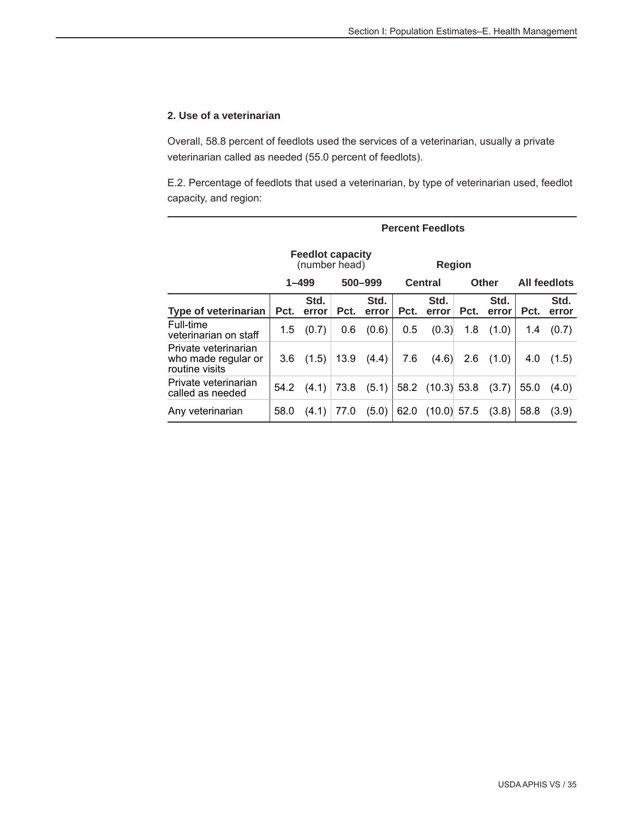# **2. Use of a veterinarian**

Overall, 58.8 percent of feedlots used the services of a veterinarian, usually a private veterinarian called as needed (55.0 percent of feedlots).

E.2. Percentage of feedlots that used a veterinarian, by type of veterinarian used, feedlot capacity, and region:

|                                                               |                                                                 | <b>Percent Feedlots</b>                                   |      |               |               |                      |               |       |               |       |  |  |  |  |  |
|---------------------------------------------------------------|-----------------------------------------------------------------|-----------------------------------------------------------|------|---------------|---------------|----------------------|---------------|-------|---------------|-------|--|--|--|--|--|
|                                                               |                                                                 | <b>Feedlot capacity</b><br>(number head)<br><b>Region</b> |      |               |               |                      |               |       |               |       |  |  |  |  |  |
|                                                               | $1 - 499$<br>500-999<br><b>Central</b><br>All feedlots<br>Other |                                                           |      |               |               |                      |               |       |               |       |  |  |  |  |  |
| Type of veterinarian                                          | Pct.                                                            | Std.<br>error                                             | Pct. | Std.<br>error | Std.<br>error | Pct.                 | Std.<br>error | Pct.  | Std.<br>error |       |  |  |  |  |  |
| Full-time<br>veterinarian on staff                            | $1.5\,$                                                         | (0.7)                                                     | 0.6  | (0.6)         | 0.5           | (0.3)                | 1.8           | (1.0) | 1.4           | (0.7) |  |  |  |  |  |
| Private veterinarian<br>who made regular or<br>routine visits | 3.6                                                             | (1.5)                                                     | 13.9 | (4.4)         | 7.6           | (4.6)                | 2.6           | (1.0) | 4.0           | (1.5) |  |  |  |  |  |
| Private veterinarian<br>called as needed                      | 54.2                                                            | (4.1)                                                     | 73.8 | (5.1)         |               | 58.2 (10.3) 53.8     |               | (3.7) | 55.0          | (4.0) |  |  |  |  |  |
| Any veterinarian                                              | 58.0                                                            | (4.1)                                                     | 77.0 | (5.0)         |               | $62.0$ $(10.0)$ 57.5 |               | (3.8) | 58.8          | (3.9) |  |  |  |  |  |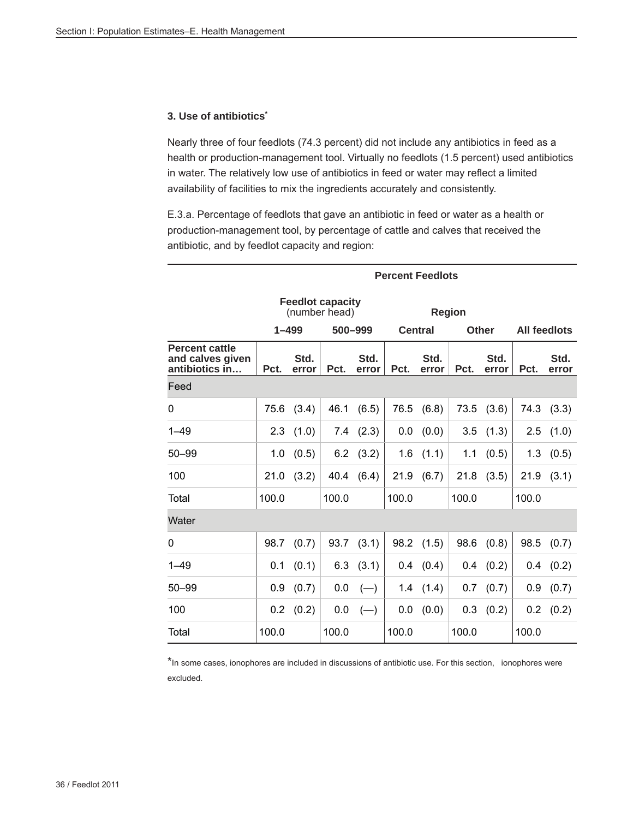# **3. Use of antibiotics\***

Nearly three of four feedlots (74.3 percent) did not include any antibiotics in feed as a health or production-management tool. Virtually no feedlots (1.5 percent) used antibiotics in water. The relatively low use of antibiotics in feed or water may reflect a limited availability of facilities to mix the ingredients accurately and consistently.

**Percent Feedlots**

E.3.a. Percentage of feedlots that gave an antibiotic in feed or water as a health or production-management tool, by percentage of cattle and calves that received the antibiotic, and by feedlot capacity and region:

|                                                             |           |               | <b>Feedlot capacity</b><br>(number head) |               |                |               |               |               |       |               |
|-------------------------------------------------------------|-----------|---------------|------------------------------------------|---------------|----------------|---------------|---------------|---------------|-------|---------------|
|                                                             | $1 - 499$ |               | 500-999                                  |               | <b>Central</b> |               | <b>Region</b> | <b>Other</b>  |       | All feedlots  |
| <b>Percent cattle</b><br>and calves given<br>antibiotics in | Pct.      | Std.<br>error | Pct.                                     | Std.<br>error | Pct.           | Std.<br>error | Pct.          | Std.<br>error | Pct.  | Std.<br>error |
| Feed                                                        |           |               |                                          |               |                |               |               |               |       |               |
| 0                                                           | 75.6      | (3.4)         | 46.1                                     | (6.5)         | 76.5           | (6.8)         | 73.5          | (3.6)         | 74.3  | (3.3)         |
| $1 - 49$                                                    | 2.3       | (1.0)         | 7.4                                      | (2.3)         | 0.0            | (0.0)         | 3.5           | (1.3)         | 2.5   | (1.0)         |
| $50 - 99$                                                   | 1.0       | (0.5)         | 6.2                                      | (3.2)         | 1.6            | (1.1)         | 1.1           | (0.5)         | 1.3   | (0.5)         |
| 100                                                         | 21.0      | (3.2)         | 40.4                                     | (6.4)         | 21.9           | (6.7)         | 21.8          | (3.5)         | 21.9  | (3.1)         |
| Total                                                       | 100.0     |               | 100.0                                    |               | 100.0          |               | 100.0         |               | 100.0 |               |
| Water                                                       |           |               |                                          |               |                |               |               |               |       |               |
| 0                                                           | 98.7      | (0.7)         | 93.7                                     | (3.1)         | 98.2           | (1.5)         | 98.6          | (0.8)         | 98.5  | (0.7)         |
| $1 - 49$                                                    | 0.1       | (0.1)         | 6.3                                      | (3.1)         | 0.4            | (0.4)         | 0.4           | (0.2)         | 0.4   | (0.2)         |
| $50 - 99$                                                   | 0.9       | (0.7)         | 0.0                                      | $(-)$         |                | $1.4$ $(1.4)$ | 0.7           | (0.7)         | 0.9   | (0.7)         |
| 100                                                         | 0.2       | (0.2)         | 0.0                                      | $(-)$         | 0.0            | (0.0)         | 0.3           | (0.2)         | 0.2   | (0.2)         |
| Total                                                       | 100.0     |               | 100.0                                    |               | 100.0          |               | 100.0         |               | 100.0 |               |

\*In some cases, ionophores are included in discussions of antibiotic use. For this section, ionophores were excluded.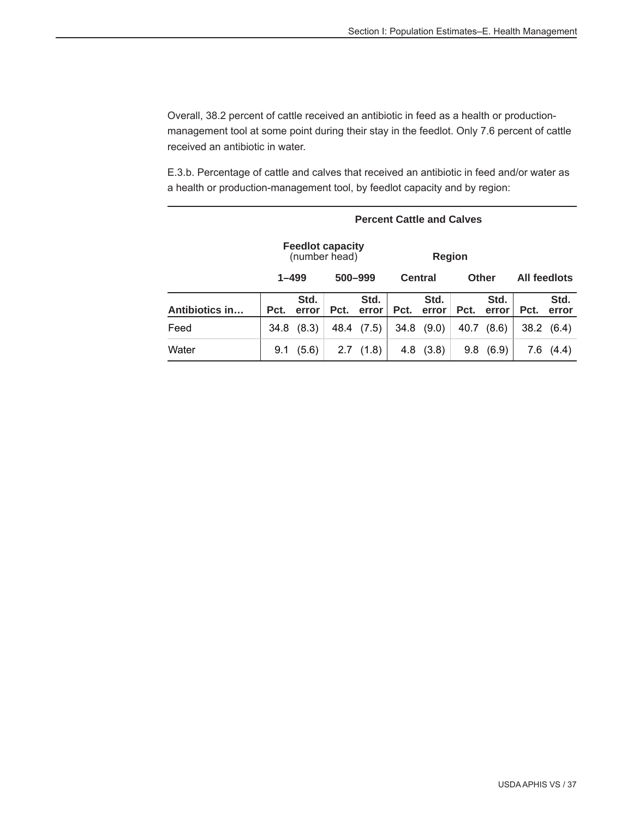Overall, 38.2 percent of cattle received an antibiotic in feed as a health or productionmanagement tool at some point during their stay in the feedlot. Only 7.6 percent of cattle received an antibiotic in water.

E.3.b. Percentage of cattle and calves that received an antibiotic in feed and/or water as a health or production-management tool, by feedlot capacity and by region:

|                | <b>Percent Cattle and Calves</b>                                    |                                          |         |               |         |               |       |               |      |               |  |  |
|----------------|---------------------------------------------------------------------|------------------------------------------|---------|---------------|---------|---------------|-------|---------------|------|---------------|--|--|
|                |                                                                     | <b>Feedlot capacity</b><br>(number head) |         |               |         | <b>Region</b> |       |               |      |               |  |  |
|                | $1 - 499$                                                           |                                          | 500-999 |               | Central |               | Other |               |      | All feedlots  |  |  |
| Antibiotics in | Pct.                                                                | Std.<br>error                            | Pct.    | Std.<br>error | Pct.    | Std.<br>error | Pct.  | Std.<br>error | Pct. | Std.<br>error |  |  |
| Feed           | 34.8                                                                | (8.3)                                    | 48.4    | (7.5)         | 34.8    | (9.0)         | 40.7  | (8.6)         | 38.2 | (6.4)         |  |  |
| Water          | (6.9)<br>(5.6)<br>(1.8)<br>(3.8)<br>4.8<br>9.8<br>7.6<br>2.7<br>9.1 |                                          |         |               |         |               |       |               |      |               |  |  |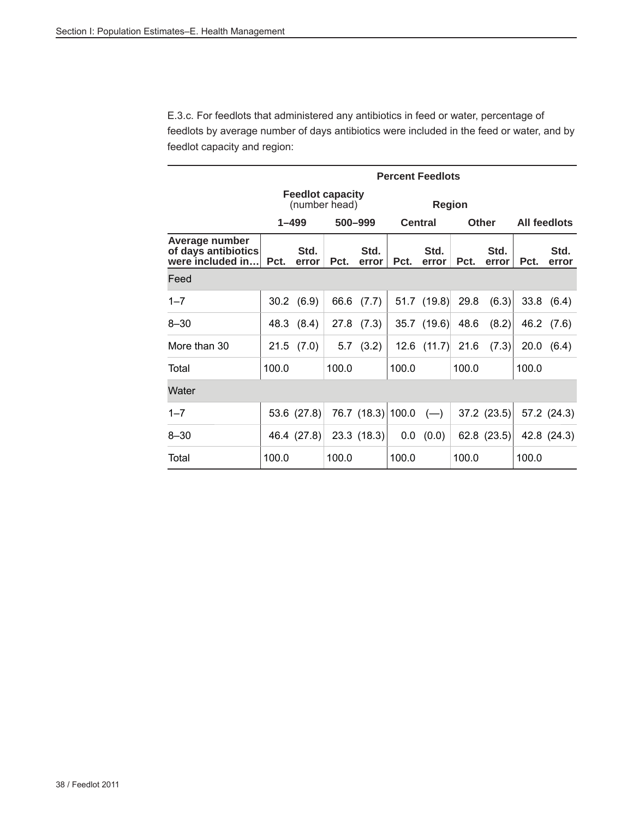E.3.c. For feedlots that administered any antibiotics in feed or water, percentage of feedlots by average number of days antibiotics were included in the feed or water, and by feedlot capacity and region:

|                                                           |       | <b>Percent Feedlots</b>                  |       |               |       |                |       |                              |       |               |  |  |  |
|-----------------------------------------------------------|-------|------------------------------------------|-------|---------------|-------|----------------|-------|------------------------------|-------|---------------|--|--|--|
|                                                           |       | <b>Feedlot capacity</b><br>(number head) |       |               |       | <b>Region</b>  |       |                              |       |               |  |  |  |
|                                                           |       | $1 - 499$<br>500-999                     |       |               |       | <b>Central</b> |       | <b>Other</b><br>All feedlots |       |               |  |  |  |
| Average number<br>of days antibiotics<br>were included in | Pct.  | Std.<br>error                            | Pct.  | Std.<br>error | Pct.  | Std.<br>error  | Pct.  | Std.<br>error                | Pct.  | Std.<br>error |  |  |  |
| Feed                                                      |       |                                          |       |               |       |                |       |                              |       |               |  |  |  |
| $1 - 7$                                                   |       | 30.2(6.9)                                | 66.6  | (7.7)         |       | 51.7 (19.8)    | 29.8  | (6.3)                        | 33.8  | (6.4)         |  |  |  |
| $8 - 30$                                                  |       | 48.3 (8.4)                               | 27.8  | (7.3)         |       | 35.7 (19.6)    | 48.6  | (8.2)                        |       | 46.2 (7.6)    |  |  |  |
| More than 30                                              | 21.5  | (7.0)                                    | 5.7   | (3.2)         |       | $12.6$ (11.7)  | 21.6  | (7.3)                        | 20.0  | (6.4)         |  |  |  |
| Total                                                     | 100.0 |                                          | 100.0 |               | 100.0 |                | 100.0 |                              | 100.0 |               |  |  |  |
| Water                                                     |       |                                          |       |               |       |                |       |                              |       |               |  |  |  |
| $1 - 7$                                                   |       | 53.6 (27.8)                              |       | 76.7 (18.3)   | 100.0 | $(-)$          |       | $37.2$ (23.5)                |       | 57.2 (24.3)   |  |  |  |
| $8 - 30$                                                  |       | 46.4 (27.8)                              |       | $23.3$ (18.3) | 0.0   | (0.0)          |       | 62.8 (23.5)                  |       | 42.8 (24.3)   |  |  |  |
| Total                                                     | 100.0 |                                          | 100.0 |               | 100.0 |                | 100.0 |                              | 100.0 |               |  |  |  |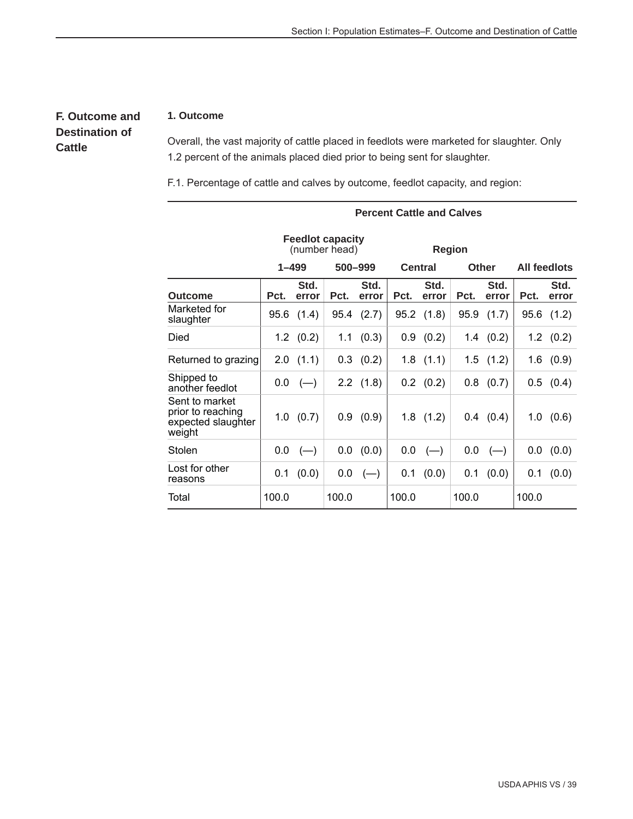# **F. Outcome and Destination of Cattle**

# **1. Outcome**

Overall, the vast majority of cattle placed in feedlots were marketed for slaughter. Only 1.2 percent of the animals placed died prior to being sent for slaughter.

F.1. Percentage of cattle and calves by outcome, feedlot capacity, and region:

|                                                                     |           | <b>Percent Cattle and Calves</b> |                                          |               |       |                |              |               |              |                   |  |  |  |  |
|---------------------------------------------------------------------|-----------|----------------------------------|------------------------------------------|---------------|-------|----------------|--------------|---------------|--------------|-------------------|--|--|--|--|
|                                                                     |           |                                  | <b>Feedlot capacity</b><br>(number head) |               |       | <b>Region</b>  |              |               |              |                   |  |  |  |  |
|                                                                     | $1 - 499$ |                                  |                                          | 500-999       |       | <b>Central</b> | <b>Other</b> |               | All feedlots |                   |  |  |  |  |
| <b>Outcome</b>                                                      | Pct.      | Std.<br>error                    | Pct.                                     | Std.<br>error | Pct.  | Std.<br>error  | Pct.         | Std.<br>error | Pct.         | Std.<br>error     |  |  |  |  |
| Marketed for<br>slaughter                                           |           | 95.6 (1.4)                       | 95.4                                     | (2.7)         |       | 95.2 (1.8)     | 95.9         | (1.7)         | 95.6         | (1.2)             |  |  |  |  |
| Died                                                                |           | $1.2$ (0.2)                      |                                          | $1.1$ (0.3)   |       | $0.9$ $(0.2)$  |              | 1.4(0.2)      |              | $1.2 \quad (0.2)$ |  |  |  |  |
| Returned to grazing                                                 |           | 2.0(1.1)                         |                                          | $0.3$ $(0.2)$ |       | 1.8(1.1)       |              | 1.5(1.2)      |              | 1.6(0.9)          |  |  |  |  |
| Shipped to<br>another feedlot                                       |           | $0.0$ (-)                        |                                          | $2.2$ $(1.8)$ |       | $0.2$ $(0.2)$  |              | $0.8$ $(0.7)$ |              | $0.5$ $(0.4)$     |  |  |  |  |
| Sent to market<br>prior to reaching<br>expected slaughter<br>weight |           | $1.0$ $(0.7)$                    |                                          | 0.9(0.9)      |       | $1.8$ $(1.2)$  |              | $0.4$ $(0.4)$ |              | $1.0$ $(0.6)$     |  |  |  |  |
| Stolen                                                              | 0.0       | $(-)$                            |                                          | 0.0 (0.0)     | 0.0   | $(-)$          | $0.0\,$      | $(-)$         | $0.0\,$      | (0.0)             |  |  |  |  |
| Lost for other<br>reasons                                           | 0.1       | (0.0)                            |                                          | $0.0$ (-)     | 0.1   | (0.0)          | 0.1          | (0.0)         | 0.1          | (0.0)             |  |  |  |  |
| Total                                                               | 100.0     |                                  | 100.0                                    |               | 100.0 |                | 100.0        |               | 100.0        |                   |  |  |  |  |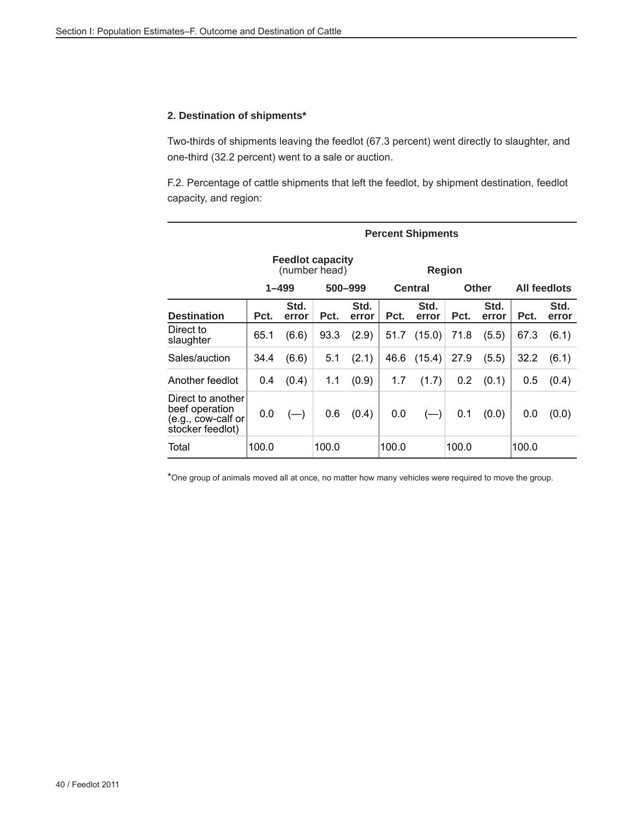### **2. Destination of shipments\***

Two-thirds of shipments leaving the feedlot (67.3 percent) went directly to slaughter, and one-third (32.2 percent) went to a sale or auction.

F.2. Percentage of cattle shipments that left the feedlot, by shipment destination, feedlot capacity, and region:

|                                                                               | <b>Percent Shipments</b> |                                          |       |               |       |                |               |               |       |               |  |  |  |
|-------------------------------------------------------------------------------|--------------------------|------------------------------------------|-------|---------------|-------|----------------|---------------|---------------|-------|---------------|--|--|--|
|                                                                               |                          | <b>Feedlot capacity</b><br>(number head) |       |               |       |                | <b>Region</b> |               |       |               |  |  |  |
|                                                                               |                          | $1 - 499$                                |       | 500-999       |       | <b>Central</b> |               | Other         |       | All feedlots  |  |  |  |
| <b>Destination</b>                                                            | Pct.                     | Std.<br>error                            | Pct.  | Std.<br>error | Pct.  | Std.<br>error  | Pct.          | Std.<br>error | Pct.  | Std.<br>error |  |  |  |
| Direct to<br>slaughter                                                        | 65.1                     | (6.6)                                    | 93.3  | (2.9)         | 51.7  | (15.0)         | 71.8          | (5.5)         | 67.3  | (6.1)         |  |  |  |
| Sales/auction                                                                 | 34.4                     | (6.6)                                    | 5.1   | (2.1)         | 46.6  | (15.4)         | 27.9          | (5.5)         | 32.2  | (6.1)         |  |  |  |
| Another feedlot                                                               | 0.4                      | (0.4)                                    | 1.1   | (0.9)         | 1.7   | (1.7)          | 0.2           | (0.1)         | 0.5   | (0.4)         |  |  |  |
| Direct to another<br>beef operation<br>(e.g., cow-calf or<br>stocker feedlot) | 0.0                      | $(-)$                                    | 0.6   | (0.4)         | 0.0   | $(-)$          | 0.1           | (0.0)         | 0.0   | (0.0)         |  |  |  |
| Total                                                                         | 100.0                    |                                          | 100.0 |               | 100.0 |                | 100.0         |               | 100.0 |               |  |  |  |

\*One group of animals moved all at once, no matter how many vehicles were required to move the group.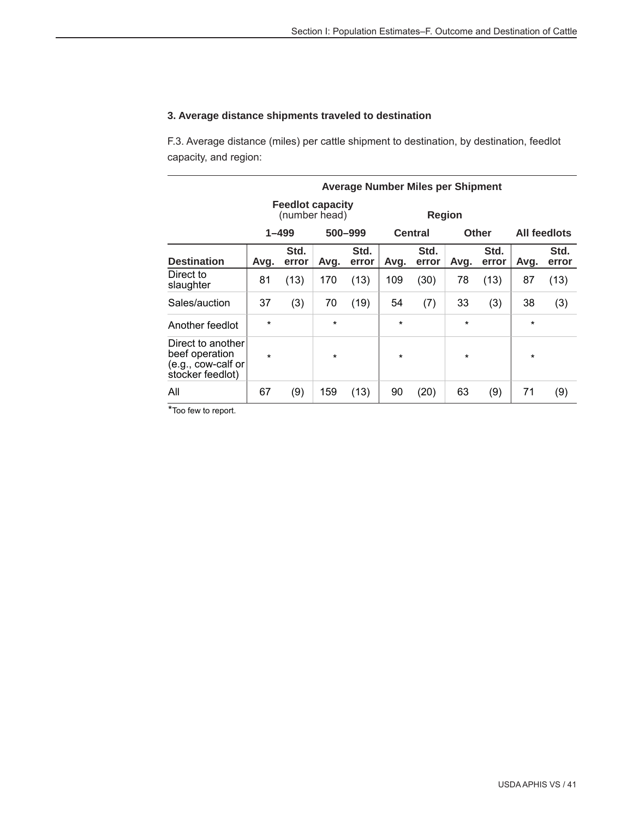# **3. Average distance shipments traveled to destination**

F.3. Average distance (miles) per cattle shipment to destination, by destination, feedlot capacity, and region:

|                                                                               | <b>Average Number Miles per Shipment</b> |               |         |               |         |               |         |               |              |               |  |  |
|-------------------------------------------------------------------------------|------------------------------------------|---------------|---------|---------------|---------|---------------|---------|---------------|--------------|---------------|--|--|
|                                                                               | <b>Feedlot capacity</b>                  |               |         |               |         |               |         |               |              |               |  |  |
|                                                                               | $1 - 499$                                |               | 500-999 |               | Central |               | Other   |               | All feedlots |               |  |  |
| <b>Destination</b>                                                            | Avg.                                     | Std.<br>error | Avg.    | Std.<br>error | Avg.    | Std.<br>error | Avg.    | Std.<br>error | Avg.         | Std.<br>error |  |  |
| Direct to<br>slaughter                                                        | 81                                       | (13)          | 170     | (13)          | 109     | (30)          | 78      | (13)          | 87           | (13)          |  |  |
| Sales/auction                                                                 | 37                                       | (3)           | 70      | (19)          | 54      | (7)           | 33      | (3)           | 38           | (3)           |  |  |
| Another feedlot                                                               | $\star$                                  |               | $\star$ |               | $\star$ |               | $\star$ |               | $\star$      |               |  |  |
| Direct to another<br>beef operation<br>(e.g., cow-calf or<br>stocker feedlot) | $\star$                                  |               | $\star$ |               | $\star$ |               | $\star$ |               | $\star$      |               |  |  |
| All                                                                           | 67                                       | (9)           | 159     | (13)          | 90      | (20)          | 63      | (9)           | 71           | (9)           |  |  |

\*Too few to report.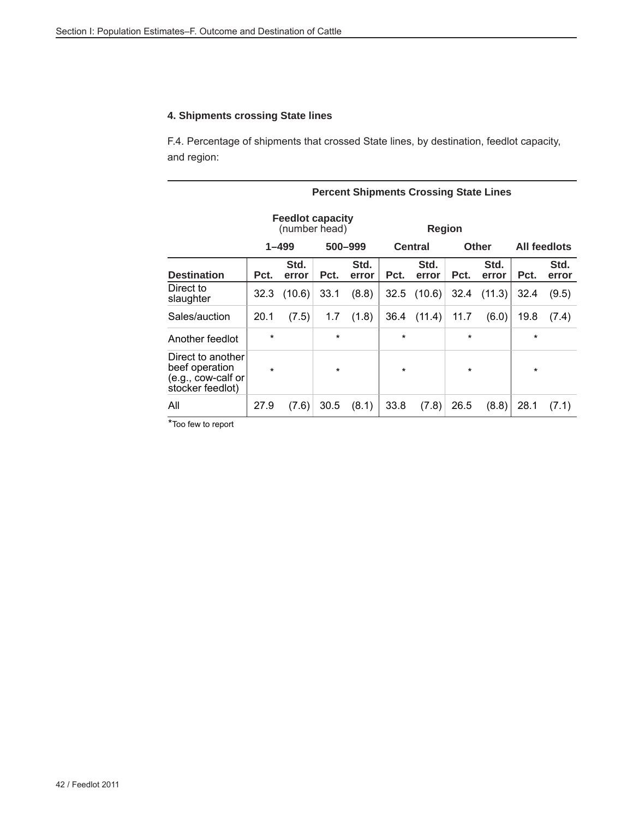# **4. Shipments crossing State lines**

F.4. Percentage of shipments that crossed State lines, by destination, feedlot capacity, and region:

|                                                                               | <b>Percent Shipments Crossing State Lines</b> |                                          |             |               |                |               |         |               |              |               |  |  |
|-------------------------------------------------------------------------------|-----------------------------------------------|------------------------------------------|-------------|---------------|----------------|---------------|---------|---------------|--------------|---------------|--|--|
|                                                                               |                                               | <b>Feedlot capacity</b><br>(number head) |             |               |                | <b>Region</b> |         |               |              |               |  |  |
|                                                                               | $1 - 499$                                     |                                          | $500 - 999$ |               | <b>Central</b> |               | Other   |               | All feedlots |               |  |  |
| <b>Destination</b>                                                            | Pct.                                          | Std.<br>error                            | Pct.        | Std.<br>error | Pct.           | Std.<br>error | Pct.    | Std.<br>error | Pct.         | Std.<br>error |  |  |
| Direct to<br>slaughter                                                        | 32.3                                          | (10.6)                                   | 33.1        | (8.8)         | 32.5           | (10.6)        | 32.4    | (11.3)        | 32.4         | (9.5)         |  |  |
| Sales/auction                                                                 | 20.1                                          | (7.5)                                    | 1.7         | (1.8)         | 36.4           | (11.4)        | 11.7    | (6.0)         | 19.8         | (7.4)         |  |  |
| Another feedlot                                                               | $\star$                                       |                                          | $\star$     |               | $\star$        |               | $\star$ |               | $\star$      |               |  |  |
| Direct to another<br>beef operation<br>(e.g., cow-calf or<br>stocker feedlot) | $\star$                                       |                                          | $\star$     |               | *              |               | $\star$ |               | $\star$      |               |  |  |
| All                                                                           | 27.9                                          | (7.6)                                    | 30.5        | (8.1)         | 33.8           | (7.8)         | 26.5    | (8.8)         | 28.1         | (7.1)         |  |  |

\*Too few to report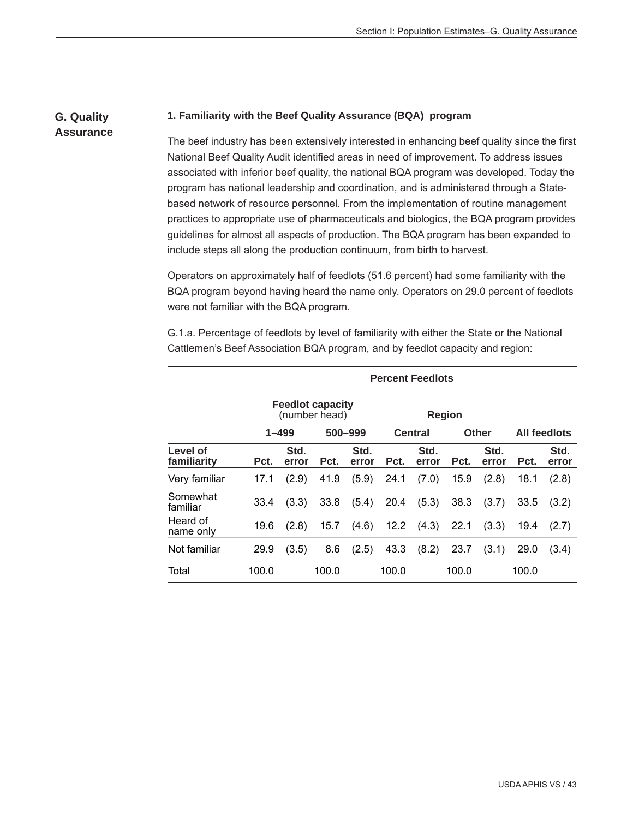#### **1. Familiarity with the Beef Quality Assurance (BQA) program G. Quality Assurance**

The beef industry has been extensively interested in enhancing beef quality since the first National Beef Quality Audit identified areas in need of improvement. To address issues associated with inferior beef quality, the national BQA program was developed. Today the program has national leadership and coordination, and is administered through a Statebased network of resource personnel. From the implementation of routine management practices to appropriate use of pharmaceuticals and biologics, the BQA program provides guidelines for almost all aspects of production. The BQA program has been expanded to include steps all along the production continuum, from birth to harvest.

Operators on approximately half of feedlots (51.6 percent) had some familiarity with the BQA program beyond having heard the name only. Operators on 29.0 percent of feedlots were not familiar with the BQA program.

G.1.a. Percentage of feedlots by level of familiarity with either the State or the National Cattlemen's Beef Association BQA program, and by feedlot capacity and region:

| <b>Percent Feedlots</b> |       |                                          |       |               |               |                |       |               |                     |               |  |
|-------------------------|-------|------------------------------------------|-------|---------------|---------------|----------------|-------|---------------|---------------------|---------------|--|
|                         |       | <b>Feedlot capacity</b><br>(number head) |       |               | <b>Region</b> |                |       |               |                     |               |  |
|                         |       | $1 - 499$                                |       | 500-999       |               | <b>Central</b> |       | Other         | <b>All feedlots</b> |               |  |
| Level of<br>familiarity | Pct.  | Std.<br>error                            | Pct.  | Std.<br>error | Pct.          | Std.<br>error  | Pct.  | Std.<br>error | Pct.                | Std.<br>error |  |
| Very familiar           | 17.1  | (2.9)                                    | 41.9  | (5.9)         | 24.1          | (7.0)          | 15.9  | (2.8)         | 18.1                | (2.8)         |  |
| Somewhat<br>familiar    | 33.4  | (3.3)                                    | 33.8  | (5.4)         | 20.4          | (5.3)          | 38.3  | (3.7)         | 33.5                | (3.2)         |  |
| Heard of<br>name only   | 19.6  | (2.8)                                    | 15.7  | (4.6)         | 12.2          | (4.3)          | 22.1  | (3.3)         | 19.4                | (2.7)         |  |
| Not familiar            | 29.9  | (3.5)                                    | 8.6   | (2.5)         | 43.3          | (8.2)          | 23.7  | (3.1)         | 29.0                | (3.4)         |  |
| Total                   | 100.0 |                                          | 100.0 |               | 100.0         |                | 100.0 |               | 100.0               |               |  |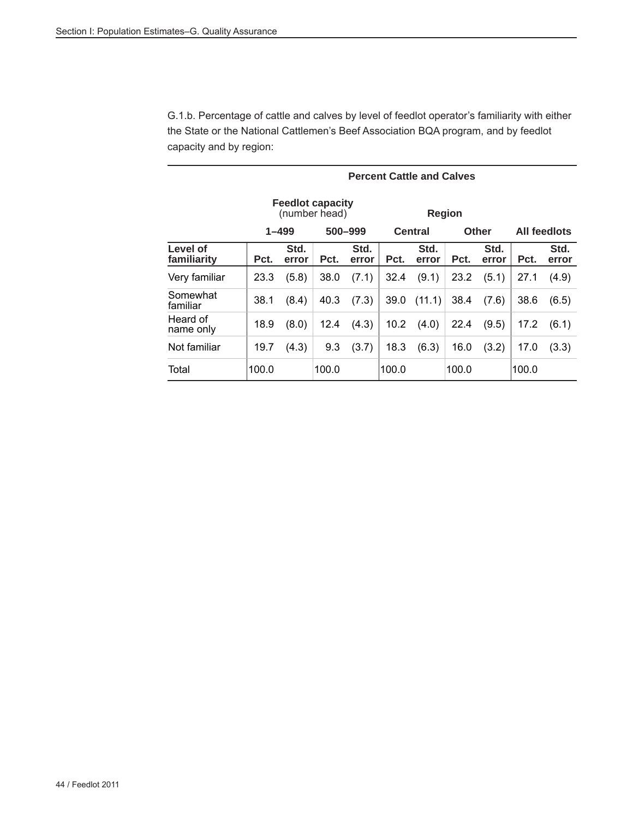G.1.b. Percentage of cattle and calves by level of feedlot operator's familiarity with either the State or the National Cattlemen's Beef Association BQA program, and by feedlot capacity and by region:

|                         | <b>Percent Cattle and Calves</b>         |               |       |               |       |                |       |                       |       |               |  |
|-------------------------|------------------------------------------|---------------|-------|---------------|-------|----------------|-------|-----------------------|-------|---------------|--|
|                         | <b>Feedlot capacity</b><br>(number head) |               |       |               |       |                |       |                       |       |               |  |
|                         |                                          | $1 - 499$     |       | 500-999       |       | <b>Central</b> |       | All feedlots<br>Other |       |               |  |
| Level of<br>familiarity | Pct.                                     | Std.<br>error | Pct.  | Std.<br>error | Pct.  | Std.<br>error  | Pct.  | Std.<br>error         | Pct.  | Std.<br>error |  |
| Very familiar           | 23.3                                     | (5.8)         | 38.0  | (7.1)         | 32.4  | (9.1)          | 23.2  | (5.1)                 | 27.1  | (4.9)         |  |
| Somewhat<br>familiar    | 38.1                                     | (8.4)         | 40.3  | (7.3)         | 39.0  | (11.1)         | 38.4  | (7.6)                 | 38.6  | (6.5)         |  |
| Heard of<br>name only   | 18.9                                     | (8.0)         | 12.4  | (4.3)         | 10.2  | (4.0)          | 22.4  | (9.5)                 | 17.2  | (6.1)         |  |
| Not familiar            | 19.7                                     | (4.3)         | 9.3   | (3.7)         | 18.3  | (6.3)          | 16.0  | (3.2)                 | 17.0  | (3.3)         |  |
| Total                   | 100.0                                    |               | 100.0 |               | 100.0 |                | 100.0 |                       | 100.0 |               |  |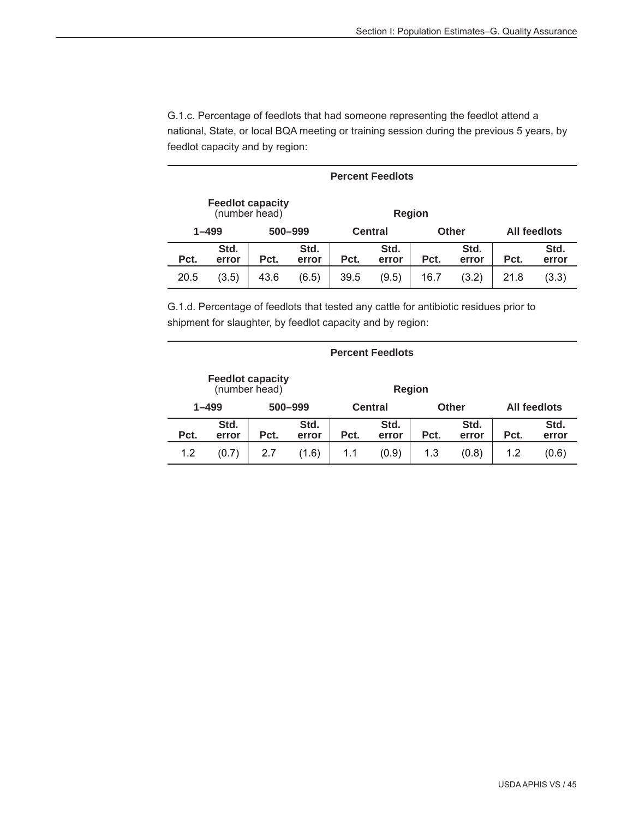G.1.c. Percentage of feedlots that had someone representing the feedlot attend a national, State, or local BQA meeting or training session during the previous 5 years, by feedlot capacity and by region:

|      | <b>Percent Feedlots</b> |               |               |                |               |               |               |                     |               |  |  |  |
|------|-------------------------|---------------|---------------|----------------|---------------|---------------|---------------|---------------------|---------------|--|--|--|
|      | <b>Feedlot capacity</b> | (number head) |               |                |               | <b>Region</b> |               |                     |               |  |  |  |
|      | $1 - 499$               |               | $500 - 999$   | <b>Central</b> |               |               | <b>Other</b>  | <b>All feedlots</b> |               |  |  |  |
| Pct. | Std.<br>error           | Pct.          | Std.<br>error | Pct.           | Std.<br>error | Pct.          | Std.<br>error | Pct.                | Std.<br>error |  |  |  |
| 20.5 | (3.5)                   | 43.6          | (6.5)         | 39.5           | (9.5)         | 16.7          | (3.2)         | 21.8                | (3.3)         |  |  |  |

G.1.d. Percentage of feedlots that tested any cattle for antibiotic residues prior to shipment for slaughter, by feedlot capacity and by region:

|                                                           | <b>Percent Feedlots</b> |      |               |                         |               |      |               |      |               |  |  |  |
|-----------------------------------------------------------|-------------------------|------|---------------|-------------------------|---------------|------|---------------|------|---------------|--|--|--|
| <b>Feedlot capacity</b><br>(number head)<br><b>Region</b> |                         |      |               |                         |               |      |               |      |               |  |  |  |
|                                                           | $1 - 499$               |      | 500-999       | <b>Central</b><br>Other |               |      |               |      | All feedlots  |  |  |  |
| Pct.                                                      | Std.<br>error           | Pct. | Std.<br>error | Pct.                    | Std.<br>error | Pct. | Std.<br>error | Pct. | Std.<br>error |  |  |  |
| 1.2                                                       | (0.7)                   | 1.2  | (0.6)         |                         |               |      |               |      |               |  |  |  |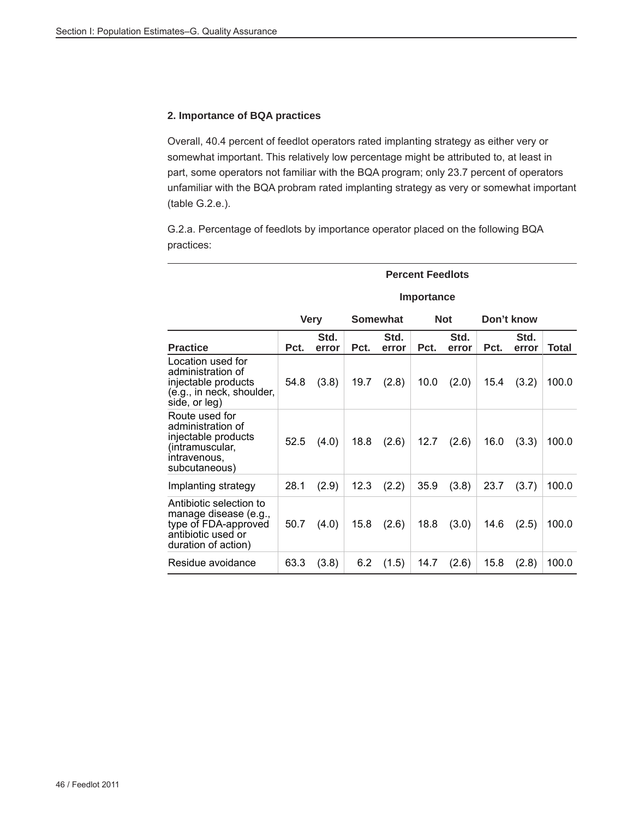### **2. Importance of BQA practices**

Overall, 40.4 percent of feedlot operators rated implanting strategy as either very or somewhat important. This relatively low percentage might be attributed to, at least in part, some operators not familiar with the BQA program; only 23.7 percent of operators unfamiliar with the BQA probram rated implanting strategy as very or somewhat important (table G.2.e.).

G.2.a. Percentage of feedlots by importance operator placed on the following BQA practices:

# **Percent Feedlots**

|                                                                                                                       | <b>Very</b> |               | <b>Somewhat</b> |               | <b>Not</b> |               | Don't know |               |       |
|-----------------------------------------------------------------------------------------------------------------------|-------------|---------------|-----------------|---------------|------------|---------------|------------|---------------|-------|
| <b>Practice</b>                                                                                                       | Pct.        | Std.<br>error | Pct.            | Std.<br>error | Pct.       | Std.<br>error | Pct.       | Std.<br>error | Total |
| Location used for<br>administration of<br>injectable products<br>(e.g., in neck, shoulder,<br>side, or leg)           | 54.8        | (3.8)         | 19.7            | (2.8)         | 10.0       | (2.0)         | 15.4       | (3.2)         | 100.0 |
| Route used for<br>administration of<br>injectable products<br>(intramuscular,<br>intravenous,<br>subcutaneous)        | 52.5        | (4.0)         | 18.8            | (2.6)         | 12.7       | (2.6)         | 16.0       | (3.3)         | 100.0 |
| Implanting strategy                                                                                                   | 28.1        | (2.9)         | 12.3            | (2.2)         | 35.9       | (3.8)         | 23.7       | (3.7)         | 100.0 |
| Antibiotic selection to<br>manage disease (e.g.,<br>type of FDA-approved<br>antibiotic used or<br>duration of action) | 50.7        | (4.0)         | 15.8            | (2.6)         | 18.8       | (3.0)         | 14.6       | (2.5)         | 100.0 |
| Residue avoidance                                                                                                     | 63.3        | (3.8)         | 6.2             | (1.5)         | 14.7       | (2.6)         | 15.8       | (2.8)         | 100.0 |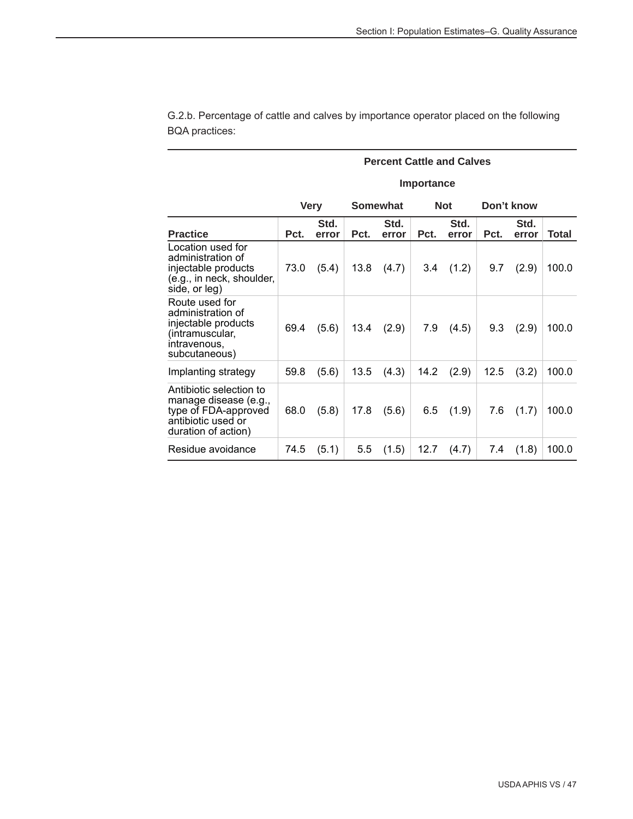G.2.b. Percentage of cattle and calves by importance operator placed on the following BQA practices:

# **Percent Cattle and Calves**

|                                                                                                                       |      | <b>Very</b>   |      | <b>Somewhat</b> |      | <b>Not</b>    |      | Don't know    |       |
|-----------------------------------------------------------------------------------------------------------------------|------|---------------|------|-----------------|------|---------------|------|---------------|-------|
| <b>Practice</b>                                                                                                       | Pct. | Std.<br>error | Pct. | Std.<br>error   | Pct. | Std.<br>error | Pct. | Std.<br>error | Total |
| Location used for<br>administration of<br>injectable products<br>(e.g., in neck, shoulder,<br>side, or leg)           | 73.0 | (5.4)         | 13.8 | (4.7)           | 3.4  | (1.2)         | 9.7  | (2.9)         | 100.0 |
| Route used for<br>administration of<br>injectable products<br>(intramuscular,<br>intravenous.<br>subcutaneous)        | 69.4 | (5.6)         | 13.4 | (2.9)           | 7.9  | (4.5)         | 9.3  | (2.9)         | 100.0 |
| Implanting strategy                                                                                                   | 59.8 | (5.6)         | 13.5 | (4.3)           | 14.2 | (2.9)         | 12.5 | (3.2)         | 100.0 |
| Antibiotic selection to<br>manage disease (e.g.,<br>type of FDA-approved<br>antibiotic used or<br>duration of action) | 68.0 | (5.8)         | 17.8 | (5.6)           | 6.5  | (1.9)         | 7.6  | (1.7)         | 100.0 |
| Residue avoidance                                                                                                     | 74.5 | (5.1)         | 5.5  | (1.5)           | 12.7 | (4.7)         | 7.4  | (1.8)         | 100.0 |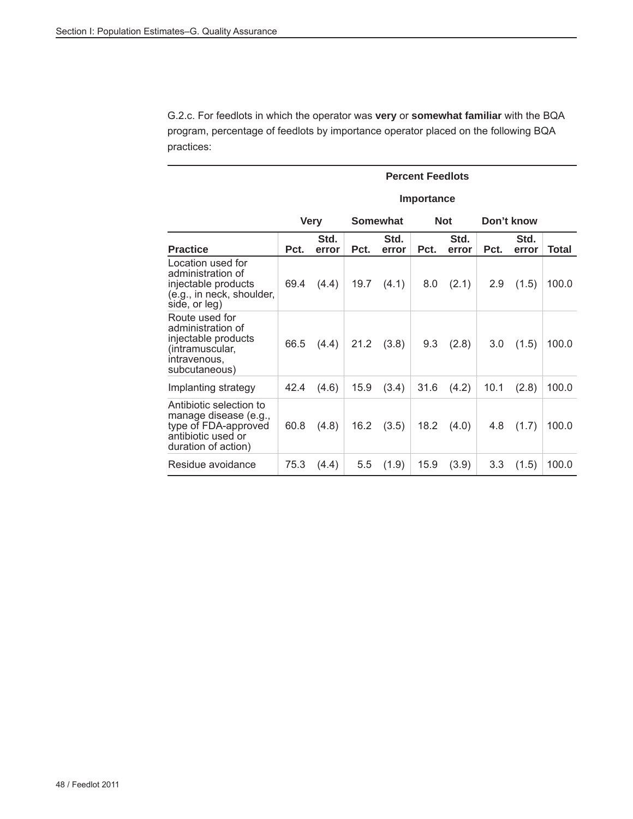G.2.c. For feedlots in which the operator was **very** or **somewhat familiar** with the BQA program, percentage of feedlots by importance operator placed on the following BQA practices:

# **Percent Feedlots**

|                                                                                                                       |      | Importance    |      |                 |      |               |      |               |       |  |  |
|-----------------------------------------------------------------------------------------------------------------------|------|---------------|------|-----------------|------|---------------|------|---------------|-------|--|--|
|                                                                                                                       |      | <b>Very</b>   |      | <b>Somewhat</b> |      | <b>Not</b>    |      | Don't know    |       |  |  |
| <b>Practice</b>                                                                                                       | Pct. | Std.<br>error | Pct. | Std.<br>error   | Pct. | Std.<br>error | Pct. | Std.<br>error | Total |  |  |
| Location used for<br>administration of<br>injectable products<br>(e.g., in neck, shoulder,<br>side, or leg)           | 69.4 | (4.4)         | 19.7 | (4.1)           | 8.0  | (2.1)         | 2.9  | (1.5)         | 100.0 |  |  |
| Route used for<br>administration of<br>injectable products<br>(intramuscular,<br>intravenous,<br>subcutaneous)        | 66.5 | (4.4)         | 21.2 | (3.8)           | 9.3  | (2.8)         | 3.0  | (1.5)         | 100.0 |  |  |
| Implanting strategy                                                                                                   | 42.4 | (4.6)         | 15.9 | (3.4)           | 31.6 | (4.2)         | 10.1 | (2.8)         | 100.0 |  |  |
| Antibiotic selection to<br>manage disease (e.g.,<br>type of FDA-approved<br>antibiotic used or<br>duration of action) | 60.8 | (4.8)         | 16.2 | (3.5)           | 18.2 | (4.0)         | 4.8  | (1.7)         | 100.0 |  |  |
| Residue avoidance                                                                                                     | 75.3 | (4.4)         | 5.5  | (1.9)           | 15.9 | (3.9)         | 3.3  | (1.5)         | 100.0 |  |  |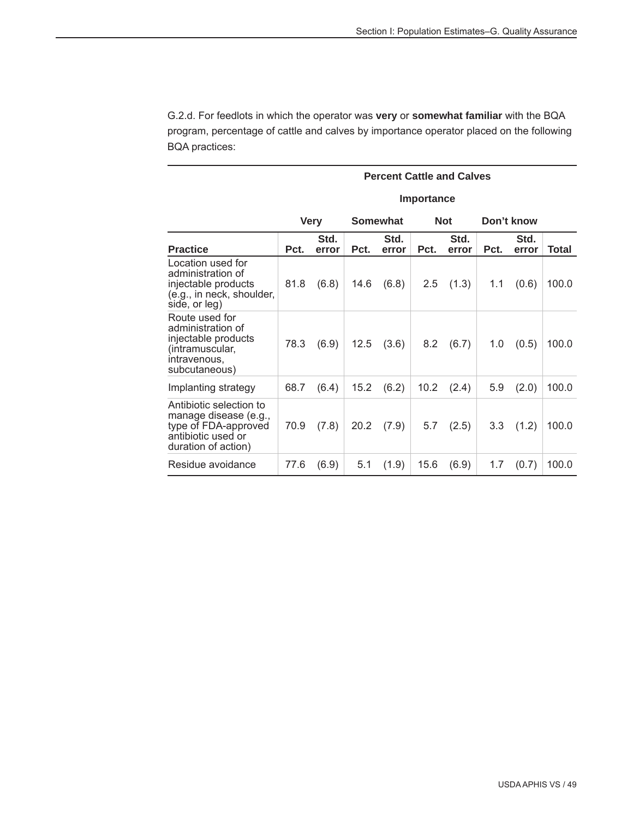G.2.d. For feedlots in which the operator was **very** or **somewhat familiar** with the BQA program, percentage of cattle and calves by importance operator placed on the following BQA practices:

### **Percent Cattle and Calves**

|                                                                                                                       |      | <b>Very</b>   |      | <b>Somewhat</b> | <b>Not</b> |                   | Don't know       |               |       |
|-----------------------------------------------------------------------------------------------------------------------|------|---------------|------|-----------------|------------|-------------------|------------------|---------------|-------|
| <b>Practice</b>                                                                                                       | Pct. | Std.<br>error | Pct. | Std.<br>error   | Pct.       | Std.<br>error     | Pct.             | Std.<br>error | Total |
| Location used for<br>administration of<br>injectable products<br>(e.g., in neck, shoulder,<br>side, or leg)           | 81.8 | (6.8)         | 14.6 | (6.8)           |            | $2.5$ $(1.3)$     | 1.1              | (0.6)         | 100.0 |
| Route used for<br>administration of<br>injectable products<br>(intramuscular,<br>intravenous,<br>subcutaneous)        | 78.3 | (6.9)         | 12.5 | (3.6)           |            | $8.2 \quad (6.7)$ | 1.0              | (0.5)         | 100.0 |
| Implanting strategy                                                                                                   | 68.7 | (6.4)         | 15.2 | (6.2)           | 10.2       | (2.4)             | 5.9              | (2.0)         | 100.0 |
| Antibiotic selection to<br>manage disease (e.g.,<br>type of FDA-approved<br>antibiotic used or<br>duration of action) | 70.9 | (7.8)         | 20.2 | (7.9)           | 5.7        | (2.5)             | 3.3 <sub>2</sub> | (1.2)         | 100.0 |
| Residue avoidance                                                                                                     | 77.6 | (6.9)         | 5.1  | (1.9)           | 15.6       | (6.9)             | 1.7              | (0.7)         | 100.0 |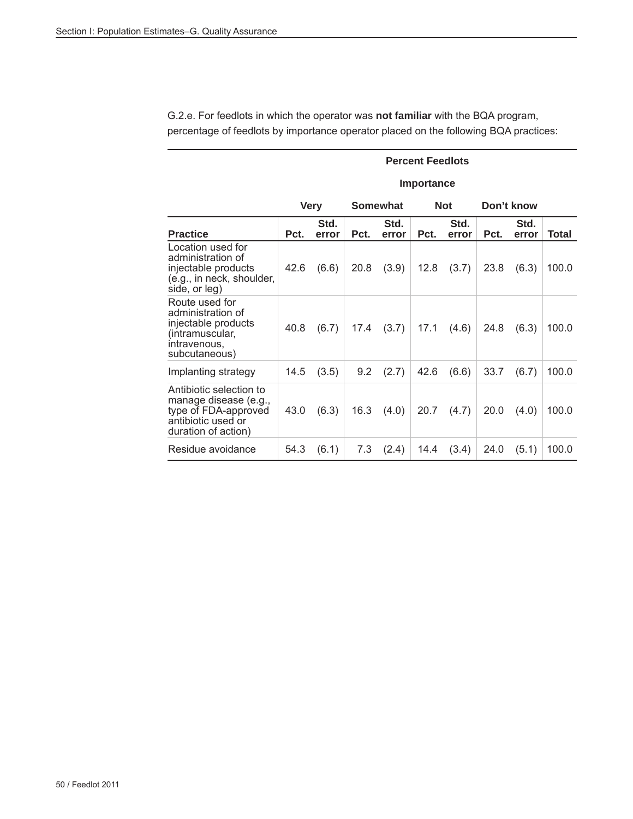G.2.e. For feedlots in which the operator was **not familiar** with the BQA program, percentage of feedlots by importance operator placed on the following BQA practices:

# **Percent Feedlots**

|                                                                                                                       |      | <b>Very</b>   |      | <b>Somewhat</b> |      | <b>Not</b>    |      | Don't know    |       |
|-----------------------------------------------------------------------------------------------------------------------|------|---------------|------|-----------------|------|---------------|------|---------------|-------|
| <b>Practice</b>                                                                                                       | Pct. | Std.<br>error | Pct. | Std.<br>error   | Pct. | Std.<br>error | Pct. | Std.<br>error | Total |
| Location used for<br>administration of<br>injectable products<br>(e.g., in neck, shoulder,<br>side, or leg)           | 42.6 | (6.6)         | 20.8 | (3.9)           | 12.8 | (3.7)         | 23.8 | (6.3)         | 100.0 |
| Route used for<br>administration of<br>injectable products<br>(intramuscular,<br>intravenous,<br>subcutaneous)        | 40.8 | (6.7)         | 17.4 | (3.7)           | 17.1 | (4.6)         | 24.8 | (6.3)         | 100.0 |
| Implanting strategy                                                                                                   | 14.5 | (3.5)         | 9.2  | (2.7)           | 42.6 | (6.6)         | 33.7 | (6.7)         | 100.0 |
| Antibiotic selection to<br>manage disease (e.g.,<br>type of FDA-approved<br>antibiotic used or<br>duration of action) | 43.0 | (6.3)         | 16.3 | (4.0)           | 20.7 | (4.7)         | 20.0 | (4.0)         | 100.0 |
| Residue avoidance                                                                                                     | 54.3 | (6.1)         | 7.3  | (2.4)           | 14.4 | (3.4)         | 24.0 | (5.1)         | 100.0 |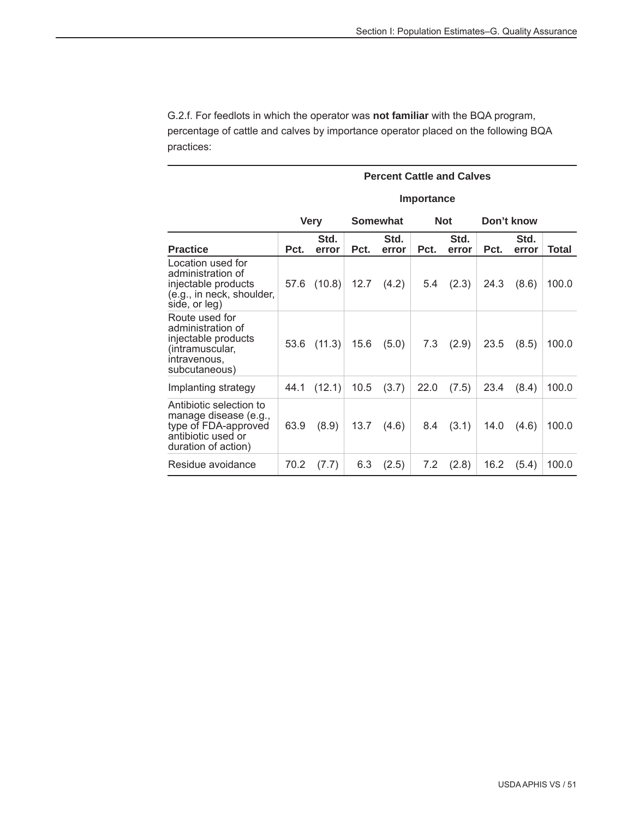G.2.f. For feedlots in which the operator was **not familiar** with the BQA program, percentage of cattle and calves by importance operator placed on the following BQA practices:

### **Percent Cattle and Calves**

|                                                                                                                       |      | <b>Very</b>     |      | <b>Somewhat</b> |      | <b>Not</b>    |      | Don't know    |       |
|-----------------------------------------------------------------------------------------------------------------------|------|-----------------|------|-----------------|------|---------------|------|---------------|-------|
| <b>Practice</b>                                                                                                       | Pct. | Std.<br>error   | Pct. | Std.<br>error   | Pct. | Std.<br>error | Pct. | Std.<br>error | Total |
| Location used for<br>administration of<br>injectable products<br>(e.g., in neck, shoulder,<br>side, or leg)           |      | $57.6$ (10.8)   | 12.7 | (4.2)           | 5.4  | (2.3)         | 24.3 | (8.6)         | 100.0 |
| Route used for<br>administration of<br>injectable products<br>(intramuscular,<br>intravenous.<br>subcutaneous)        |      | $53.6$ $(11.3)$ | 15.6 | (5.0)           | 7.3  | (2.9)         | 23.5 | (8.5)         | 100.0 |
| Implanting strategy                                                                                                   |      | $44.1$ $(12.1)$ | 10.5 | (3.7)           | 22.0 | (7.5)         | 23.4 | (8.4)         | 100.0 |
| Antibiotic selection to<br>manage disease (e.g.,<br>type of FDA-approved<br>antibiotic used or<br>duration of action) | 63.9 | (8.9)           | 13.7 | (4.6)           |      | $8.4$ (3.1)   | 14.0 | (4.6)         | 100.0 |
| Residue avoidance                                                                                                     | 70.2 | (7.7)           | 6.3  | (2.5)           | 7.2  | (2.8)         | 16.2 | (5.4)         | 100.0 |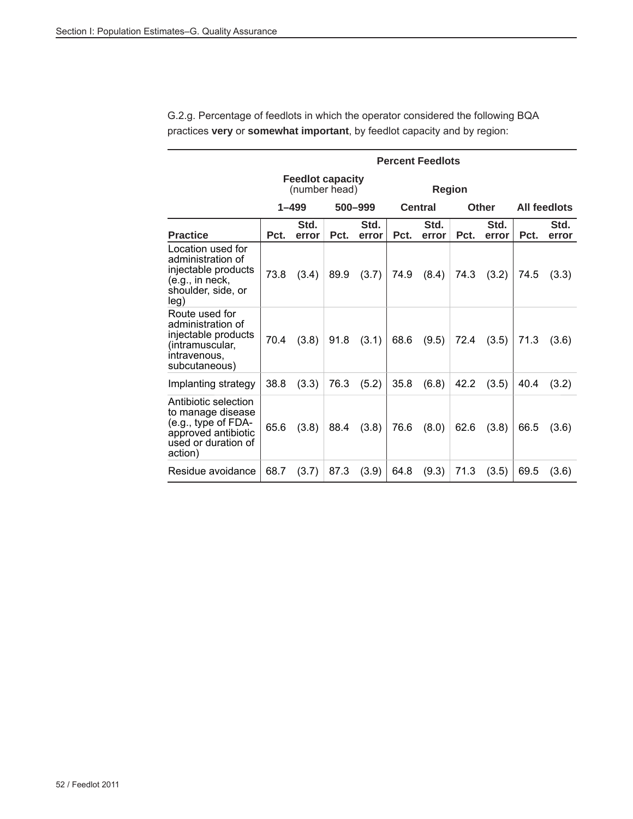|                                                                                                                           | <b>Percent Feedlots</b> |                                                    |      |               |      |                |      |                       |      |               |
|---------------------------------------------------------------------------------------------------------------------------|-------------------------|----------------------------------------------------|------|---------------|------|----------------|------|-----------------------|------|---------------|
|                                                                                                                           |                         | <b>Feedlot capacity</b><br>(number head)<br>Region |      |               |      |                |      |                       |      |               |
|                                                                                                                           |                         | $1 - 499$                                          |      | 500-999       |      | <b>Central</b> |      | All feedlots<br>Other |      |               |
| <b>Practice</b>                                                                                                           | Pct.                    | Std.<br>error                                      | Pct. | Std.<br>error | Pct. | Std.<br>error  | Pct. | Std.<br>error         | Pct. | Std.<br>error |
| Location used for<br>administration of<br>injectable products<br>(e.g., in neck,<br>shoulder, side, or<br>leg)            | 73.8                    | (3.4)                                              | 89.9 | (3.7)         | 74.9 | (8.4)          | 74.3 | (3.2)                 | 74.5 | (3.3)         |
| Route used for<br>administration of<br>injectable products<br>(intramuscular,<br>intravenous.<br>subcutaneous)            | 70.4                    | (3.8)                                              | 91.8 | (3.1)         | 68.6 | (9.5)          | 72.4 | (3.5)                 | 71.3 | (3.6)         |
| Implanting strategy                                                                                                       | 38.8                    | (3.3)                                              | 76.3 | (5.2)         | 35.8 | (6.8)          | 42.2 | (3.5)                 | 40.4 | (3.2)         |
| Antibiotic selection<br>to manage disease<br>(e.g., type of FDA-<br>approved antibiotic<br>used or duration of<br>action) | 65.6                    | (3.8)                                              | 88.4 | (3.8)         | 76.6 | (8.0)          | 62.6 | (3.8)                 | 66.5 | (3.6)         |
| Residue avoidance                                                                                                         | 68.7                    | (3.7)                                              | 87.3 | (3.9)         | 64.8 | (9.3)          | 71.3 | (3.5)                 | 69.5 | (3.6)         |

G.2.g. Percentage of feedlots in which the operator considered the following BQA practices **very** or **somewhat important**, by feedlot capacity and by region: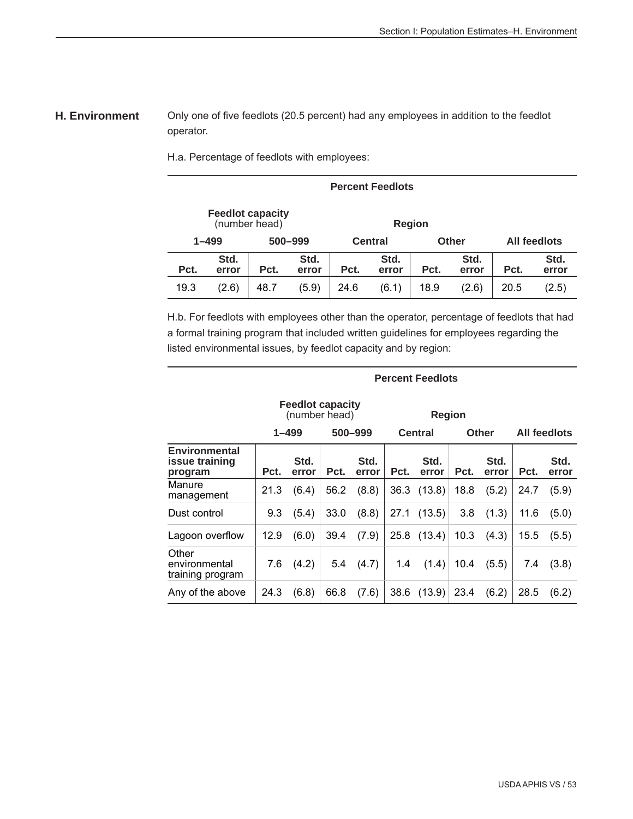#### Only one of five feedlots (20.5 percent) had any employees in addition to the feedlot operator. **H. Environment**

H.a. Percentage of feedlots with employees:

|                                                           | <b>Percent Feedlots</b> |      |               |      |                |      |               |      |                     |  |
|-----------------------------------------------------------|-------------------------|------|---------------|------|----------------|------|---------------|------|---------------------|--|
| <b>Feedlot capacity</b><br><b>Region</b><br>(number head) |                         |      |               |      |                |      |               |      |                     |  |
|                                                           | $1 - 499$<br>500-999    |      |               |      | <b>Central</b> |      | Other         |      | <b>All feedlots</b> |  |
| Pct.                                                      | Std.<br>error           | Pct. | Std.<br>error | Pct. | Std.<br>error  | Pct. | Std.<br>error | Pct. | Std.<br>error       |  |
| 19.3                                                      | (2.6)                   | 48.7 | (5.9)         | 24.6 | (6.1)          | 18.9 | (2.6)         | 20.5 | (2.5)               |  |

H.b. For feedlots with employees other than the operator, percentage of feedlots that had a formal training program that included written guidelines for employees regarding the listed environmental issues, by feedlot capacity and by region:

|                                                   | <b>Percent Feedlots</b>                  |               |      |               |      |                 |      |               |              |               |
|---------------------------------------------------|------------------------------------------|---------------|------|---------------|------|-----------------|------|---------------|--------------|---------------|
|                                                   | <b>Feedlot capacity</b><br>(number head) |               |      | <b>Region</b> |      |                 |      |               |              |               |
|                                                   |                                          | $1 - 499$     |      | $500 - 999$   |      | <b>Central</b>  |      | Other         | All feedlots |               |
| <b>Environmental</b><br>issue training<br>program | Pct.                                     | Std.<br>error | Pct. | Std.<br>error | Pct. | Std.<br>error   | Pct. | Std.<br>error | Pct.         | Std.<br>error |
| Manure<br>management                              | 21.3                                     | (6.4)         | 56.2 | (8.8)         |      | $36.3$ $(13.8)$ | 18.8 | (5.2)         | 24.7         | (5.9)         |
| Dust control                                      | 9.3                                      | (5.4)         | 33.0 | (8.8)         |      | 27.1 (13.5)     | 3.8  | (1.3)         | 11.6         | (5.0)         |
| Lagoon overflow                                   | 12.9                                     | (6.0)         | 39.4 | (7.9)         | 25.8 | (13.4)          | 10.3 | (4.3)         | 15.5         | (5.5)         |
| Other<br>environmental<br>training program        | 7.6                                      | (4.2)         | 5.4  | (4.7)         | 1.4  | (1.4)           | 10.4 | (5.5)         | 7.4          | (3.8)         |
| Any of the above                                  | 24.3                                     | (6.8)         | 66.8 | (7.6)         | 38.6 | (13.9)          | 23.4 | (6.2)         | 28.5         | (6.2)         |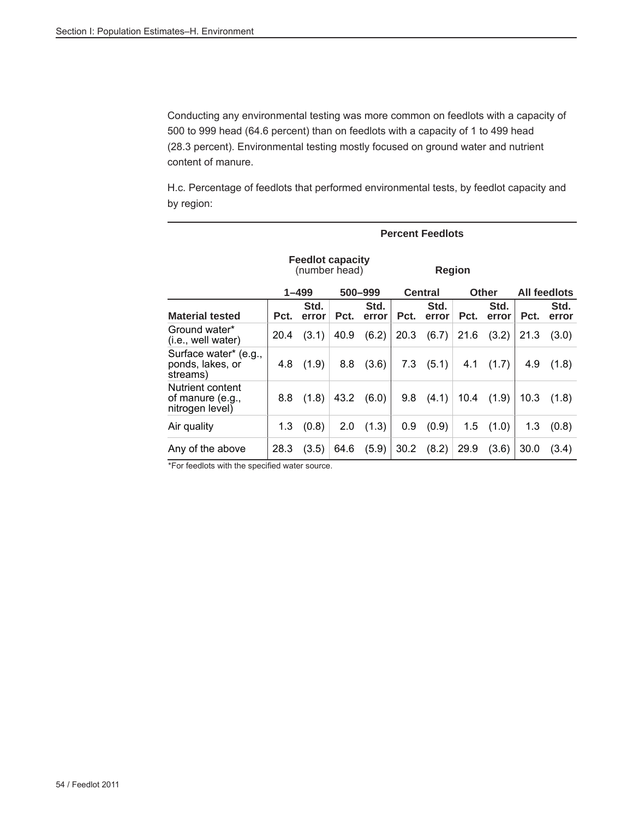Conducting any environmental testing was more common on feedlots with a capacity of 500 to 999 head (64.6 percent) than on feedlots with a capacity of 1 to 499 head (28.3 percent). Environmental testing mostly focused on ground water and nutrient content of manure.

H.c. Percentage of feedlots that performed environmental tests, by feedlot capacity and by region:

|                                                         |                                                           | <b>Percent Feedlots</b> |      |               |      |                |      |               |      |               |
|---------------------------------------------------------|-----------------------------------------------------------|-------------------------|------|---------------|------|----------------|------|---------------|------|---------------|
|                                                         | <b>Feedlot capacity</b><br>(number head)<br><b>Region</b> |                         |      |               |      |                |      |               |      |               |
|                                                         |                                                           | $1 - 499$               |      | 500-999       |      | <b>Central</b> |      | <b>Other</b>  |      | All feedlots  |
| <b>Material tested</b>                                  | Pct.                                                      | Std.<br>error           | Pct. | Std.<br>error | Pct. | Std.<br>error  | Pct. | Std.<br>error | Pct. | Std.<br>error |
| Ground water*<br>(i.e., well water)                     | 20.4                                                      | (3.1)                   | 40.9 | (6.2)         | 20.3 | (6.7)          | 21.6 | (3.2)         | 21.3 | (3.0)         |
| Surface water* (e.g.,<br>ponds, lakes, or<br>streams)   | 4.8                                                       | (1.9)                   | 8.8  | (3.6)         | 7.3  | (5.1)          | 4.1  | (1.7)         | 4.9  | (1.8)         |
| Nutrient content<br>of manure (e.g.,<br>nitrogen level) | 8.8                                                       | (1.8)                   | 43.2 | (6.0)         | 9.8  | (4.1)          | 10.4 | (1.9)         | 10.3 | (1.8)         |
| Air quality                                             | 1.3                                                       | (0.8)                   | 2.0  | (1.3)         | 0.9  | (0.9)          | 1.5  | (1.0)         | 1.3  | (0.8)         |
| Any of the above                                        | 28.3                                                      | (3.5)                   | 64.6 | (5.9)         | 30.2 | (8.2)          | 29.9 | (3.6)         | 30.0 | (3.4)         |

\*For feedlots with the specified water source.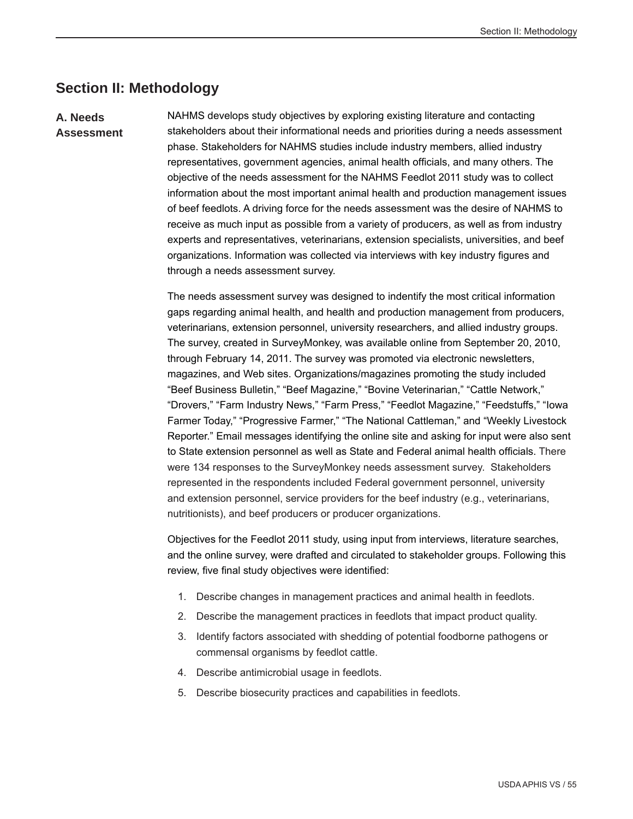# **Section II: Methodology**

### **A. Needs Assessment**

NAHMS develops study objectives by exploring existing literature and contacting stakeholders about their informational needs and priorities during a needs assessment phase. Stakeholders for NAHMS studies include industry members, allied industry representatives, government agencies, animal health officials, and many others. The objective of the needs assessment for the NAHMS Feedlot 2011 study was to collect information about the most important animal health and production management issues of beef feedlots. A driving force for the needs assessment was the desire of NAHMS to receive as much input as possible from a variety of producers, as well as from industry experts and representatives, veterinarians, extension specialists, universities, and beef organizations. Information was collected via interviews with key industry figures and through a needs assessment survey.

The needs assessment survey was designed to indentify the most critical information gaps regarding animal health, and health and production management from producers, veterinarians, extension personnel, university researchers, and allied industry groups. The survey, created in SurveyMonkey, was available online from September 20, 2010, through February 14, 2011. The survey was promoted via electronic newsletters, magazines, and Web sites. Organizations/magazines promoting the study included "Beef Business Bulletin," "Beef Magazine," "Bovine Veterinarian," "Cattle Network," "Drovers," "Farm Industry News," "Farm Press," "Feedlot Magazine," "Feedstuffs," "Iowa Farmer Today," "Progressive Farmer," "The National Cattleman," and "Weekly Livestock Reporter." Email messages identifying the online site and asking for input were also sent to State extension personnel as well as State and Federal animal health officials. There were 134 responses to the SurveyMonkey needs assessment survey. Stakeholders represented in the respondents included Federal government personnel, university and extension personnel, service providers for the beef industry (e.g., veterinarians, nutritionists), and beef producers or producer organizations.

Objectives for the Feedlot 2011 study, using input from interviews, literature searches, and the online survey, were drafted and circulated to stakeholder groups. Following this review, five final study objectives were identified:

- 1. Describe changes in management practices and animal health in feedlots.
- 2. Describe the management practices in feedlots that impact product quality.
- 3. Identify factors associated with shedding of potential foodborne pathogens or commensal organisms by feedlot cattle.
- 4. Describe antimicrobial usage in feedlots.
- 5. Describe biosecurity practices and capabilities in feedlots.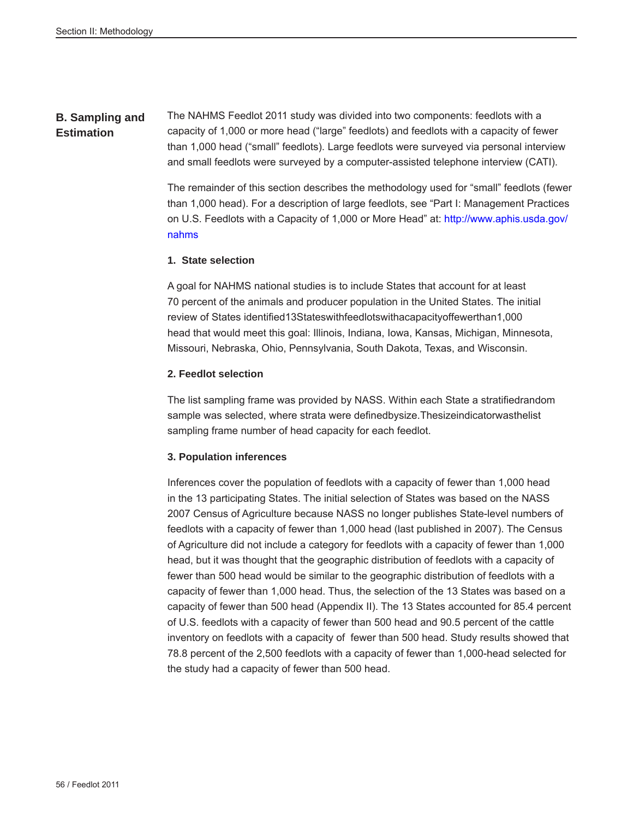#### The NAHMS Feedlot 2011 study was divided into two components: feedlots with a capacity of 1,000 or more head ("large" feedlots) and feedlots with a capacity of fewer than 1,000 head ("small" feedlots). Large feedlots were surveyed via personal interview and small feedlots were surveyed by a computer-assisted telephone interview (CATI). **B. Sampling and Estimation**

The remainder of this section describes the methodology used for "small" feedlots (fewer than 1,000 head). For a description of large feedlots, see "Part I: Management Practices on U.S. Feedlots with a Capacity of 1,000 or More Head" at: http://www.aphis.usda.gov/ nahms

# **1. State selection**

A goal for NAHMS national studies is to include States that account for at least 70 percent of the animals and producer population in the United States. The initial review of States identified 13 States with feedlots with a capacity of fewer than 1,000 head that would meet this goal: Illinois, Indiana, Iowa, Kansas, Michigan, Minnesota, Missouri, Nebraska, Ohio, Pennsylvania, South Dakota, Texas, and Wisconsin.

# **2. Feedlot selection**

The list sampling frame was provided by NASS. Within each State a stratifiedrandom sample was selected, where strata were definedbysize. The size indicator was the list sampling frame number of head capacity for each feedlot.

# **3. Population inferences**

Inferences cover the population of feedlots with a capacity of fewer than 1,000 head in the 13 participating States. The initial selection of States was based on the NASS 2007 Census of Agriculture because NASS no longer publishes State-level numbers of feedlots with a capacity of fewer than 1,000 head (last published in 2007). The Census of Agriculture did not include a category for feedlots with a capacity of fewer than 1,000 head, but it was thought that the geographic distribution of feedlots with a capacity of fewer than 500 head would be similar to the geographic distribution of feedlots with a capacity of fewer than 1,000 head. Thus, the selection of the 13 States was based on a capacity of fewer than 500 head (Appendix II). The 13 States accounted for 85.4 percent of U.S. feedlots with a capacity of fewer than 500 head and 90.5 percent of the cattle inventory on feedlots with a capacity of fewer than 500 head. Study results showed that 78.8 percent of the 2,500 feedlots with a capacity of fewer than 1,000-head selected for the study had a capacity of fewer than 500 head.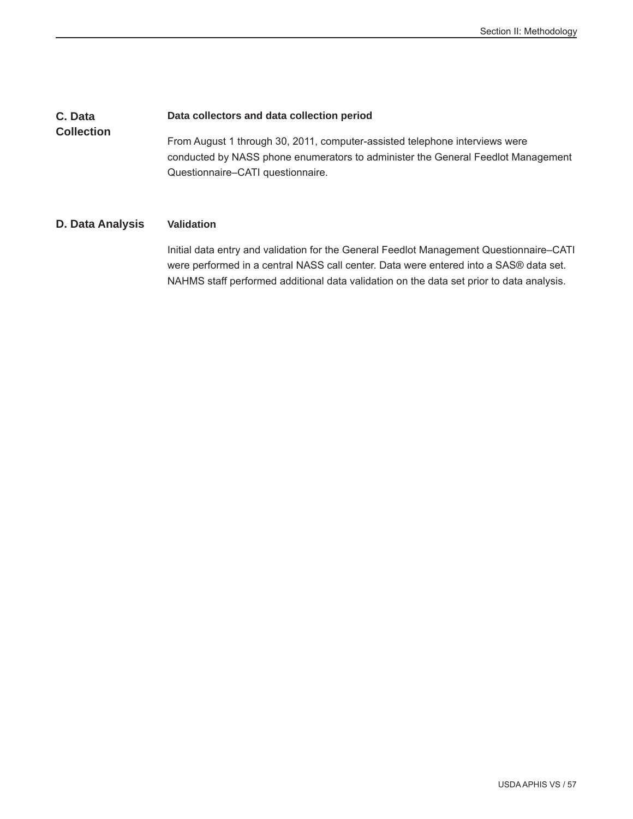#### **Data collectors and data collection period C. Data**

From August 1 through 30, 2011, computer-assisted telephone interviews were conducted by NASS phone enumerators to administer the General Feedlot Management Questionnaire–CATI questionnaire.

#### **Validation D. Data Analysis**

**Collection**

Initial data entry and validation for the General Feedlot Management Questionnaire–CATI were performed in a central NASS call center. Data were entered into a SAS® data set. NAHMS staff performed additional data validation on the data set prior to data analysis.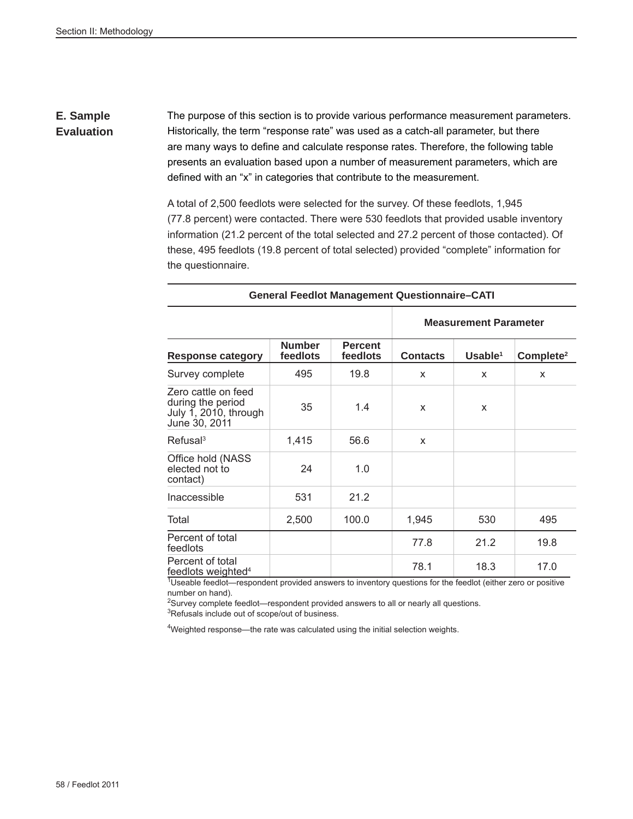# **E. Sample Evaluation**

The purpose of this section is to provide various performance measurement parameters. Historically, the term "response rate" was used as a catch-all parameter, but there are many ways to define and calculate response rates. Therefore, the following table presents an evaluation based upon a number of measurement parameters, which are defined with an "x" in categories that contribute to the measurement.

A total of 2,500 feedlots were selected for the survey. Of these feedlots, 1,945 (77.8 percent) were contacted. There were 530 feedlots that provided usable inventory information (21.2 percent of the total selected and 27.2 percent of those contacted). Of these, 495 feedlots (19.8 percent of total selected) provided "complete" information for the questionnaire.

|                                                                                    |                           |                            |                           | <b>Measurement Parameter</b> |                       |
|------------------------------------------------------------------------------------|---------------------------|----------------------------|---------------------------|------------------------------|-----------------------|
| <b>Response category</b>                                                           | <b>Number</b><br>feedlots | <b>Percent</b><br>feedlots | <b>Contacts</b>           | Usable $1$                   | Complete <sup>2</sup> |
| Survey complete                                                                    | 495                       | 19.8                       | X                         | X                            | X                     |
| Zero cattle on feed<br>during the period<br>July 1, 2010, through<br>June 30, 2011 | 35                        | 1.4                        | $\boldsymbol{\mathsf{x}}$ | X                            |                       |
| Refusal <sup>3</sup>                                                               | 1,415                     | 56.6                       | X                         |                              |                       |
| Office hold (NASS<br>elected not to<br>contact)                                    | 24                        | 1.0                        |                           |                              |                       |
| Inaccessible                                                                       | 531                       | 21.2                       |                           |                              |                       |
| Total                                                                              | 2,500                     | 100.0                      | 1,945                     | 530                          | 495                   |
| Percent of total<br>feedlots                                                       |                           |                            | 77.8                      | 21.2                         | 19.8                  |
| Percent of total<br>feedlots weighted <sup>4</sup>                                 |                           |                            | 78.1                      | 18.3                         | 17.0                  |

### **General Feedlot Management Questionnaire–CATI**

<sup>1</sup>Useable feedlot—respondent provided answers to inventory questions for the feedlot (either zero or positive number on hand).

<sup>2</sup>Survey complete feedlot—respondent provided answers to all or nearly all questions.

<sup>3</sup>Refusals include out of scope/out of business.

<sup>4</sup>Weighted response—the rate was calculated using the initial selection weights.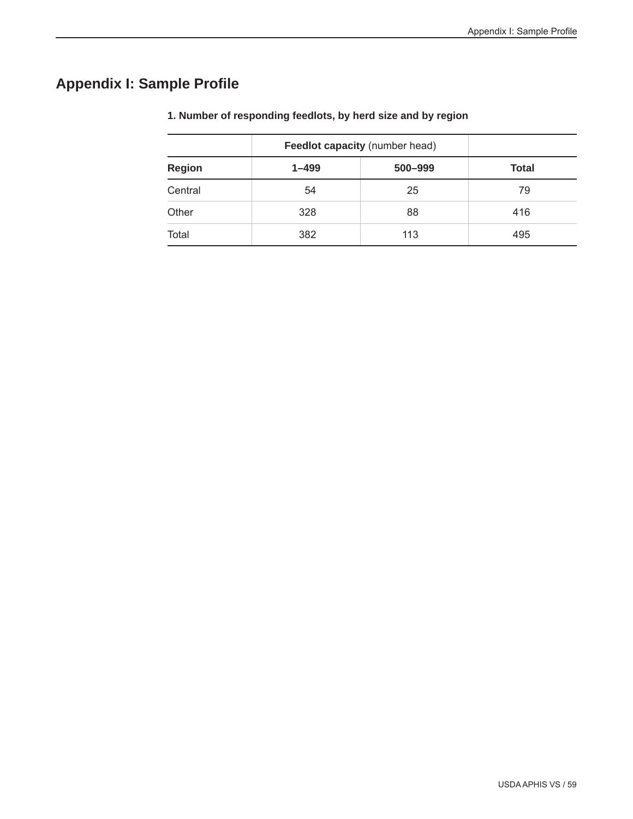# **Appendix I: Sample Profile**

| Feedlot capacity (number head) |           |             |              |  |  |  |
|--------------------------------|-----------|-------------|--------------|--|--|--|
| <b>Region</b>                  | $1 - 499$ | $500 - 999$ | <b>Total</b> |  |  |  |
| Central                        | 54        | 25          | 79           |  |  |  |
| Other                          | 328       | 88          | 416          |  |  |  |
| Total                          | 382       | 113         | 495          |  |  |  |

# **1. Number of responding feedlots, by herd size and by region**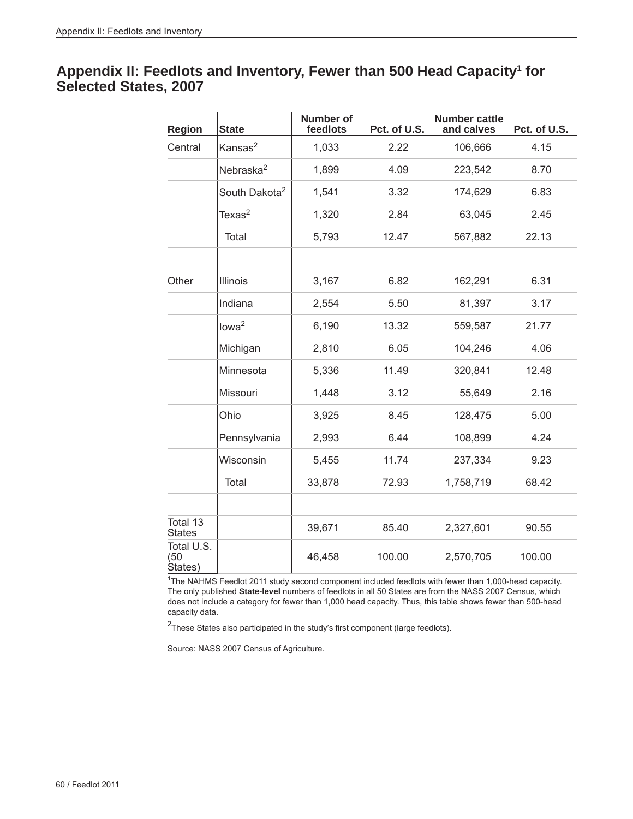# Appendix II: Feedlots and Inventory, Fewer than 500 Head Capacity<sup>1</sup> for **Selected States, 2007**

| <b>Region</b>                 | <b>State</b>              | <b>Number of</b><br>feedlots | Pct. of U.S. | <b>Number cattle</b><br>and calves | Pct. of U.S. |
|-------------------------------|---------------------------|------------------------------|--------------|------------------------------------|--------------|
| Central                       | Kansas <sup>2</sup>       | 1,033                        | 2.22         | 106,666                            | 4.15         |
|                               | Nebraska <sup>2</sup>     | 1,899                        | 4.09         | 223,542                            | 8.70         |
|                               | South Dakota <sup>2</sup> | 1,541                        | 3.32         | 174,629                            | 6.83         |
|                               | Texas $2$                 | 1,320                        | 2.84         | 63,045                             | 2.45         |
|                               | Total                     | 5,793                        | 12.47        | 567,882                            | 22.13        |
|                               |                           |                              |              |                                    |              |
| Other                         | <b>Illinois</b>           | 3,167                        | 6.82         | 162,291                            | 6.31         |
|                               | Indiana                   | 2,554                        | 5.50         | 81,397                             | 3.17         |
|                               | Iowa <sup>2</sup>         | 6,190                        | 13.32        | 559,587                            | 21.77        |
|                               | Michigan                  | 2,810                        | 6.05         | 104,246                            | 4.06         |
|                               | Minnesota                 | 5,336                        | 11.49        | 320,841                            | 12.48        |
|                               | Missouri                  | 1,448                        | 3.12         | 55,649                             | 2.16         |
|                               | Ohio                      | 3,925                        | 8.45         | 128,475                            | 5.00         |
|                               | Pennsylvania              | 2,993                        | 6.44         | 108,899                            | 4.24         |
|                               | Wisconsin                 | 5,455                        | 11.74        | 237,334                            | 9.23         |
|                               | Total                     | 33,878                       | 72.93        | 1,758,719                          | 68.42        |
|                               |                           |                              |              |                                    |              |
| Total 13<br><b>States</b>     |                           | 39,671                       | 85.40        | 2,327,601                          | 90.55        |
| Total U.S.<br>(50)<br>States) |                           | 46,458                       | 100.00       | 2,570,705                          | 100.00       |

<sup>1</sup>The NAHMS Feedlot 2011 study second component included feedlots with fewer than 1,000-head capacity. The only published **State-level** numbers of feedlots in all 50 States are from the NASS 2007 Census, which does not include a category for fewer than 1,000 head capacity. Thus, this table shows fewer than 500-head capacity data.

 $2$ These States also participated in the study's first component (large feedlots).

Source: NASS 2007 Census of Agriculture.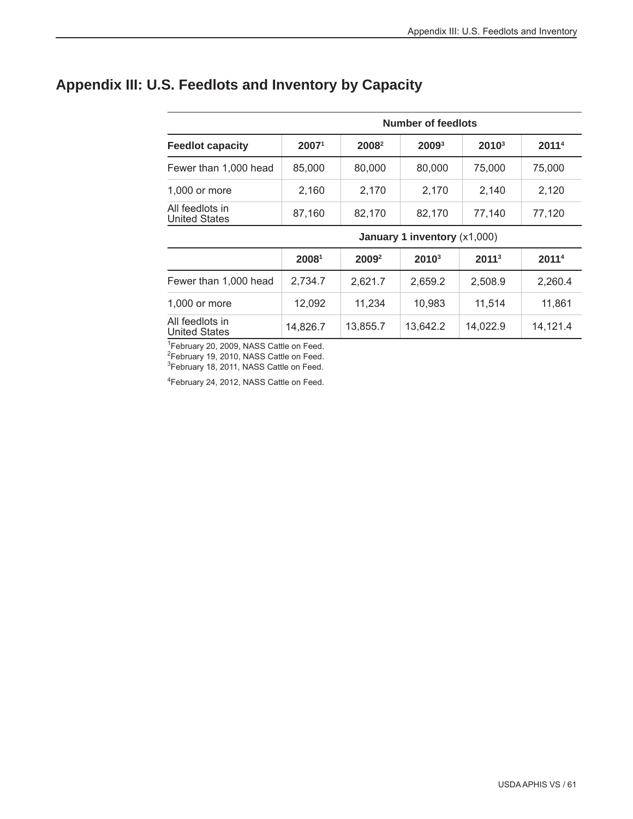|                                         | <b>Number of feedlots</b> |                   |                              |                   |                          |  |  |  |  |
|-----------------------------------------|---------------------------|-------------------|------------------------------|-------------------|--------------------------|--|--|--|--|
| <b>Feedlot capacity</b>                 | 20071                     | 2008 <sup>2</sup> | 20093                        | 2010 <sup>3</sup> | <b>2011</b> <sup>4</sup> |  |  |  |  |
| Fewer than 1,000 head                   | 85,000                    | 80,000            | 80,000                       | 75,000            | 75,000                   |  |  |  |  |
| 1,000 or more                           | 2,160                     | 2,170             | 2,170                        | 2,140             | 2,120                    |  |  |  |  |
| All feedlots in<br><b>United States</b> | 87,160                    | 82,170            | 82,170                       | 77,140            | 77,120                   |  |  |  |  |
|                                         |                           |                   | January 1 inventory (x1,000) |                   |                          |  |  |  |  |
|                                         | 20081                     | 2009 <sup>2</sup> | $2010^3$                     | 2011 <sup>3</sup> | 20114                    |  |  |  |  |
| Fewer than 1,000 head                   | 2,734.7                   | 2,621.7           | 2,659.2                      | 2,508.9           | 2,260.4                  |  |  |  |  |
| 1,000 or more                           | 12,092                    | 11,234            | 10,983                       | 11,514            | 11,861                   |  |  |  |  |
| All feedlots in<br><b>United States</b> | 14,826.7                  | 13,855.7          | 13,642.2                     | 14,022.9          | 14,121.4                 |  |  |  |  |

# **Appendix III: U.S. Feedlots and Inventory by Capacity**

<sup>1</sup>February 20, 2009, NASS Cattle on Feed.

<sup>2</sup>February 19, 2010, NASS Cattle on Feed.

<sup>3</sup>February 18, 2011, NASS Cattle on Feed.

<sup>4</sup>February 24, 2012, NASS Cattle on Feed.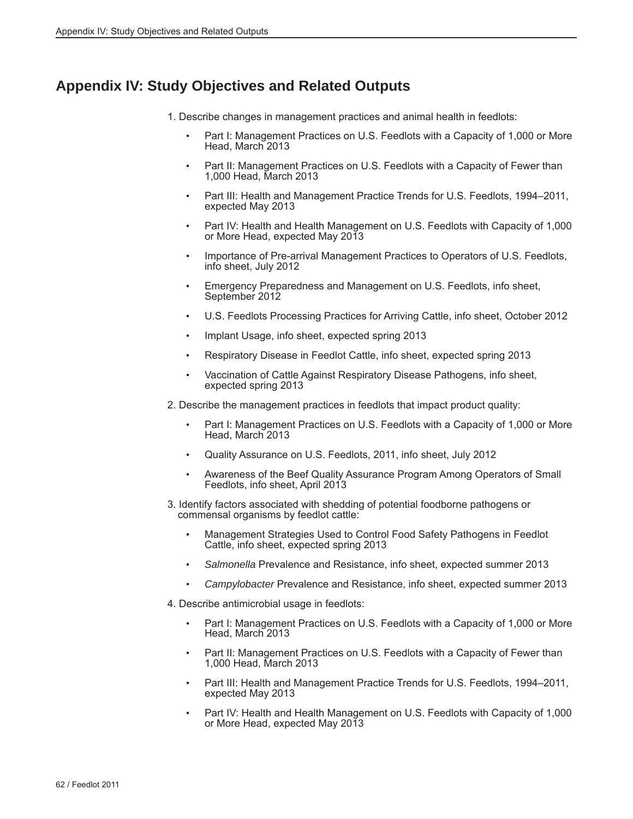# **Appendix IV: Study Objectives and Related Outputs**

1. Describe changes in management practices and animal health in feedlots:

- Part I: Management Practices on U.S. Feedlots with a Capacity of 1,000 or More Head, March 2013
- Part II: Management Practices on U.S. Feedlots with a Capacity of Fewer than 1,000 Head, March 2013
- Part III: Health and Management Practice Trends for U.S. Feedlots, 1994–2011, expected May 2013
- Part IV: Health and Health Management on U.S. Feedlots with Capacity of 1,000 or More Head, expected May 2013
- Importance of Pre-arrival Management Practices to Operators of U.S. Feedlots, info sheet, July 2012
- Emergency Preparedness and Management on U.S. Feedlots, info sheet, September 2012
- U.S. Feedlots Processing Practices for Arriving Cattle, info sheet, October 2012
- Implant Usage, info sheet, expected spring 2013
- Respiratory Disease in Feedlot Cattle, info sheet, expected spring 2013
- Vaccination of Cattle Against Respiratory Disease Pathogens, info sheet, expected spring 2013
- 2. Describe the management practices in feedlots that impact product quality:
	- Part I: Management Practices on U.S. Feedlots with a Capacity of 1,000 or More Head, March 2013
	- Quality Assurance on U.S. Feedlots, 2011, info sheet, July 2012
	- Awareness of the Beef Quality Assurance Program Among Operators of Small Feedlots, info sheet, April 2013
- 3. Identify factors associated with shedding of potential foodborne pathogens or commensal organisms by feedlot cattle:
	- Management Strategies Used to Control Food Safety Pathogens in Feedlot Cattle, info sheet, expected spring 2013
	- *Salmonella* Prevalence and Resistance, info sheet, expected summer 2013
	- *Campylobacter* Prevalence and Resistance, info sheet, expected summer 2013
- 4. Describe antimicrobial usage in feedlots:
	- Part I: Management Practices on U.S. Feedlots with a Capacity of 1,000 or More Head, March 2013
	- Part II: Management Practices on U.S. Feedlots with a Capacity of Fewer than 1,000 Head, March 2013
	- Part III: Health and Management Practice Trends for U.S. Feedlots, 1994–2011, expected May 2013
	- Part IV: Health and Health Management on U.S. Feedlots with Capacity of 1,000 or More Head, expected May 2013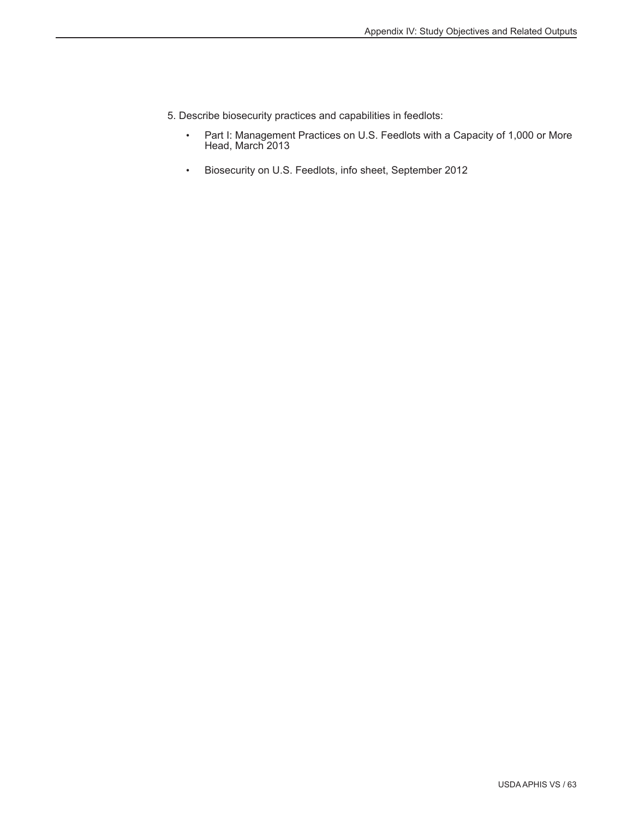- 5. Describe biosecurity practices and capabilities in feedlots:
	- Part I: Management Practices on U.S. Feedlots with a Capacity of 1,000 or More Head, March 2013
	- Biosecurity on U.S. Feedlots, info sheet, September 2012